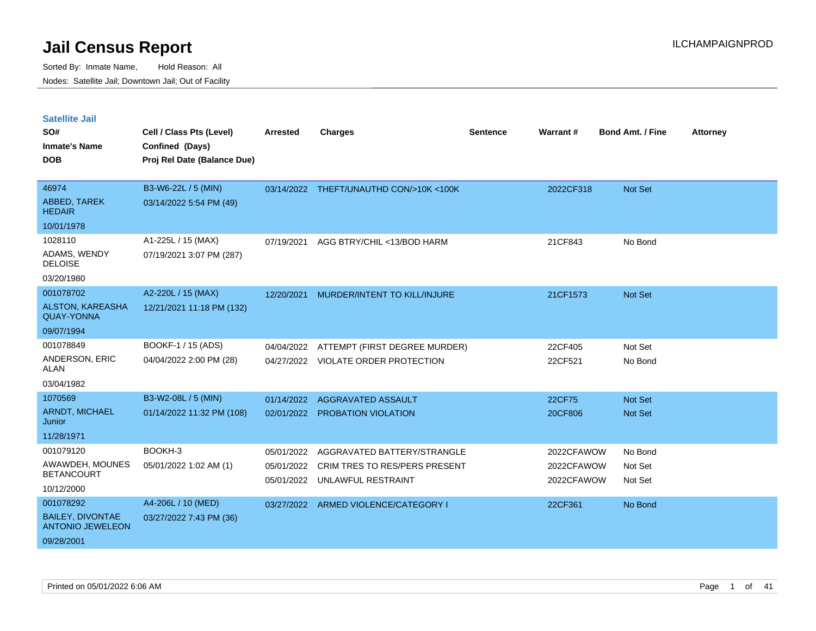| <b>Satellite Jail</b>                              |                             |            |                                         |                 |                 |                         |                 |
|----------------------------------------------------|-----------------------------|------------|-----------------------------------------|-----------------|-----------------|-------------------------|-----------------|
| SO#                                                | Cell / Class Pts (Level)    | Arrested   | <b>Charges</b>                          | <b>Sentence</b> | <b>Warrant#</b> | <b>Bond Amt. / Fine</b> | <b>Attorney</b> |
| <b>Inmate's Name</b>                               | Confined (Days)             |            |                                         |                 |                 |                         |                 |
| <b>DOB</b>                                         | Proj Rel Date (Balance Due) |            |                                         |                 |                 |                         |                 |
|                                                    |                             |            |                                         |                 |                 |                         |                 |
| 46974                                              | B3-W6-22L / 5 (MIN)         |            | 03/14/2022 THEFT/UNAUTHD CON/>10K <100K |                 | 2022CF318       | Not Set                 |                 |
| ABBED, TAREK<br><b>HEDAIR</b>                      | 03/14/2022 5:54 PM (49)     |            |                                         |                 |                 |                         |                 |
| 10/01/1978                                         |                             |            |                                         |                 |                 |                         |                 |
| 1028110                                            | A1-225L / 15 (MAX)          | 07/19/2021 | AGG BTRY/CHIL <13/BOD HARM              |                 | 21CF843         | No Bond                 |                 |
| ADAMS, WENDY<br><b>DELOISE</b>                     | 07/19/2021 3:07 PM (287)    |            |                                         |                 |                 |                         |                 |
| 03/20/1980                                         |                             |            |                                         |                 |                 |                         |                 |
| 001078702                                          | A2-220L / 15 (MAX)          | 12/20/2021 | MURDER/INTENT TO KILL/INJURE            |                 | 21CF1573        | Not Set                 |                 |
| ALSTON, KAREASHA<br><b>QUAY-YONNA</b>              | 12/21/2021 11:18 PM (132)   |            |                                         |                 |                 |                         |                 |
| 09/07/1994                                         |                             |            |                                         |                 |                 |                         |                 |
| 001078849                                          | BOOKF-1 / 15 (ADS)          | 04/04/2022 | ATTEMPT (FIRST DEGREE MURDER)           |                 | 22CF405         | Not Set                 |                 |
| ANDERSON, ERIC<br>ALAN                             | 04/04/2022 2:00 PM (28)     | 04/27/2022 | <b>VIOLATE ORDER PROTECTION</b>         |                 | 22CF521         | No Bond                 |                 |
| 03/04/1982                                         |                             |            |                                         |                 |                 |                         |                 |
| 1070569                                            | B3-W2-08L / 5 (MIN)         | 01/14/2022 | <b>AGGRAVATED ASSAULT</b>               |                 | 22CF75          | Not Set                 |                 |
| <b>ARNDT, MICHAEL</b><br>Junior                    | 01/14/2022 11:32 PM (108)   | 02/01/2022 | PROBATION VIOLATION                     |                 | 20CF806         | Not Set                 |                 |
| 11/28/1971                                         |                             |            |                                         |                 |                 |                         |                 |
| 001079120                                          | BOOKH-3                     | 05/01/2022 | AGGRAVATED BATTERY/STRANGLE             |                 | 2022CFAWOW      | No Bond                 |                 |
| AWAWDEH, MOUNES                                    | 05/01/2022 1:02 AM (1)      | 05/01/2022 | <b>CRIM TRES TO RES/PERS PRESENT</b>    |                 | 2022CFAWOW      | Not Set                 |                 |
| <b>BETANCOURT</b>                                  |                             | 05/01/2022 | UNLAWFUL RESTRAINT                      |                 | 2022CFAWOW      | Not Set                 |                 |
| 10/12/2000                                         |                             |            |                                         |                 |                 |                         |                 |
| 001078292                                          | A4-206L / 10 (MED)          | 03/27/2022 | ARMED VIOLENCE/CATEGORY I               |                 | 22CF361         | No Bond                 |                 |
| <b>BAILEY, DIVONTAE</b><br><b>ANTONIO JEWELEON</b> | 03/27/2022 7:43 PM (36)     |            |                                         |                 |                 |                         |                 |
| 09/28/2001                                         |                             |            |                                         |                 |                 |                         |                 |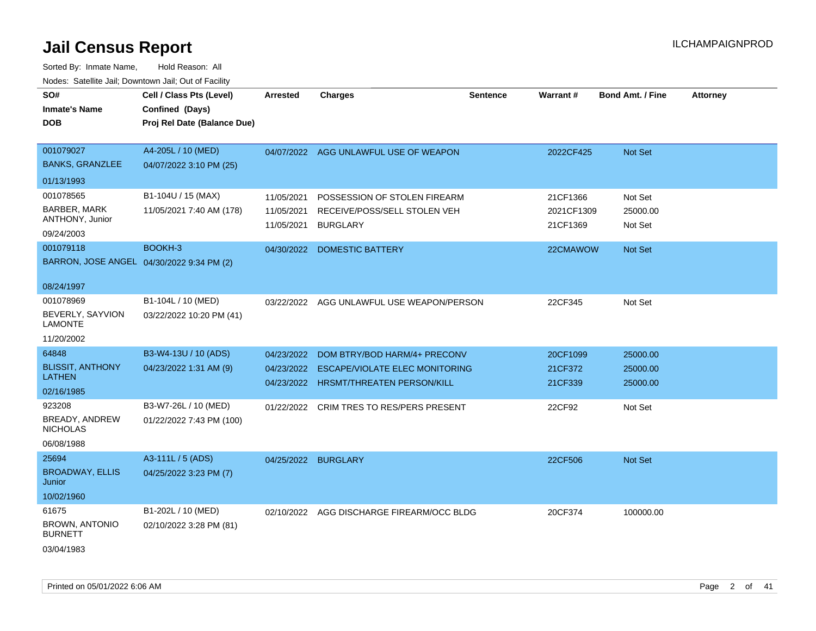| SO#<br><b>Inmate's Name</b><br><b>DOB</b>                  | Cell / Class Pts (Level)<br>Confined (Days)<br>Proj Rel Date (Balance Due) | <b>Arrested</b>                        | <b>Charges</b>                                                                  | <b>Sentence</b> | <b>Warrant#</b>                    | <b>Bond Amt. / Fine</b>        | <b>Attorney</b> |
|------------------------------------------------------------|----------------------------------------------------------------------------|----------------------------------------|---------------------------------------------------------------------------------|-----------------|------------------------------------|--------------------------------|-----------------|
| 001079027<br><b>BANKS, GRANZLEE</b>                        | A4-205L / 10 (MED)<br>04/07/2022 3:10 PM (25)                              | 04/07/2022                             | AGG UNLAWFUL USE OF WEAPON                                                      |                 | 2022CF425                          | Not Set                        |                 |
| 01/13/1993                                                 |                                                                            |                                        |                                                                                 |                 |                                    |                                |                 |
| 001078565<br>BARBER, MARK<br>ANTHONY, Junior<br>09/24/2003 | B1-104U / 15 (MAX)<br>11/05/2021 7:40 AM (178)                             | 11/05/2021<br>11/05/2021<br>11/05/2021 | POSSESSION OF STOLEN FIREARM<br>RECEIVE/POSS/SELL STOLEN VEH<br><b>BURGLARY</b> |                 | 21CF1366<br>2021CF1309<br>21CF1369 | Not Set<br>25000.00<br>Not Set |                 |
| 001079118                                                  | BOOKH-3                                                                    | 04/30/2022                             | <b>DOMESTIC BATTERY</b>                                                         |                 | 22CMAWOW                           | Not Set                        |                 |
| BARRON, JOSE ANGEL 04/30/2022 9:34 PM (2)<br>08/24/1997    |                                                                            |                                        |                                                                                 |                 |                                    |                                |                 |
| 001078969                                                  | B1-104L / 10 (MED)                                                         |                                        | 03/22/2022 AGG UNLAWFUL USE WEAPON/PERSON                                       |                 | 22CF345                            | Not Set                        |                 |
| BEVERLY, SAYVION<br><b>LAMONTE</b>                         | 03/22/2022 10:20 PM (41)                                                   |                                        |                                                                                 |                 |                                    |                                |                 |
| 11/20/2002                                                 |                                                                            |                                        |                                                                                 |                 |                                    |                                |                 |
| 64848                                                      | B3-W4-13U / 10 (ADS)                                                       | 04/23/2022                             | DOM BTRY/BOD HARM/4+ PRECONV                                                    |                 | 20CF1099                           | 25000.00                       |                 |
| <b>BLISSIT, ANTHONY</b><br><b>LATHEN</b>                   | 04/23/2022 1:31 AM (9)                                                     | 04/23/2022<br>04/23/2022               | <b>ESCAPE/VIOLATE ELEC MONITORING</b><br>HRSMT/THREATEN PERSON/KILL             |                 | 21CF372<br>21CF339                 | 25000.00<br>25000.00           |                 |
| 02/16/1985                                                 |                                                                            |                                        |                                                                                 |                 |                                    |                                |                 |
| 923208<br>BREADY, ANDREW<br><b>NICHOLAS</b><br>06/08/1988  | B3-W7-26L / 10 (MED)<br>01/22/2022 7:43 PM (100)                           | 01/22/2022                             | <b>CRIM TRES TO RES/PERS PRESENT</b>                                            |                 | 22CF92                             | Not Set                        |                 |
| 25694                                                      | A3-111L / 5 (ADS)                                                          | 04/25/2022 BURGLARY                    |                                                                                 |                 | 22CF506                            | Not Set                        |                 |
| <b>BROADWAY, ELLIS</b><br>Junior                           | 04/25/2022 3:23 PM (7)                                                     |                                        |                                                                                 |                 |                                    |                                |                 |
| 10/02/1960                                                 |                                                                            |                                        |                                                                                 |                 |                                    |                                |                 |
| 61675                                                      | B1-202L / 10 (MED)                                                         |                                        | 02/10/2022 AGG DISCHARGE FIREARM/OCC BLDG                                       |                 | 20CF374                            | 100000.00                      |                 |
| <b>BROWN, ANTONIO</b><br><b>BURNETT</b>                    | 02/10/2022 3:28 PM (81)                                                    |                                        |                                                                                 |                 |                                    |                                |                 |
| 03/04/1983                                                 |                                                                            |                                        |                                                                                 |                 |                                    |                                |                 |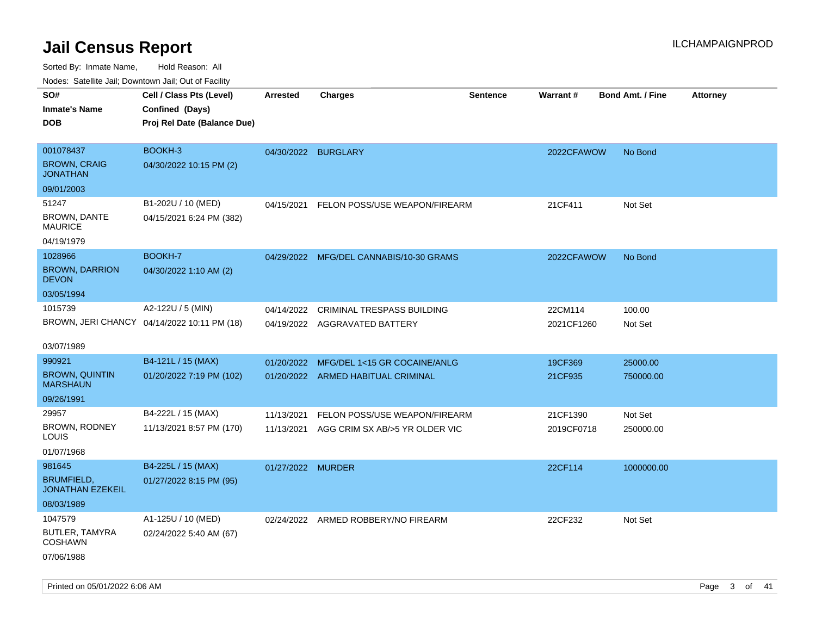| Nodes. Satellite Jali, Downtown Jali, Out of Facility |                                             |                     |                                         |                 |            |                         |                 |
|-------------------------------------------------------|---------------------------------------------|---------------------|-----------------------------------------|-----------------|------------|-------------------------|-----------------|
| SO#                                                   | Cell / Class Pts (Level)                    | Arrested            | <b>Charges</b>                          | <b>Sentence</b> | Warrant#   | <b>Bond Amt. / Fine</b> | <b>Attorney</b> |
| <b>Inmate's Name</b>                                  | Confined (Days)                             |                     |                                         |                 |            |                         |                 |
| DOB                                                   | Proj Rel Date (Balance Due)                 |                     |                                         |                 |            |                         |                 |
|                                                       |                                             |                     |                                         |                 |            |                         |                 |
| 001078437                                             | BOOKH-3                                     | 04/30/2022 BURGLARY |                                         |                 | 2022CFAWOW | No Bond                 |                 |
| <b>BROWN, CRAIG</b><br><b>JONATHAN</b>                | 04/30/2022 10:15 PM (2)                     |                     |                                         |                 |            |                         |                 |
| 09/01/2003                                            |                                             |                     |                                         |                 |            |                         |                 |
| 51247                                                 | B1-202U / 10 (MED)                          | 04/15/2021          | FELON POSS/USE WEAPON/FIREARM           |                 | 21CF411    | Not Set                 |                 |
| <b>BROWN, DANTE</b><br>MAURICE                        | 04/15/2021 6:24 PM (382)                    |                     |                                         |                 |            |                         |                 |
| 04/19/1979                                            |                                             |                     |                                         |                 |            |                         |                 |
| 1028966                                               | BOOKH-7                                     |                     | 04/29/2022 MFG/DEL CANNABIS/10-30 GRAMS |                 | 2022CFAWOW | No Bond                 |                 |
| <b>BROWN, DARRION</b><br><b>DEVON</b>                 | 04/30/2022 1:10 AM (2)                      |                     |                                         |                 |            |                         |                 |
| 03/05/1994                                            |                                             |                     |                                         |                 |            |                         |                 |
| 1015739                                               | A2-122U / 5 (MIN)                           | 04/14/2022          | CRIMINAL TRESPASS BUILDING              |                 | 22CM114    | 100.00                  |                 |
|                                                       | BROWN, JERI CHANCY 04/14/2022 10:11 PM (18) | 04/19/2022          | AGGRAVATED BATTERY                      |                 | 2021CF1260 | Not Set                 |                 |
|                                                       |                                             |                     |                                         |                 |            |                         |                 |
| 03/07/1989                                            |                                             |                     |                                         |                 |            |                         |                 |
| 990921                                                | B4-121L / 15 (MAX)                          | 01/20/2022          | MFG/DEL 1<15 GR COCAINE/ANLG            |                 | 19CF369    | 25000.00                |                 |
| <b>BROWN, QUINTIN</b><br><b>MARSHAUN</b>              | 01/20/2022 7:19 PM (102)                    | 01/20/2022          | ARMED HABITUAL CRIMINAL                 |                 | 21CF935    | 750000.00               |                 |
| 09/26/1991                                            |                                             |                     |                                         |                 |            |                         |                 |
| 29957                                                 | B4-222L / 15 (MAX)                          | 11/13/2021          | FELON POSS/USE WEAPON/FIREARM           |                 | 21CF1390   | Not Set                 |                 |
| BROWN, RODNEY<br>LOUIS                                | 11/13/2021 8:57 PM (170)                    | 11/13/2021          | AGG CRIM SX AB/>5 YR OLDER VIC          |                 | 2019CF0718 | 250000.00               |                 |
| 01/07/1968                                            |                                             |                     |                                         |                 |            |                         |                 |
| 981645                                                | B4-225L / 15 (MAX)                          | 01/27/2022 MURDER   |                                         |                 | 22CF114    | 1000000.00              |                 |
| BRUMFIELD,<br><b>JONATHAN EZEKEIL</b>                 | 01/27/2022 8:15 PM (95)                     |                     |                                         |                 |            |                         |                 |
| 08/03/1989                                            |                                             |                     |                                         |                 |            |                         |                 |
| 1047579                                               | A1-125U / 10 (MED)                          |                     | 02/24/2022 ARMED ROBBERY/NO FIREARM     |                 | 22CF232    | Not Set                 |                 |
| BUTLER, TAMYRA<br>COSHAWN                             | 02/24/2022 5:40 AM (67)                     |                     |                                         |                 |            |                         |                 |
| 07/06/1988                                            |                                             |                     |                                         |                 |            |                         |                 |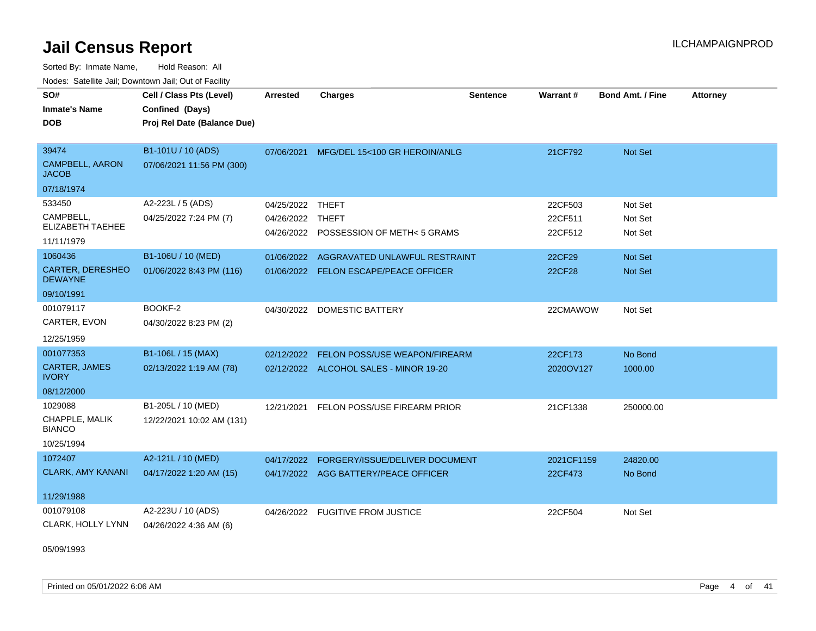Sorted By: Inmate Name, Hold Reason: All Nodes: Satellite Jail; Downtown Jail; Out of Facility

| SO#<br><b>Inmate's Name</b><br><b>DOB</b>                          | Cell / Class Pts (Level)<br>Confined (Days)<br>Proj Rel Date (Balance Due) | <b>Arrested</b>          | <b>Charges</b>                                                                 | Sentence | Warrant#                      | <b>Bond Amt. / Fine</b>       | <b>Attorney</b> |
|--------------------------------------------------------------------|----------------------------------------------------------------------------|--------------------------|--------------------------------------------------------------------------------|----------|-------------------------------|-------------------------------|-----------------|
| 39474<br><b>CAMPBELL, AARON</b><br><b>JACOB</b>                    | B1-101U / 10 (ADS)<br>07/06/2021 11:56 PM (300)                            | 07/06/2021               | MFG/DEL 15<100 GR HEROIN/ANLG                                                  |          | 21CF792                       | Not Set                       |                 |
| 07/18/1974                                                         |                                                                            |                          |                                                                                |          |                               |                               |                 |
| 533450<br>CAMPBELL,<br>ELIZABETH TAEHEE<br>11/11/1979              | A2-223L / 5 (ADS)<br>04/25/2022 7:24 PM (7)                                | 04/25/2022<br>04/26/2022 | <b>THEFT</b><br><b>THEFT</b><br>04/26/2022 POSSESSION OF METH< 5 GRAMS         |          | 22CF503<br>22CF511<br>22CF512 | Not Set<br>Not Set<br>Not Set |                 |
| 1060436<br><b>CARTER, DERESHEO</b><br><b>DEWAYNE</b><br>09/10/1991 | B1-106U / 10 (MED)<br>01/06/2022 8:43 PM (116)                             | 01/06/2022               | AGGRAVATED UNLAWFUL RESTRAINT<br>01/06/2022 FELON ESCAPE/PEACE OFFICER         |          | 22CF29<br><b>22CF28</b>       | Not Set<br><b>Not Set</b>     |                 |
| 001079117<br>CARTER, EVON<br>12/25/1959                            | BOOKF-2<br>04/30/2022 8:23 PM (2)                                          | 04/30/2022               | <b>DOMESTIC BATTERY</b>                                                        |          | 22CMAWOW                      | Not Set                       |                 |
| 001077353<br>CARTER, JAMES<br><b>IVORY</b><br>08/12/2000           | B1-106L / 15 (MAX)<br>02/13/2022 1:19 AM (78)                              | 02/12/2022               | <b>FELON POSS/USE WEAPON/FIREARM</b><br>02/12/2022 ALCOHOL SALES - MINOR 19-20 |          | 22CF173<br>2020OV127          | No Bond<br>1000.00            |                 |
| 1029088<br>CHAPPLE, MALIK<br><b>BIANCO</b><br>10/25/1994           | B1-205L / 10 (MED)<br>12/22/2021 10:02 AM (131)                            | 12/21/2021               | FELON POSS/USE FIREARM PRIOR                                                   |          | 21CF1338                      | 250000.00                     |                 |
| 1072407<br><b>CLARK, AMY KANANI</b><br>11/29/1988                  | A2-121L / 10 (MED)<br>04/17/2022 1:20 AM (15)                              | 04/17/2022               | FORGERY/ISSUE/DELIVER DOCUMENT<br>04/17/2022 AGG BATTERY/PEACE OFFICER         |          | 2021CF1159<br>22CF473         | 24820.00<br>No Bond           |                 |
| 001079108<br>CLARK, HOLLY LYNN                                     | A2-223U / 10 (ADS)<br>04/26/2022 4:36 AM (6)                               |                          | 04/26/2022 FUGITIVE FROM JUSTICE                                               |          | 22CF504                       | Not Set                       |                 |

05/09/1993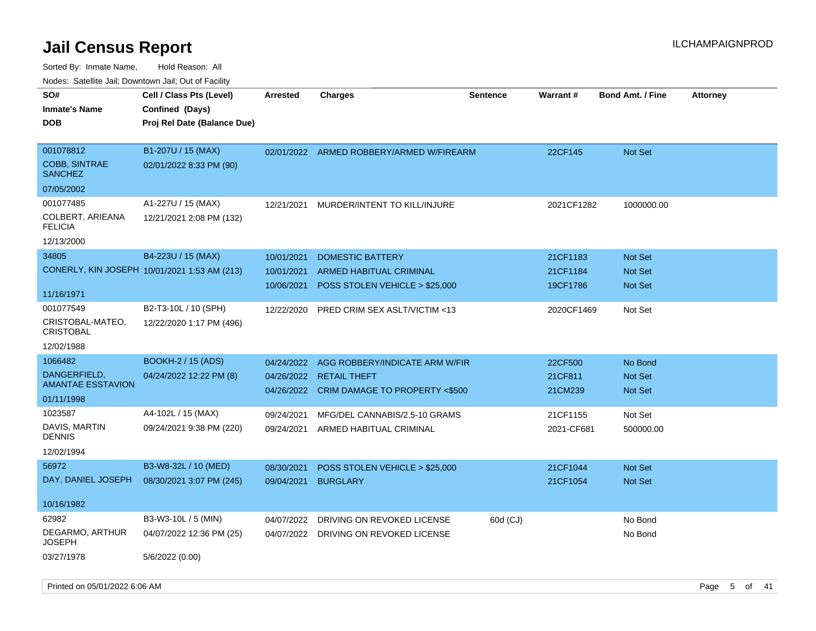| roaco. Calcinio dan, Domnomi dan, Cal or Fability |                                              |            |                                          |                 |            |                         |                 |
|---------------------------------------------------|----------------------------------------------|------------|------------------------------------------|-----------------|------------|-------------------------|-----------------|
| SO#<br><b>Inmate's Name</b>                       | Cell / Class Pts (Level)<br>Confined (Days)  | Arrested   | <b>Charges</b>                           | <b>Sentence</b> | Warrant#   | <b>Bond Amt. / Fine</b> | <b>Attorney</b> |
| DOB                                               | Proj Rel Date (Balance Due)                  |            |                                          |                 |            |                         |                 |
| 001078812                                         | B1-207U / 15 (MAX)                           |            | 02/01/2022 ARMED ROBBERY/ARMED W/FIREARM |                 | 22CF145    | <b>Not Set</b>          |                 |
| <b>COBB, SINTRAE</b><br><b>SANCHEZ</b>            | 02/01/2022 8:33 PM (90)                      |            |                                          |                 |            |                         |                 |
| 07/05/2002                                        |                                              |            |                                          |                 |            |                         |                 |
| 001077485                                         | A1-227U / 15 (MAX)                           | 12/21/2021 | MURDER/INTENT TO KILL/INJURE             |                 | 2021CF1282 | 1000000.00              |                 |
| COLBERT, ARIEANA<br><b>FELICIA</b>                | 12/21/2021 2:08 PM (132)                     |            |                                          |                 |            |                         |                 |
| 12/13/2000                                        |                                              |            |                                          |                 |            |                         |                 |
| 34805                                             | B4-223U / 15 (MAX)                           | 10/01/2021 | <b>DOMESTIC BATTERY</b>                  |                 | 21CF1183   | <b>Not Set</b>          |                 |
|                                                   | CONERLY, KIN JOSEPH 10/01/2021 1:53 AM (213) | 10/01/2021 | <b>ARMED HABITUAL CRIMINAL</b>           |                 | 21CF1184   | <b>Not Set</b>          |                 |
|                                                   |                                              | 10/06/2021 | POSS STOLEN VEHICLE > \$25,000           |                 | 19CF1786   | Not Set                 |                 |
| 11/16/1971                                        |                                              |            |                                          |                 |            |                         |                 |
| 001077549                                         | B2-T3-10L / 10 (SPH)                         | 12/22/2020 | PRED CRIM SEX ASLT/VICTIM <13            |                 | 2020CF1469 | Not Set                 |                 |
| CRISTOBAL-MATEO,<br><b>CRISTOBAL</b>              | 12/22/2020 1:17 PM (496)                     |            |                                          |                 |            |                         |                 |
| 12/02/1988                                        |                                              |            |                                          |                 |            |                         |                 |
| 1066482                                           | <b>BOOKH-2 / 15 (ADS)</b>                    | 04/24/2022 | AGG ROBBERY/INDICATE ARM W/FIR           |                 | 22CF500    | No Bond                 |                 |
| DANGERFIELD,                                      | 04/24/2022 12:22 PM (8)                      | 04/26/2022 | <b>RETAIL THEFT</b>                      |                 | 21CF811    | <b>Not Set</b>          |                 |
| AMANTAE ESSTAVION                                 |                                              | 04/26/2022 | CRIM DAMAGE TO PROPERTY <\$500           |                 | 21CM239    | <b>Not Set</b>          |                 |
| 01/11/1998                                        |                                              |            |                                          |                 |            |                         |                 |
| 1023587                                           | A4-102L / 15 (MAX)                           | 09/24/2021 | MFG/DEL CANNABIS/2.5-10 GRAMS            |                 | 21CF1155   | Not Set                 |                 |
| DAVIS, MARTIN<br>DENNIS                           | 09/24/2021 9:38 PM (220)                     | 09/24/2021 | ARMED HABITUAL CRIMINAL                  |                 | 2021-CF681 | 500000.00               |                 |
| 12/02/1994                                        |                                              |            |                                          |                 |            |                         |                 |
| 56972                                             | B3-W8-32L / 10 (MED)                         | 08/30/2021 | POSS STOLEN VEHICLE > \$25,000           |                 | 21CF1044   | <b>Not Set</b>          |                 |
| DAY, DANIEL JOSEPH                                | 08/30/2021 3:07 PM (245)                     | 09/04/2021 | <b>BURGLARY</b>                          |                 | 21CF1054   | <b>Not Set</b>          |                 |
| 10/16/1982                                        |                                              |            |                                          |                 |            |                         |                 |
| 62982                                             | B3-W3-10L / 5 (MIN)                          | 04/07/2022 | DRIVING ON REVOKED LICENSE               | 60d (CJ)        |            | No Bond                 |                 |
| DEGARMO, ARTHUR<br>JOSEPH                         | 04/07/2022 12:36 PM (25)                     | 04/07/2022 | DRIVING ON REVOKED LICENSE               |                 |            | No Bond                 |                 |
| 03/27/1978                                        | 5/6/2022 (0.00)                              |            |                                          |                 |            |                         |                 |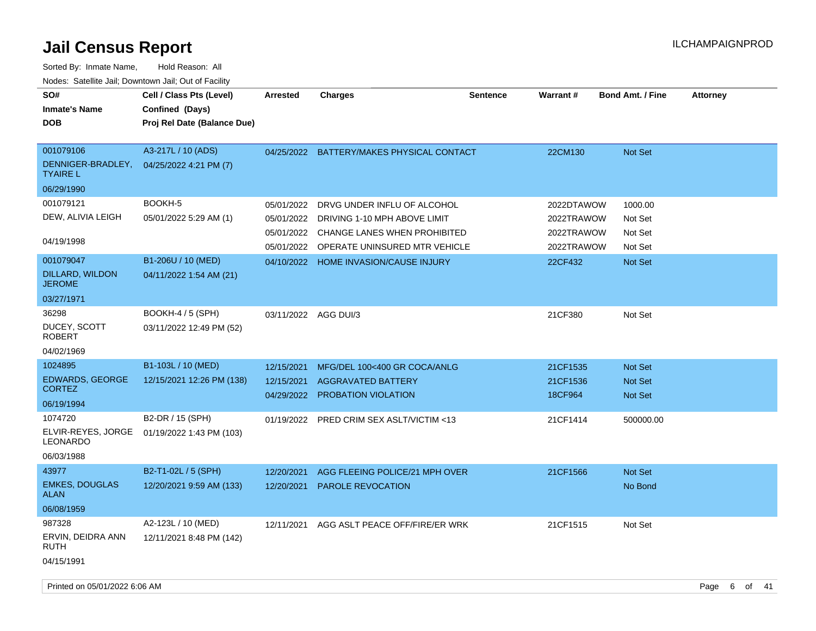| SO#<br><b>Inmate's Name</b><br>DOB                                             | Cell / Class Pts (Level)<br>Confined (Days)<br>Proj Rel Date (Balance Due)         | <b>Arrested</b>                                                    | <b>Charges</b>                                                                                                                                             | <b>Sentence</b> | <b>Warrant#</b>                                                 | <b>Bond Amt. / Fine</b>                                    | <b>Attorney</b> |
|--------------------------------------------------------------------------------|------------------------------------------------------------------------------------|--------------------------------------------------------------------|------------------------------------------------------------------------------------------------------------------------------------------------------------|-----------------|-----------------------------------------------------------------|------------------------------------------------------------|-----------------|
| 001079106<br>DENNIGER-BRADLEY,<br><b>TYAIRE L</b><br>06/29/1990                | A3-217L / 10 (ADS)<br>04/25/2022 4:21 PM (7)                                       |                                                                    | 04/25/2022 BATTERY/MAKES PHYSICAL CONTACT                                                                                                                  |                 | 22CM130                                                         | Not Set                                                    |                 |
| 001079121<br>DEW, ALIVIA LEIGH<br>04/19/1998<br>001079047<br>DILLARD, WILDON   | BOOKH-5<br>05/01/2022 5:29 AM (1)<br>B1-206U / 10 (MED)<br>04/11/2022 1:54 AM (21) | 05/01/2022<br>05/01/2022<br>05/01/2022<br>05/01/2022<br>04/10/2022 | DRVG UNDER INFLU OF ALCOHOL<br>DRIVING 1-10 MPH ABOVE LIMIT<br>CHANGE LANES WHEN PROHIBITED<br>OPERATE UNINSURED MTR VEHICLE<br>HOME INVASION/CAUSE INJURY |                 | 2022DTAWOW<br>2022TRAWOW<br>2022TRAWOW<br>2022TRAWOW<br>22CF432 | 1000.00<br>Not Set<br>Not Set<br>Not Set<br><b>Not Set</b> |                 |
| <b>JEROME</b><br>03/27/1971<br>36298<br>DUCEY, SCOTT<br>ROBERT                 | <b>BOOKH-4 / 5 (SPH)</b><br>03/11/2022 12:49 PM (52)                               | 03/11/2022 AGG DUI/3                                               |                                                                                                                                                            |                 | 21CF380                                                         | Not Set                                                    |                 |
| 04/02/1969<br>1024895<br><b>EDWARDS, GEORGE</b><br><b>CORTEZ</b><br>06/19/1994 | B1-103L / 10 (MED)<br>12/15/2021 12:26 PM (138)                                    | 12/15/2021<br>12/15/2021<br>04/29/2022                             | MFG/DEL 100<400 GR COCA/ANLG<br><b>AGGRAVATED BATTERY</b><br><b>PROBATION VIOLATION</b>                                                                    |                 | 21CF1535<br>21CF1536<br>18CF964                                 | <b>Not Set</b><br><b>Not Set</b><br><b>Not Set</b>         |                 |
| 1074720<br>ELVIR-REYES, JORGE<br><b>LEONARDO</b><br>06/03/1988                 | B2-DR / 15 (SPH)<br>01/19/2022 1:43 PM (103)                                       | 01/19/2022                                                         | PRED CRIM SEX ASLT/VICTIM <13                                                                                                                              |                 | 21CF1414                                                        | 500000.00                                                  |                 |
| 43977<br><b>EMKES, DOUGLAS</b><br>ALAN<br>06/08/1959                           | B2-T1-02L / 5 (SPH)<br>12/20/2021 9:59 AM (133)                                    | 12/20/2021<br>12/20/2021                                           | AGG FLEEING POLICE/21 MPH OVER<br><b>PAROLE REVOCATION</b>                                                                                                 |                 | 21CF1566                                                        | Not Set<br>No Bond                                         |                 |
| 987328<br>ERVIN, DEIDRA ANN<br>RUTH<br>04/15/1991                              | A2-123L / 10 (MED)<br>12/11/2021 8:48 PM (142)                                     | 12/11/2021                                                         | AGG ASLT PEACE OFF/FIRE/ER WRK                                                                                                                             |                 | 21CF1515                                                        | Not Set                                                    |                 |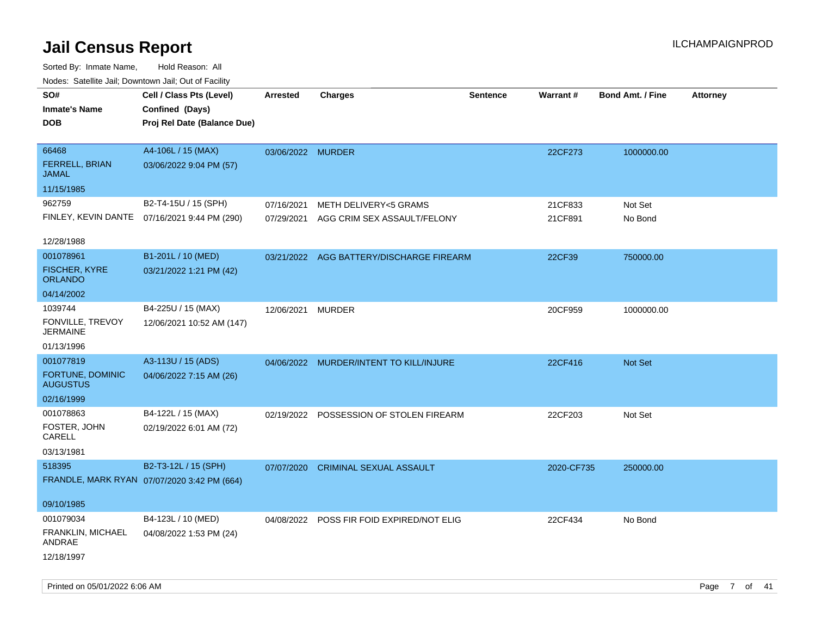| indues. Salenne Jan, Downlown Jan, Out of Facility |                                              |                   |                                           |                 |            |                         |                 |
|----------------------------------------------------|----------------------------------------------|-------------------|-------------------------------------------|-----------------|------------|-------------------------|-----------------|
| SO#                                                | Cell / Class Pts (Level)                     | <b>Arrested</b>   | <b>Charges</b>                            | <b>Sentence</b> | Warrant#   | <b>Bond Amt. / Fine</b> | <b>Attorney</b> |
| <b>Inmate's Name</b>                               | Confined (Days)                              |                   |                                           |                 |            |                         |                 |
| <b>DOB</b>                                         | Proj Rel Date (Balance Due)                  |                   |                                           |                 |            |                         |                 |
|                                                    |                                              |                   |                                           |                 |            |                         |                 |
| 66468                                              | A4-106L / 15 (MAX)                           | 03/06/2022 MURDER |                                           |                 | 22CF273    | 1000000.00              |                 |
| FERRELL, BRIAN<br><b>JAMAL</b>                     | 03/06/2022 9:04 PM (57)                      |                   |                                           |                 |            |                         |                 |
| 11/15/1985                                         |                                              |                   |                                           |                 |            |                         |                 |
| 962759                                             | B2-T4-15U / 15 (SPH)                         | 07/16/2021        | <b>METH DELIVERY&lt;5 GRAMS</b>           |                 | 21CF833    | Not Set                 |                 |
|                                                    | FINLEY, KEVIN DANTE 07/16/2021 9:44 PM (290) | 07/29/2021        | AGG CRIM SEX ASSAULT/FELONY               |                 | 21CF891    | No Bond                 |                 |
| 12/28/1988                                         |                                              |                   |                                           |                 |            |                         |                 |
| 001078961                                          | B1-201L / 10 (MED)                           |                   | 03/21/2022 AGG BATTERY/DISCHARGE FIREARM  |                 | 22CF39     | 750000.00               |                 |
| <b>FISCHER, KYRE</b><br><b>ORLANDO</b>             | 03/21/2022 1:21 PM (42)                      |                   |                                           |                 |            |                         |                 |
| 04/14/2002                                         |                                              |                   |                                           |                 |            |                         |                 |
| 1039744                                            | B4-225U / 15 (MAX)                           | 12/06/2021        | MURDER                                    |                 | 20CF959    | 1000000.00              |                 |
| FONVILLE, TREVOY<br>JERMAINE                       | 12/06/2021 10:52 AM (147)                    |                   |                                           |                 |            |                         |                 |
| 01/13/1996                                         |                                              |                   |                                           |                 |            |                         |                 |
| 001077819                                          | A3-113U / 15 (ADS)                           |                   | 04/06/2022 MURDER/INTENT TO KILL/INJURE   |                 | 22CF416    | Not Set                 |                 |
| FORTUNE, DOMINIC<br><b>AUGUSTUS</b>                | 04/06/2022 7:15 AM (26)                      |                   |                                           |                 |            |                         |                 |
| 02/16/1999                                         |                                              |                   |                                           |                 |            |                         |                 |
| 001078863                                          | B4-122L / 15 (MAX)                           |                   | 02/19/2022 POSSESSION OF STOLEN FIREARM   |                 | 22CF203    | Not Set                 |                 |
| FOSTER, JOHN<br>CARELL                             | 02/19/2022 6:01 AM (72)                      |                   |                                           |                 |            |                         |                 |
| 03/13/1981                                         |                                              |                   |                                           |                 |            |                         |                 |
| 518395                                             | B2-T3-12L / 15 (SPH)                         | 07/07/2020        | <b>CRIMINAL SEXUAL ASSAULT</b>            |                 | 2020-CF735 | 250000.00               |                 |
|                                                    | FRANDLE, MARK RYAN 07/07/2020 3:42 PM (664)  |                   |                                           |                 |            |                         |                 |
| 09/10/1985                                         |                                              |                   |                                           |                 |            |                         |                 |
| 001079034                                          | B4-123L / 10 (MED)                           |                   | 04/08/2022 POSS FIR FOID EXPIRED/NOT ELIG |                 | 22CF434    | No Bond                 |                 |
| FRANKLIN, MICHAEL<br>ANDRAE                        | 04/08/2022 1:53 PM (24)                      |                   |                                           |                 |            |                         |                 |
| 12/18/1997                                         |                                              |                   |                                           |                 |            |                         |                 |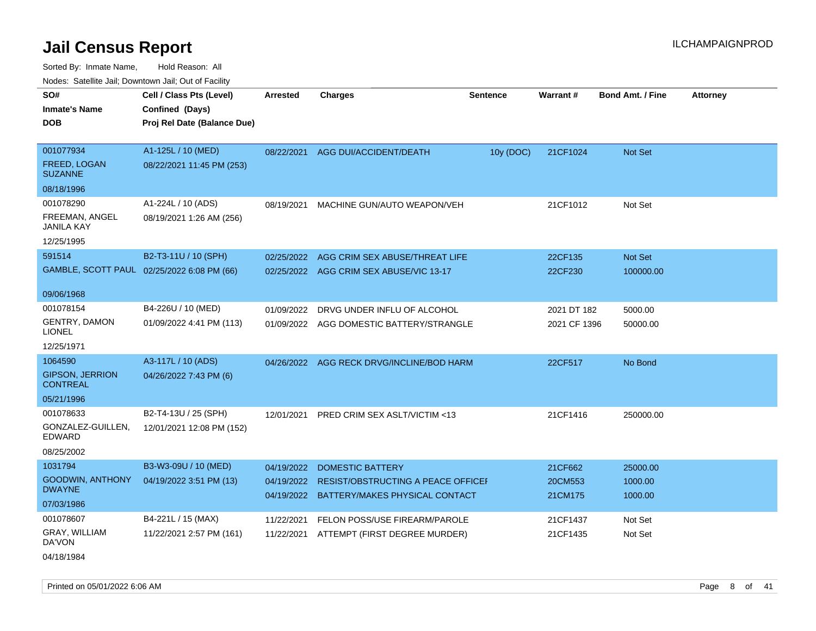| Noues. Salenne Jan, Downlown Jan, Out of Facility |                                            |                 |                                           |                 |              |                         |                 |
|---------------------------------------------------|--------------------------------------------|-----------------|-------------------------------------------|-----------------|--------------|-------------------------|-----------------|
| SO#                                               | Cell / Class Pts (Level)                   | <b>Arrested</b> | <b>Charges</b>                            | <b>Sentence</b> | Warrant#     | <b>Bond Amt. / Fine</b> | <b>Attorney</b> |
| <b>Inmate's Name</b>                              | Confined (Days)                            |                 |                                           |                 |              |                         |                 |
| DOB                                               | Proj Rel Date (Balance Due)                |                 |                                           |                 |              |                         |                 |
|                                                   |                                            |                 |                                           |                 |              |                         |                 |
| 001077934                                         | A1-125L / 10 (MED)                         | 08/22/2021      | AGG DUI/ACCIDENT/DEATH                    | 10y (DOC)       | 21CF1024     | Not Set                 |                 |
| FREED, LOGAN<br><b>SUZANNE</b>                    | 08/22/2021 11:45 PM (253)                  |                 |                                           |                 |              |                         |                 |
| 08/18/1996                                        |                                            |                 |                                           |                 |              |                         |                 |
| 001078290                                         | A1-224L / 10 (ADS)                         | 08/19/2021      | MACHINE GUN/AUTO WEAPON/VEH               |                 | 21CF1012     | Not Set                 |                 |
| FREEMAN, ANGEL<br>JANILA KAY                      | 08/19/2021 1:26 AM (256)                   |                 |                                           |                 |              |                         |                 |
| 12/25/1995                                        |                                            |                 |                                           |                 |              |                         |                 |
| 591514                                            | B2-T3-11U / 10 (SPH)                       | 02/25/2022      | AGG CRIM SEX ABUSE/THREAT LIFE            |                 | 22CF135      | Not Set                 |                 |
|                                                   | GAMBLE, SCOTT PAUL 02/25/2022 6:08 PM (66) | 02/25/2022      | AGG CRIM SEX ABUSE/VIC 13-17              |                 | 22CF230      | 100000.00               |                 |
|                                                   |                                            |                 |                                           |                 |              |                         |                 |
| 09/06/1968                                        |                                            |                 |                                           |                 |              |                         |                 |
| 001078154                                         | B4-226U / 10 (MED)                         | 01/09/2022      | DRVG UNDER INFLU OF ALCOHOL               |                 | 2021 DT 182  | 5000.00                 |                 |
| <b>GENTRY, DAMON</b><br><b>LIONEL</b>             | 01/09/2022 4:41 PM (113)                   |                 | 01/09/2022 AGG DOMESTIC BATTERY/STRANGLE  |                 | 2021 CF 1396 | 50000.00                |                 |
| 12/25/1971                                        |                                            |                 |                                           |                 |              |                         |                 |
| 1064590                                           | A3-117L / 10 (ADS)                         |                 | 04/26/2022 AGG RECK DRVG/INCLINE/BOD HARM |                 | 22CF517      | No Bond                 |                 |
| <b>GIPSON, JERRION</b><br><b>CONTREAL</b>         | 04/26/2022 7:43 PM (6)                     |                 |                                           |                 |              |                         |                 |
| 05/21/1996                                        |                                            |                 |                                           |                 |              |                         |                 |
| 001078633                                         | B2-T4-13U / 25 (SPH)                       | 12/01/2021      | <b>PRED CRIM SEX ASLT/VICTIM &lt;13</b>   |                 | 21CF1416     | 250000.00               |                 |
| GONZALEZ-GUILLEN,<br>EDWARD                       | 12/01/2021 12:08 PM (152)                  |                 |                                           |                 |              |                         |                 |
| 08/25/2002                                        |                                            |                 |                                           |                 |              |                         |                 |
| 1031794                                           | B3-W3-09U / 10 (MED)                       | 04/19/2022      | <b>DOMESTIC BATTERY</b>                   |                 | 21CF662      | 25000.00                |                 |
| <b>GOODWIN, ANTHONY</b>                           | 04/19/2022 3:51 PM (13)                    | 04/19/2022      | <b>RESIST/OBSTRUCTING A PEACE OFFICEL</b> |                 | 20CM553      | 1000.00                 |                 |
| <b>DWAYNE</b>                                     |                                            | 04/19/2022      | BATTERY/MAKES PHYSICAL CONTACT            |                 | 21CM175      | 1000.00                 |                 |
| 07/03/1986                                        |                                            |                 |                                           |                 |              |                         |                 |
| 001078607                                         | B4-221L / 15 (MAX)                         | 11/22/2021      | FELON POSS/USE FIREARM/PAROLE             |                 | 21CF1437     | Not Set                 |                 |
| GRAY, WILLIAM<br>DA'VON                           | 11/22/2021 2:57 PM (161)                   | 11/22/2021      | ATTEMPT (FIRST DEGREE MURDER)             |                 | 21CF1435     | Not Set                 |                 |
| 04/18/1984                                        |                                            |                 |                                           |                 |              |                         |                 |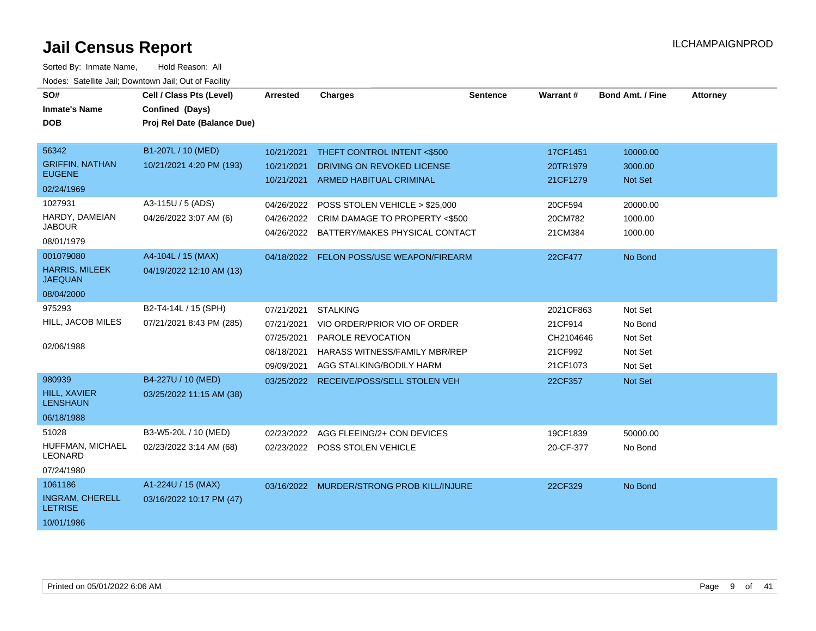| SO#<br><b>Inmate's Name</b>              | Cell / Class Pts (Level)<br>Confined (Days) | <b>Arrested</b> | <b>Charges</b>                                                   | <b>Sentence</b> | Warrant#             | <b>Bond Amt. / Fine</b>   | <b>Attorney</b> |
|------------------------------------------|---------------------------------------------|-----------------|------------------------------------------------------------------|-----------------|----------------------|---------------------------|-----------------|
| <b>DOB</b>                               | Proj Rel Date (Balance Due)                 |                 |                                                                  |                 |                      |                           |                 |
|                                          |                                             |                 |                                                                  |                 |                      |                           |                 |
| 56342                                    | B1-207L / 10 (MED)                          | 10/21/2021      | THEFT CONTROL INTENT <\$500                                      |                 | 17CF1451             | 10000.00                  |                 |
| <b>GRIFFIN, NATHAN</b><br><b>EUGENE</b>  | 10/21/2021 4:20 PM (193)                    | 10/21/2021      | DRIVING ON REVOKED LICENSE<br>10/21/2021 ARMED HABITUAL CRIMINAL |                 | 20TR1979<br>21CF1279 | 3000.00<br><b>Not Set</b> |                 |
| 02/24/1969                               |                                             |                 |                                                                  |                 |                      |                           |                 |
| 1027931                                  | A3-115U / 5 (ADS)                           | 04/26/2022      | POSS STOLEN VEHICLE > \$25,000                                   |                 | 20CF594              | 20000.00                  |                 |
| HARDY, DAMEIAN<br><b>JABOUR</b>          | 04/26/2022 3:07 AM (6)                      | 04/26/2022      | CRIM DAMAGE TO PROPERTY <\$500                                   |                 | 20CM782              | 1000.00                   |                 |
| 08/01/1979                               |                                             | 04/26/2022      | BATTERY/MAKES PHYSICAL CONTACT                                   |                 | 21CM384              | 1000.00                   |                 |
| 001079080                                | A4-104L / 15 (MAX)                          |                 | 04/18/2022 FELON POSS/USE WEAPON/FIREARM                         |                 | 22CF477              | No Bond                   |                 |
| <b>HARRIS, MILEEK</b><br><b>JAEQUAN</b>  | 04/19/2022 12:10 AM (13)                    |                 |                                                                  |                 |                      |                           |                 |
| 08/04/2000                               |                                             |                 |                                                                  |                 |                      |                           |                 |
| 975293                                   | B2-T4-14L / 15 (SPH)                        | 07/21/2021      | <b>STALKING</b>                                                  |                 | 2021CF863            | Not Set                   |                 |
| HILL, JACOB MILES                        | 07/21/2021 8:43 PM (285)                    | 07/21/2021      | VIO ORDER/PRIOR VIO OF ORDER                                     |                 | 21CF914              | No Bond                   |                 |
|                                          |                                             | 07/25/2021      | PAROLE REVOCATION                                                |                 | CH2104646            | Not Set                   |                 |
| 02/06/1988                               |                                             | 08/18/2021      | <b>HARASS WITNESS/FAMILY MBR/REP</b>                             |                 | 21CF992              | Not Set                   |                 |
|                                          |                                             | 09/09/2021      | AGG STALKING/BODILY HARM                                         |                 | 21CF1073             | Not Set                   |                 |
| 980939                                   | B4-227U / 10 (MED)                          | 03/25/2022      | RECEIVE/POSS/SELL STOLEN VEH                                     |                 | 22CF357              | Not Set                   |                 |
| <b>HILL, XAVIER</b><br><b>LENSHAUN</b>   | 03/25/2022 11:15 AM (38)                    |                 |                                                                  |                 |                      |                           |                 |
| 06/18/1988                               |                                             |                 |                                                                  |                 |                      |                           |                 |
| 51028                                    | B3-W5-20L / 10 (MED)                        | 02/23/2022      | AGG FLEEING/2+ CON DEVICES                                       |                 | 19CF1839             | 50000.00                  |                 |
| HUFFMAN, MICHAEL<br><b>LEONARD</b>       | 02/23/2022 3:14 AM (68)                     |                 | 02/23/2022 POSS STOLEN VEHICLE                                   |                 | 20-CF-377            | No Bond                   |                 |
| 07/24/1980                               |                                             |                 |                                                                  |                 |                      |                           |                 |
| 1061186                                  | A1-224U / 15 (MAX)                          |                 | 03/16/2022 MURDER/STRONG PROB KILL/INJURE                        |                 | 22CF329              | No Bond                   |                 |
| <b>INGRAM, CHERELL</b><br><b>LETRISE</b> | 03/16/2022 10:17 PM (47)                    |                 |                                                                  |                 |                      |                           |                 |
| 10/01/1986                               |                                             |                 |                                                                  |                 |                      |                           |                 |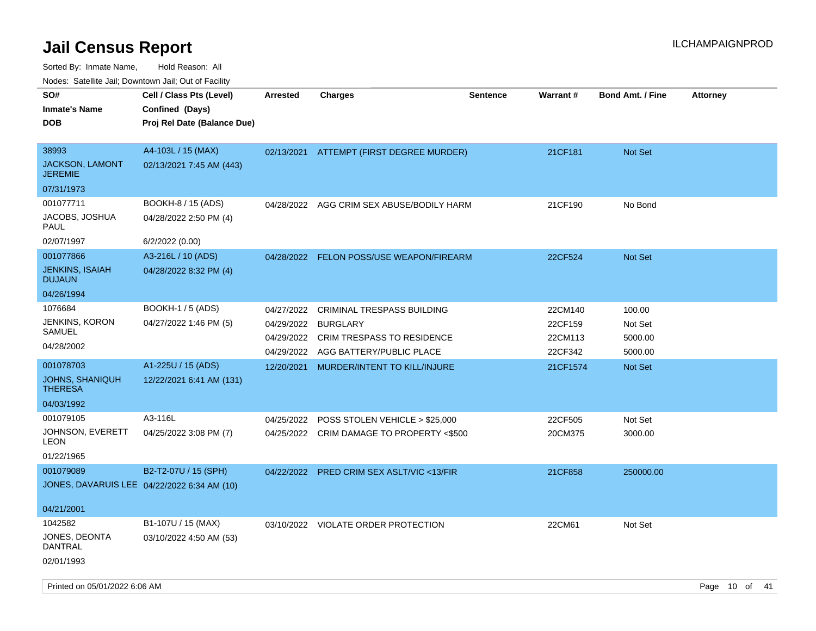Sorted By: Inmate Name, Hold Reason: All Nodes: Satellite Jail; Downtown Jail; Out of Facility

| SO#<br><b>Inmate's Name</b><br><b>DOB</b>         | Cell / Class Pts (Level)<br>Confined (Days)<br>Proj Rel Date (Balance Due) | <b>Arrested</b> | <b>Charges</b>                            | <b>Sentence</b> | Warrant# | <b>Bond Amt. / Fine</b> | <b>Attorney</b> |
|---------------------------------------------------|----------------------------------------------------------------------------|-----------------|-------------------------------------------|-----------------|----------|-------------------------|-----------------|
|                                                   |                                                                            |                 |                                           |                 |          |                         |                 |
| 38993<br><b>JACKSON, LAMONT</b><br><b>JEREMIE</b> | A4-103L / 15 (MAX)<br>02/13/2021 7:45 AM (443)                             | 02/13/2021      | ATTEMPT (FIRST DEGREE MURDER)             |                 | 21CF181  | <b>Not Set</b>          |                 |
| 07/31/1973                                        |                                                                            |                 |                                           |                 |          |                         |                 |
| 001077711                                         | BOOKH-8 / 15 (ADS)                                                         |                 | 04/28/2022 AGG CRIM SEX ABUSE/BODILY HARM |                 | 21CF190  | No Bond                 |                 |
| JACOBS, JOSHUA<br>PAUL                            | 04/28/2022 2:50 PM (4)                                                     |                 |                                           |                 |          |                         |                 |
| 02/07/1997                                        | 6/2/2022 (0.00)                                                            |                 |                                           |                 |          |                         |                 |
| 001077866                                         | A3-216L / 10 (ADS)                                                         |                 | 04/28/2022 FELON POSS/USE WEAPON/FIREARM  |                 | 22CF524  | Not Set                 |                 |
| <b>JENKINS, ISAIAH</b><br><b>DUJAUN</b>           | 04/28/2022 8:32 PM (4)                                                     |                 |                                           |                 |          |                         |                 |
| 04/26/1994                                        |                                                                            |                 |                                           |                 |          |                         |                 |
| 1076684                                           | BOOKH-1 / 5 (ADS)                                                          | 04/27/2022      | <b>CRIMINAL TRESPASS BUILDING</b>         |                 | 22CM140  | 100.00                  |                 |
| JENKINS, KORON                                    | 04/27/2022 1:46 PM (5)                                                     | 04/29/2022      | <b>BURGLARY</b>                           |                 | 22CF159  | Not Set                 |                 |
| <b>SAMUEL</b>                                     |                                                                            | 04/29/2022      | <b>CRIM TRESPASS TO RESIDENCE</b>         |                 | 22CM113  | 5000.00                 |                 |
| 04/28/2002                                        |                                                                            | 04/29/2022      | AGG BATTERY/PUBLIC PLACE                  |                 | 22CF342  | 5000.00                 |                 |
| 001078703                                         | A1-225U / 15 (ADS)                                                         | 12/20/2021      | MURDER/INTENT TO KILL/INJURE              |                 | 21CF1574 | <b>Not Set</b>          |                 |
| <b>JOHNS, SHANIQUH</b><br><b>THERESA</b>          | 12/22/2021 6:41 AM (131)                                                   |                 |                                           |                 |          |                         |                 |
| 04/03/1992                                        |                                                                            |                 |                                           |                 |          |                         |                 |
| 001079105                                         | A3-116L                                                                    | 04/25/2022      | POSS STOLEN VEHICLE > \$25,000            |                 | 22CF505  | Not Set                 |                 |
| JOHNSON, EVERETT<br>LEON                          | 04/25/2022 3:08 PM (7)                                                     |                 | 04/25/2022 CRIM DAMAGE TO PROPERTY <\$500 |                 | 20CM375  | 3000.00                 |                 |
| 01/22/1965                                        |                                                                            |                 |                                           |                 |          |                         |                 |
| 001079089                                         | B2-T2-07U / 15 (SPH)                                                       | 04/22/2022      | <b>PRED CRIM SEX ASLT/VIC &lt;13/FIR</b>  |                 | 21CF858  | 250000.00               |                 |
| JONES, DAVARUIS LEE 04/22/2022 6:34 AM (10)       |                                                                            |                 |                                           |                 |          |                         |                 |
| 04/21/2001                                        |                                                                            |                 |                                           |                 |          |                         |                 |
| 1042582                                           | B1-107U / 15 (MAX)                                                         | 03/10/2022      | VIOLATE ORDER PROTECTION                  |                 | 22CM61   | Not Set                 |                 |
| JONES, DEONTA<br><b>DANTRAL</b>                   | 03/10/2022 4:50 AM (53)                                                    |                 |                                           |                 |          |                         |                 |
| 02/01/1993                                        |                                                                            |                 |                                           |                 |          |                         |                 |

Printed on 05/01/2022 6:06 AM Page 10 of 41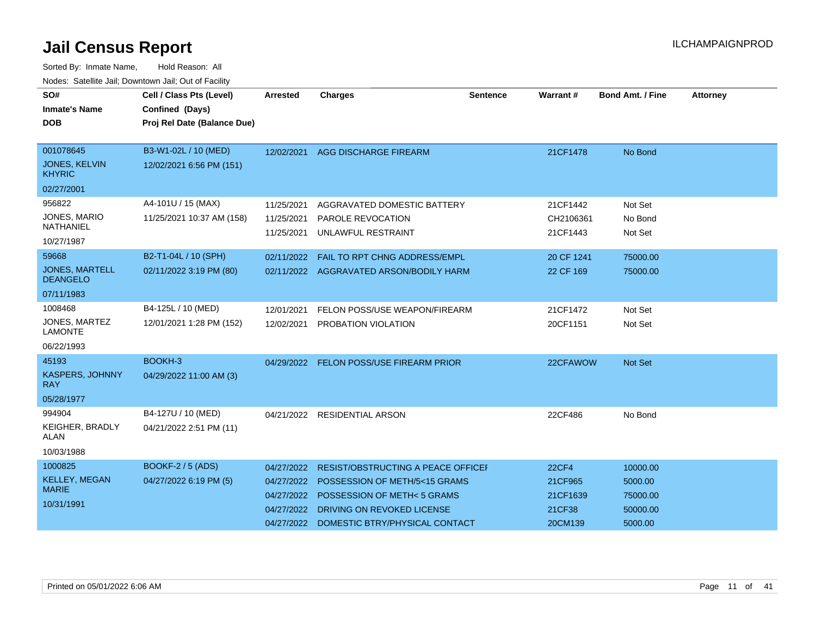| SO#<br><b>Inmate's Name</b><br><b>DOB</b>                        | Cell / Class Pts (Level)<br>Confined (Days)<br>Proj Rel Date (Balance Due) | <b>Arrested</b>                                                    | <b>Charges</b>                                                                                                                                                              | Sentence | Warrant#                                                 | <b>Bond Amt. / Fine</b>                                | <b>Attorney</b> |
|------------------------------------------------------------------|----------------------------------------------------------------------------|--------------------------------------------------------------------|-----------------------------------------------------------------------------------------------------------------------------------------------------------------------------|----------|----------------------------------------------------------|--------------------------------------------------------|-----------------|
| 001078645<br><b>JONES, KELVIN</b><br><b>KHYRIC</b><br>02/27/2001 | B3-W1-02L / 10 (MED)<br>12/02/2021 6:56 PM (151)                           | 12/02/2021                                                         | <b>AGG DISCHARGE FIREARM</b>                                                                                                                                                |          | 21CF1478                                                 | No Bond                                                |                 |
| 956822<br>JONES, MARIO<br>NATHANIEL<br>10/27/1987                | A4-101U / 15 (MAX)<br>11/25/2021 10:37 AM (158)                            | 11/25/2021<br>11/25/2021<br>11/25/2021                             | AGGRAVATED DOMESTIC BATTERY<br>PAROLE REVOCATION<br>UNLAWFUL RESTRAINT                                                                                                      |          | 21CF1442<br>CH2106361<br>21CF1443                        | Not Set<br>No Bond<br>Not Set                          |                 |
| 59668<br><b>JONES, MARTELL</b><br><b>DEANGELO</b><br>07/11/1983  | B2-T1-04L / 10 (SPH)<br>02/11/2022 3:19 PM (80)                            | 02/11/2022                                                         | <b>FAIL TO RPT CHNG ADDRESS/EMPL</b><br>02/11/2022 AGGRAVATED ARSON/BODILY HARM                                                                                             |          | 20 CF 1241<br>22 CF 169                                  | 75000.00<br>75000.00                                   |                 |
| 1008468<br>JONES, MARTEZ<br><b>LAMONTE</b><br>06/22/1993         | B4-125L / 10 (MED)<br>12/01/2021 1:28 PM (152)                             | 12/01/2021<br>12/02/2021                                           | FELON POSS/USE WEAPON/FIREARM<br>PROBATION VIOLATION                                                                                                                        |          | 21CF1472<br>20CF1151                                     | Not Set<br>Not Set                                     |                 |
| 45193<br>KASPERS, JOHNNY<br><b>RAY</b><br>05/28/1977             | BOOKH-3<br>04/29/2022 11:00 AM (3)                                         |                                                                    | 04/29/2022 FELON POSS/USE FIREARM PRIOR                                                                                                                                     |          | 22CFAWOW                                                 | Not Set                                                |                 |
| 994904<br><b>KEIGHER, BRADLY</b><br><b>ALAN</b><br>10/03/1988    | B4-127U / 10 (MED)<br>04/21/2022 2:51 PM (11)                              |                                                                    | 04/21/2022 RESIDENTIAL ARSON                                                                                                                                                |          | 22CF486                                                  | No Bond                                                |                 |
| 1000825<br><b>KELLEY, MEGAN</b><br><b>MARIE</b><br>10/31/1991    | BOOKF-2 / 5 (ADS)<br>04/27/2022 6:19 PM (5)                                | 04/27/2022<br>04/27/2022<br>04/27/2022<br>04/27/2022<br>04/27/2022 | RESIST/OBSTRUCTING A PEACE OFFICEF<br><b>POSSESSION OF METH/5&lt;15 GRAMS</b><br>POSSESSION OF METH<5 GRAMS<br>DRIVING ON REVOKED LICENSE<br>DOMESTIC BTRY/PHYSICAL CONTACT |          | <b>22CF4</b><br>21CF965<br>21CF1639<br>21CF38<br>20CM139 | 10000.00<br>5000.00<br>75000.00<br>50000.00<br>5000.00 |                 |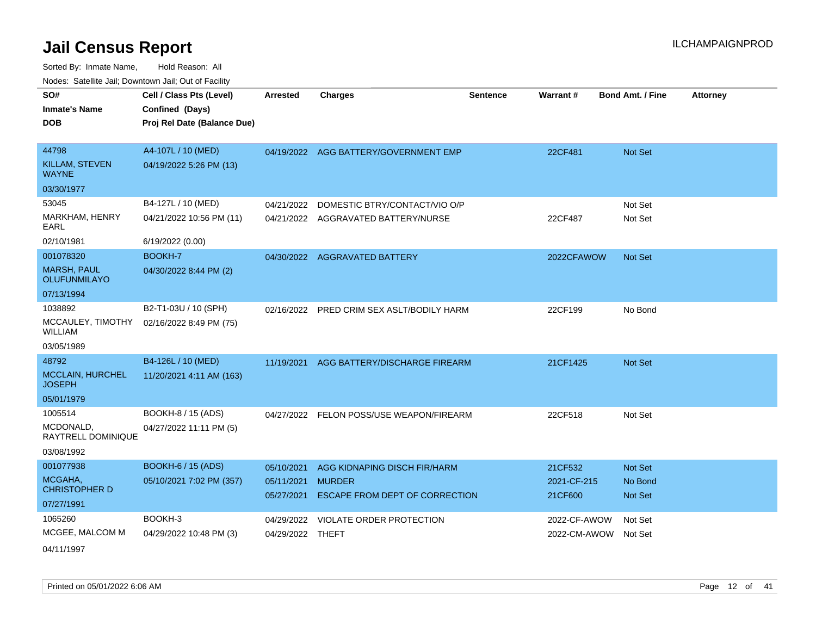Sorted By: Inmate Name, Hold Reason: All Nodes: Satellite Jail; Downtown Jail; Out of Facility

|                                           | soupois catomic can, Dominomii can, Cat or Faomt |                  |                                           |                 |              |                         |                 |
|-------------------------------------------|--------------------------------------------------|------------------|-------------------------------------------|-----------------|--------------|-------------------------|-----------------|
| SO#                                       | Cell / Class Pts (Level)                         | <b>Arrested</b>  | <b>Charges</b>                            | <b>Sentence</b> | Warrant#     | <b>Bond Amt. / Fine</b> | <b>Attorney</b> |
| <b>Inmate's Name</b>                      | Confined (Days)                                  |                  |                                           |                 |              |                         |                 |
| <b>DOB</b>                                | Proj Rel Date (Balance Due)                      |                  |                                           |                 |              |                         |                 |
|                                           |                                                  |                  |                                           |                 |              |                         |                 |
| 44798                                     | A4-107L / 10 (MED)                               |                  | 04/19/2022 AGG BATTERY/GOVERNMENT EMP     |                 | 22CF481      | Not Set                 |                 |
| KILLAM, STEVEN<br><b>WAYNE</b>            | 04/19/2022 5:26 PM (13)                          |                  |                                           |                 |              |                         |                 |
| 03/30/1977                                |                                                  |                  |                                           |                 |              |                         |                 |
| 53045                                     | B4-127L / 10 (MED)                               | 04/21/2022       | DOMESTIC BTRY/CONTACT/VIO O/P             |                 |              | Not Set                 |                 |
| MARKHAM, HENRY<br>EARL                    | 04/21/2022 10:56 PM (11)                         |                  | 04/21/2022 AGGRAVATED BATTERY/NURSE       |                 | 22CF487      | Not Set                 |                 |
| 02/10/1981                                | 6/19/2022 (0.00)                                 |                  |                                           |                 |              |                         |                 |
| 001078320                                 | BOOKH-7                                          |                  | 04/30/2022 AGGRAVATED BATTERY             |                 | 2022CFAWOW   | Not Set                 |                 |
| <b>MARSH, PAUL</b><br><b>OLUFUNMILAYO</b> | 04/30/2022 8:44 PM (2)                           |                  |                                           |                 |              |                         |                 |
| 07/13/1994                                |                                                  |                  |                                           |                 |              |                         |                 |
| 1038892                                   | B2-T1-03U / 10 (SPH)                             |                  | 02/16/2022 PRED CRIM SEX ASLT/BODILY HARM |                 | 22CF199      | No Bond                 |                 |
| MCCAULEY, TIMOTHY<br>WILLIAM              | 02/16/2022 8:49 PM (75)                          |                  |                                           |                 |              |                         |                 |
| 03/05/1989                                |                                                  |                  |                                           |                 |              |                         |                 |
| 48792                                     | B4-126L / 10 (MED)                               | 11/19/2021       | AGG BATTERY/DISCHARGE FIREARM             |                 | 21CF1425     | <b>Not Set</b>          |                 |
| <b>MCCLAIN, HURCHEL</b><br><b>JOSEPH</b>  | 11/20/2021 4:11 AM (163)                         |                  |                                           |                 |              |                         |                 |
| 05/01/1979                                |                                                  |                  |                                           |                 |              |                         |                 |
| 1005514                                   | BOOKH-8 / 15 (ADS)                               |                  | 04/27/2022 FELON POSS/USE WEAPON/FIREARM  |                 | 22CF518      | Not Set                 |                 |
| MCDONALD.<br>RAYTRELL DOMINIQUE           | 04/27/2022 11:11 PM (5)                          |                  |                                           |                 |              |                         |                 |
| 03/08/1992                                |                                                  |                  |                                           |                 |              |                         |                 |
| 001077938                                 | <b>BOOKH-6 / 15 (ADS)</b>                        | 05/10/2021       | AGG KIDNAPING DISCH FIR/HARM              |                 | 21CF532      | <b>Not Set</b>          |                 |
| MCGAHA,<br><b>CHRISTOPHER D</b>           | 05/10/2021 7:02 PM (357)                         | 05/11/2021       | <b>MURDER</b>                             |                 | 2021-CF-215  | No Bond                 |                 |
| 07/27/1991                                |                                                  | 05/27/2021       | <b>ESCAPE FROM DEPT OF CORRECTION</b>     |                 | 21CF600      | <b>Not Set</b>          |                 |
| 1065260                                   | BOOKH-3                                          |                  |                                           |                 |              |                         |                 |
|                                           |                                                  | 04/29/2022       | VIOLATE ORDER PROTECTION                  |                 | 2022-CF-AWOW | Not Set                 |                 |
| MCGEE, MALCOM M<br>0.11111000             | 04/29/2022 10:48 PM (3)                          | 04/29/2022 THEFT |                                           |                 | 2022-CM-AWOW | Not Set                 |                 |

04/11/1997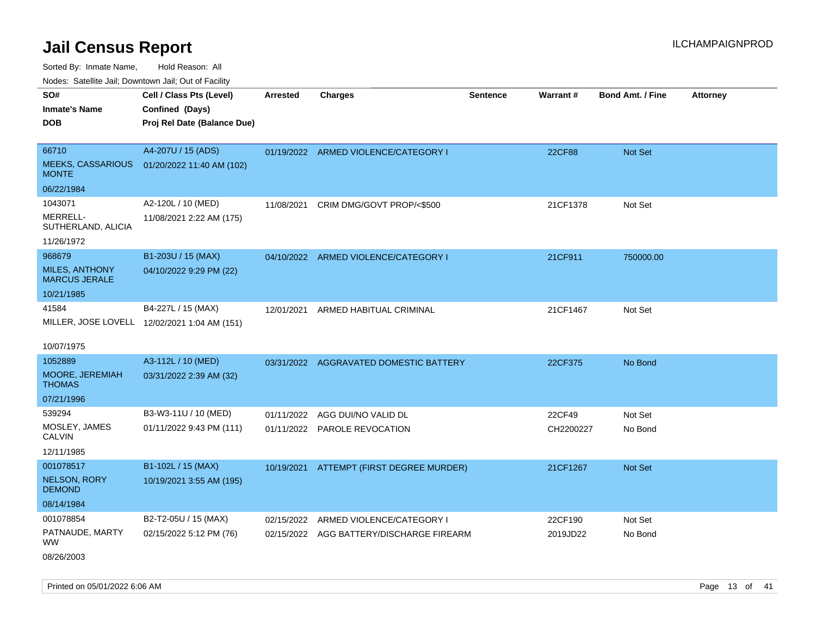Sorted By: Inmate Name, Hold Reason: All

Nodes: Satellite Jail; Downtown Jail; Out of Facility

| SO#                                      | Cell / Class Pts (Level)                     | <b>Arrested</b> | <b>Charges</b>                           | <b>Sentence</b> | Warrant#  | <b>Bond Amt. / Fine</b> | <b>Attorney</b> |
|------------------------------------------|----------------------------------------------|-----------------|------------------------------------------|-----------------|-----------|-------------------------|-----------------|
| <b>Inmate's Name</b>                     | Confined (Days)                              |                 |                                          |                 |           |                         |                 |
| <b>DOB</b>                               | Proj Rel Date (Balance Due)                  |                 |                                          |                 |           |                         |                 |
|                                          |                                              |                 |                                          |                 |           |                         |                 |
| 66710                                    | A4-207U / 15 (ADS)                           |                 | 01/19/2022 ARMED VIOLENCE/CATEGORY I     |                 | 22CF88    | Not Set                 |                 |
| <b>MEEKS, CASSARIOUS</b><br><b>MONTE</b> | 01/20/2022 11:40 AM (102)                    |                 |                                          |                 |           |                         |                 |
| 06/22/1984                               |                                              |                 |                                          |                 |           |                         |                 |
| 1043071                                  | A2-120L / 10 (MED)                           | 11/08/2021      | CRIM DMG/GOVT PROP/<\$500                |                 | 21CF1378  | Not Set                 |                 |
| MERRELL-<br>SUTHERLAND, ALICIA           | 11/08/2021 2:22 AM (175)                     |                 |                                          |                 |           |                         |                 |
| 11/26/1972                               |                                              |                 |                                          |                 |           |                         |                 |
| 968679                                   | B1-203U / 15 (MAX)                           |                 | 04/10/2022 ARMED VIOLENCE/CATEGORY I     |                 | 21CF911   | 750000.00               |                 |
| MILES, ANTHONY<br><b>MARCUS JERALE</b>   | 04/10/2022 9:29 PM (22)                      |                 |                                          |                 |           |                         |                 |
| 10/21/1985                               |                                              |                 |                                          |                 |           |                         |                 |
| 41584                                    | B4-227L / 15 (MAX)                           | 12/01/2021      | ARMED HABITUAL CRIMINAL                  |                 | 21CF1467  | Not Set                 |                 |
|                                          | MILLER, JOSE LOVELL 12/02/2021 1:04 AM (151) |                 |                                          |                 |           |                         |                 |
|                                          |                                              |                 |                                          |                 |           |                         |                 |
| 10/07/1975                               |                                              |                 |                                          |                 |           |                         |                 |
| 1052889                                  | A3-112L / 10 (MED)                           |                 | 03/31/2022 AGGRAVATED DOMESTIC BATTERY   |                 | 22CF375   | No Bond                 |                 |
| <b>MOORE, JEREMIAH</b><br><b>THOMAS</b>  | 03/31/2022 2:39 AM (32)                      |                 |                                          |                 |           |                         |                 |
| 07/21/1996                               |                                              |                 |                                          |                 |           |                         |                 |
| 539294                                   | B3-W3-11U / 10 (MED)                         | 01/11/2022      | AGG DUI/NO VALID DL                      |                 | 22CF49    | Not Set                 |                 |
| MOSLEY, JAMES<br><b>CALVIN</b>           | 01/11/2022 9:43 PM (111)                     |                 | 01/11/2022 PAROLE REVOCATION             |                 | CH2200227 | No Bond                 |                 |
| 12/11/1985                               |                                              |                 |                                          |                 |           |                         |                 |
| 001078517                                | B1-102L / 15 (MAX)                           |                 | 10/19/2021 ATTEMPT (FIRST DEGREE MURDER) |                 | 21CF1267  | <b>Not Set</b>          |                 |
| <b>NELSON, RORY</b><br><b>DEMOND</b>     | 10/19/2021 3:55 AM (195)                     |                 |                                          |                 |           |                         |                 |
| 08/14/1984                               |                                              |                 |                                          |                 |           |                         |                 |
| 001078854                                | B2-T2-05U / 15 (MAX)                         | 02/15/2022      | ARMED VIOLENCE/CATEGORY I                |                 | 22CF190   | Not Set                 |                 |
| PATNAUDE, MARTY<br>WW.                   | 02/15/2022 5:12 PM (76)                      | 02/15/2022      | AGG BATTERY/DISCHARGE FIREARM            |                 | 2019JD22  | No Bond                 |                 |
|                                          |                                              |                 |                                          |                 |           |                         |                 |

08/26/2003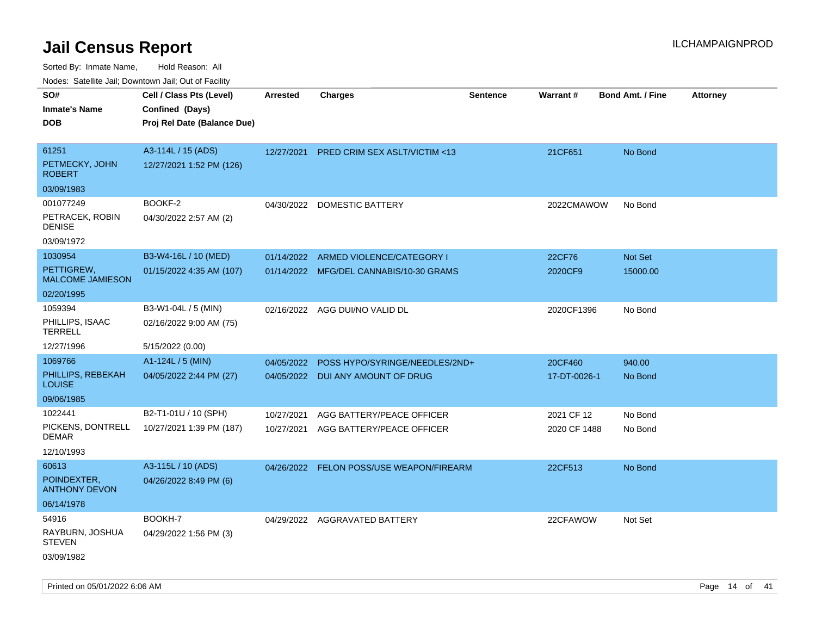| ivouss. Satellite Jali, Downtown Jali, Out of Facility |                                                                            |                 |                                          |                 |              |                         |                 |
|--------------------------------------------------------|----------------------------------------------------------------------------|-----------------|------------------------------------------|-----------------|--------------|-------------------------|-----------------|
| SO#<br>Inmate's Name<br>DOB                            | Cell / Class Pts (Level)<br>Confined (Days)<br>Proj Rel Date (Balance Due) | <b>Arrested</b> | <b>Charges</b>                           | <b>Sentence</b> | Warrant#     | <b>Bond Amt. / Fine</b> | <b>Attorney</b> |
|                                                        |                                                                            |                 |                                          |                 |              |                         |                 |
| 61251                                                  | A3-114L / 15 (ADS)                                                         | 12/27/2021      | PRED CRIM SEX ASLT/VICTIM <13            |                 | 21CF651      | No Bond                 |                 |
| PETMECKY, JOHN<br>ROBERT                               | 12/27/2021 1:52 PM (126)                                                   |                 |                                          |                 |              |                         |                 |
| 03/09/1983                                             |                                                                            |                 |                                          |                 |              |                         |                 |
| 001077249                                              | BOOKF-2                                                                    | 04/30/2022      | DOMESTIC BATTERY                         |                 | 2022CMAWOW   | No Bond                 |                 |
| PETRACEK, ROBIN<br>DENISE                              | 04/30/2022 2:57 AM (2)                                                     |                 |                                          |                 |              |                         |                 |
| 03/09/1972                                             |                                                                            |                 |                                          |                 |              |                         |                 |
| 1030954                                                | B3-W4-16L / 10 (MED)                                                       | 01/14/2022      | ARMED VIOLENCE/CATEGORY I                |                 | 22CF76       | Not Set                 |                 |
| PETTIGREW,<br><b>MALCOME JAMIESON</b>                  | 01/15/2022 4:35 AM (107)                                                   |                 | 01/14/2022 MFG/DEL CANNABIS/10-30 GRAMS  |                 | 2020CF9      | 15000.00                |                 |
| 02/20/1995                                             |                                                                            |                 |                                          |                 |              |                         |                 |
| 1059394                                                | B3-W1-04L / 5 (MIN)                                                        |                 | 02/16/2022 AGG DUI/NO VALID DL           |                 | 2020CF1396   | No Bond                 |                 |
| PHILLIPS, ISAAC<br>TERRELL                             | 02/16/2022 9:00 AM (75)                                                    |                 |                                          |                 |              |                         |                 |
| 12/27/1996                                             | 5/15/2022 (0.00)                                                           |                 |                                          |                 |              |                         |                 |
| 1069766                                                | A1-124L / 5 (MIN)                                                          | 04/05/2022      | POSS HYPO/SYRINGE/NEEDLES/2ND+           |                 | 20CF460      | 940.00                  |                 |
| PHILLIPS, REBEKAH<br>LOUISE                            | 04/05/2022 2:44 PM (27)                                                    |                 | 04/05/2022 DUI ANY AMOUNT OF DRUG        |                 | 17-DT-0026-1 | No Bond                 |                 |
| 09/06/1985                                             |                                                                            |                 |                                          |                 |              |                         |                 |
| 1022441                                                | B2-T1-01U / 10 (SPH)                                                       | 10/27/2021      | AGG BATTERY/PEACE OFFICER                |                 | 2021 CF 12   | No Bond                 |                 |
| PICKENS, DONTRELL<br>DEMAR                             | 10/27/2021 1:39 PM (187)                                                   | 10/27/2021      | AGG BATTERY/PEACE OFFICER                |                 | 2020 CF 1488 | No Bond                 |                 |
| 12/10/1993                                             |                                                                            |                 |                                          |                 |              |                         |                 |
| 60613                                                  | A3-115L / 10 (ADS)                                                         |                 | 04/26/2022 FELON POSS/USE WEAPON/FIREARM |                 | 22CF513      | No Bond                 |                 |
| POINDEXTER,<br><b>ANTHONY DEVON</b>                    | 04/26/2022 8:49 PM (6)                                                     |                 |                                          |                 |              |                         |                 |
| 06/14/1978                                             |                                                                            |                 |                                          |                 |              |                         |                 |
| 54916                                                  | BOOKH-7                                                                    |                 | 04/29/2022 AGGRAVATED BATTERY            |                 | 22CFAWOW     | Not Set                 |                 |
| RAYBURN, JOSHUA<br><b>STEVEN</b>                       | 04/29/2022 1:56 PM (3)                                                     |                 |                                          |                 |              |                         |                 |
| 03/09/1982                                             |                                                                            |                 |                                          |                 |              |                         |                 |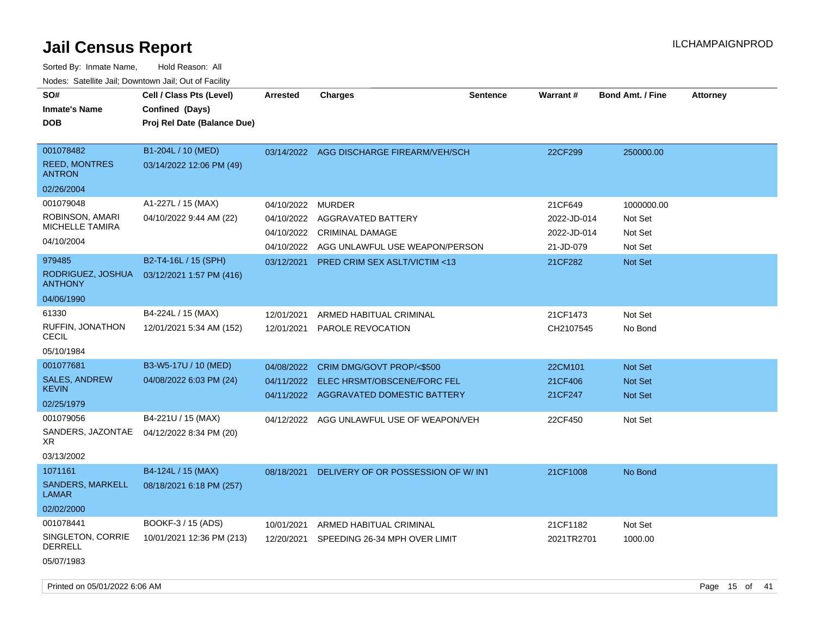| SO#<br><b>Inmate's Name</b><br>DOB                 | Cell / Class Pts (Level)<br>Confined (Days)<br>Proj Rel Date (Balance Due) | <b>Arrested</b>          | <b>Charges</b>                                                        | <b>Sentence</b> | Warrant#                   | <b>Bond Amt. / Fine</b> | <b>Attorney</b> |
|----------------------------------------------------|----------------------------------------------------------------------------|--------------------------|-----------------------------------------------------------------------|-----------------|----------------------------|-------------------------|-----------------|
| 001078482<br><b>REED, MONTRES</b><br><b>ANTRON</b> | B1-204L / 10 (MED)<br>03/14/2022 12:06 PM (49)                             |                          | 03/14/2022 AGG DISCHARGE FIREARM/VEH/SCH                              |                 | 22CF299                    | 250000.00               |                 |
| 02/26/2004                                         |                                                                            |                          |                                                                       |                 |                            |                         |                 |
| 001079048                                          | A1-227L / 15 (MAX)                                                         | 04/10/2022               | <b>MURDER</b>                                                         |                 | 21CF649                    | 1000000.00              |                 |
| ROBINSON, AMARI<br>MICHELLE TAMIRA                 | 04/10/2022 9:44 AM (22)                                                    | 04/10/2022<br>04/10/2022 | AGGRAVATED BATTERY<br><b>CRIMINAL DAMAGE</b>                          |                 | 2022-JD-014<br>2022-JD-014 | Not Set<br>Not Set      |                 |
| 04/10/2004                                         |                                                                            | 04/10/2022               | AGG UNLAWFUL USE WEAPON/PERSON                                        |                 | 21-JD-079                  | Not Set                 |                 |
| 979485<br>RODRIGUEZ, JOSHUA<br><b>ANTHONY</b>      | B2-T4-16L / 15 (SPH)<br>03/12/2021 1:57 PM (416)                           | 03/12/2021               | <b>PRED CRIM SEX ASLT/VICTIM &lt;13</b>                               |                 | 21CF282                    | <b>Not Set</b>          |                 |
| 04/06/1990                                         |                                                                            |                          |                                                                       |                 |                            |                         |                 |
| 61330<br>RUFFIN, JONATHON<br><b>CECIL</b>          | B4-224L / 15 (MAX)<br>12/01/2021 5:34 AM (152)                             | 12/01/2021<br>12/01/2021 | ARMED HABITUAL CRIMINAL<br>PAROLE REVOCATION                          |                 | 21CF1473<br>CH2107545      | Not Set<br>No Bond      |                 |
| 05/10/1984                                         |                                                                            |                          |                                                                       |                 |                            |                         |                 |
| 001077681                                          | B3-W5-17U / 10 (MED)                                                       | 04/08/2022               | CRIM DMG/GOVT PROP/<\$500                                             |                 | 22CM101                    | <b>Not Set</b>          |                 |
| <b>SALES, ANDREW</b><br>KEVIN                      | 04/08/2022 6:03 PM (24)                                                    | 04/11/2022               | ELEC HRSMT/OBSCENE/FORC FEL<br>04/11/2022 AGGRAVATED DOMESTIC BATTERY |                 | 21CF406<br>21CF247         | Not Set<br>Not Set      |                 |
| 02/25/1979                                         |                                                                            |                          |                                                                       |                 |                            |                         |                 |
| 001079056<br>SANDERS, JAZONTAE<br>XR               | B4-221U / 15 (MAX)<br>04/12/2022 8:34 PM (20)                              | 04/12/2022               | AGG UNLAWFUL USE OF WEAPON/VEH                                        |                 | 22CF450                    | Not Set                 |                 |
| 03/13/2002                                         |                                                                            |                          |                                                                       |                 |                            |                         |                 |
| 1071161                                            | B4-124L / 15 (MAX)                                                         | 08/18/2021               | DELIVERY OF OR POSSESSION OF W/INT                                    |                 | 21CF1008                   | No Bond                 |                 |
| <b>SANDERS, MARKELL</b><br>LAMAR                   | 08/18/2021 6:18 PM (257)                                                   |                          |                                                                       |                 |                            |                         |                 |
| 02/02/2000                                         |                                                                            |                          |                                                                       |                 |                            |                         |                 |
| 001078441                                          | BOOKF-3 / 15 (ADS)                                                         | 10/01/2021               | ARMED HABITUAL CRIMINAL                                               |                 | 21CF1182                   | Not Set                 |                 |
| SINGLETON, CORRIE<br>DERRELL                       | 10/01/2021 12:36 PM (213)                                                  | 12/20/2021               | SPEEDING 26-34 MPH OVER LIMIT                                         |                 | 2021TR2701                 | 1000.00                 |                 |
| 05/07/1983                                         |                                                                            |                          |                                                                       |                 |                            |                         |                 |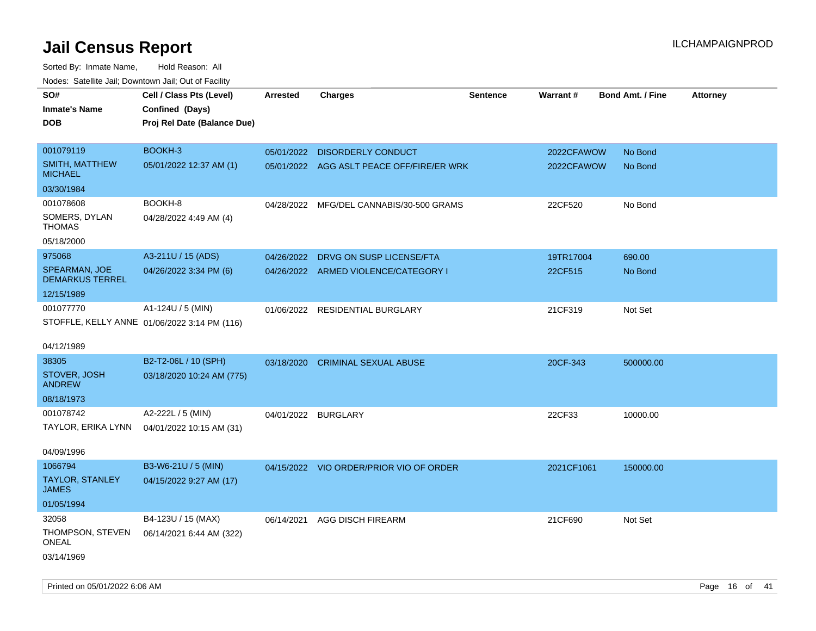Sorted By: Inmate Name, Hold Reason: All Nodes: Satellite Jail; Downtown Jail; Out of Facility

| roacs. Calcinic Jan, Downtown Jan, Out of Facility |                                              |                     |                                           |                 |            |                         |                 |
|----------------------------------------------------|----------------------------------------------|---------------------|-------------------------------------------|-----------------|------------|-------------------------|-----------------|
| SO#                                                | Cell / Class Pts (Level)                     | <b>Arrested</b>     | <b>Charges</b>                            | <b>Sentence</b> | Warrant#   | <b>Bond Amt. / Fine</b> | <b>Attorney</b> |
| <b>Inmate's Name</b>                               | Confined (Days)                              |                     |                                           |                 |            |                         |                 |
| <b>DOB</b>                                         | Proj Rel Date (Balance Due)                  |                     |                                           |                 |            |                         |                 |
|                                                    |                                              |                     |                                           |                 |            |                         |                 |
| 001079119                                          | BOOKH-3                                      |                     | 05/01/2022 DISORDERLY CONDUCT             |                 | 2022CFAWOW | No Bond                 |                 |
| <b>SMITH, MATTHEW</b><br><b>MICHAEL</b>            | 05/01/2022 12:37 AM (1)                      |                     | 05/01/2022 AGG ASLT PEACE OFF/FIRE/ER WRK |                 | 2022CFAWOW | No Bond                 |                 |
| 03/30/1984                                         |                                              |                     |                                           |                 |            |                         |                 |
| 001078608                                          | BOOKH-8                                      |                     | 04/28/2022 MFG/DEL CANNABIS/30-500 GRAMS  |                 | 22CF520    | No Bond                 |                 |
| SOMERS, DYLAN<br><b>THOMAS</b>                     | 04/28/2022 4:49 AM (4)                       |                     |                                           |                 |            |                         |                 |
| 05/18/2000                                         |                                              |                     |                                           |                 |            |                         |                 |
| 975068                                             | A3-211U / 15 (ADS)                           |                     | 04/26/2022 DRVG ON SUSP LICENSE/FTA       |                 | 19TR17004  | 690.00                  |                 |
| SPEARMAN, JOE<br><b>DEMARKUS TERREL</b>            | 04/26/2022 3:34 PM (6)                       |                     | 04/26/2022 ARMED VIOLENCE/CATEGORY I      |                 | 22CF515    | No Bond                 |                 |
| 12/15/1989                                         |                                              |                     |                                           |                 |            |                         |                 |
| 001077770                                          | A1-124U / 5 (MIN)                            |                     | 01/06/2022 RESIDENTIAL BURGLARY           |                 | 21CF319    | Not Set                 |                 |
|                                                    | STOFFLE, KELLY ANNE 01/06/2022 3:14 PM (116) |                     |                                           |                 |            |                         |                 |
| 04/12/1989                                         |                                              |                     |                                           |                 |            |                         |                 |
| 38305                                              | B2-T2-06L / 10 (SPH)                         | 03/18/2020          | <b>CRIMINAL SEXUAL ABUSE</b>              |                 | 20CF-343   | 500000.00               |                 |
| STOVER, JOSH<br><b>ANDREW</b>                      | 03/18/2020 10:24 AM (775)                    |                     |                                           |                 |            |                         |                 |
| 08/18/1973                                         |                                              |                     |                                           |                 |            |                         |                 |
| 001078742                                          | A2-222L / 5 (MIN)                            | 04/01/2022 BURGLARY |                                           |                 | 22CF33     | 10000.00                |                 |
| TAYLOR, ERIKA LYNN                                 | 04/01/2022 10:15 AM (31)                     |                     |                                           |                 |            |                         |                 |
|                                                    |                                              |                     |                                           |                 |            |                         |                 |
| 04/09/1996                                         |                                              |                     |                                           |                 |            |                         |                 |
| 1066794                                            | B3-W6-21U / 5 (MIN)                          |                     | 04/15/2022 VIO ORDER/PRIOR VIO OF ORDER   |                 | 2021CF1061 | 150000.00               |                 |
| <b>TAYLOR, STANLEY</b><br><b>JAMES</b>             | 04/15/2022 9:27 AM (17)                      |                     |                                           |                 |            |                         |                 |
| 01/05/1994                                         |                                              |                     |                                           |                 |            |                         |                 |
| 32058                                              | B4-123U / 15 (MAX)                           | 06/14/2021          | AGG DISCH FIREARM                         |                 | 21CF690    | Not Set                 |                 |
| THOMPSON, STEVEN<br><b>ONEAL</b>                   | 06/14/2021 6:44 AM (322)                     |                     |                                           |                 |            |                         |                 |
| 03/14/1969                                         |                                              |                     |                                           |                 |            |                         |                 |

Printed on 05/01/2022 6:06 AM Page 16 of 41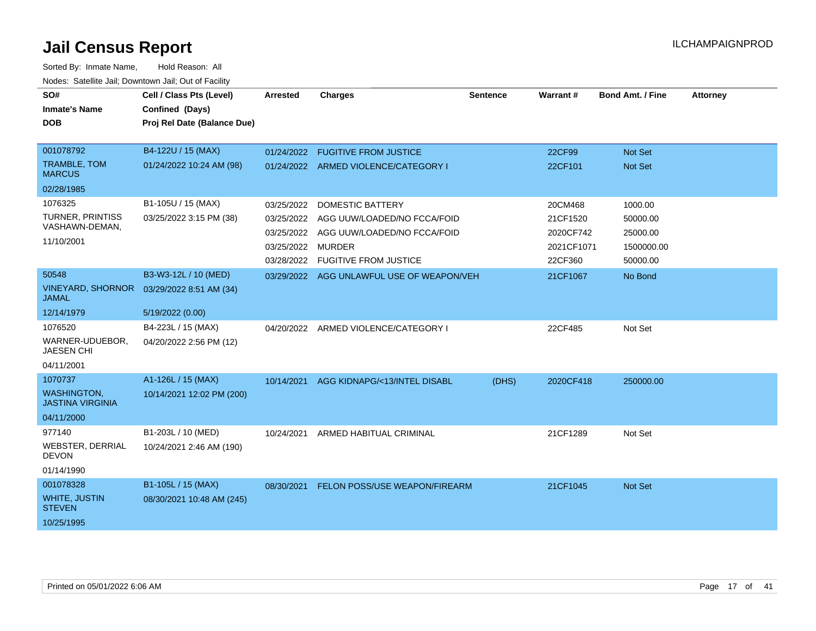| SO#<br><b>Inmate's Name</b><br><b>DOB</b>                                        | Cell / Class Pts (Level)<br>Confined (Days)<br>Proj Rel Date (Balance Due) | <b>Arrested</b>                                                           | <b>Charges</b>                                                                                                        | <b>Sentence</b> | Warrant#                                                  | <b>Bond Amt. / Fine</b>                                   | <b>Attorney</b> |
|----------------------------------------------------------------------------------|----------------------------------------------------------------------------|---------------------------------------------------------------------------|-----------------------------------------------------------------------------------------------------------------------|-----------------|-----------------------------------------------------------|-----------------------------------------------------------|-----------------|
| 001078792<br>TRAMBLE, TOM<br><b>MARCUS</b>                                       | B4-122U / 15 (MAX)<br>01/24/2022 10:24 AM (98)                             | 01/24/2022                                                                | <b>FUGITIVE FROM JUSTICE</b><br>01/24/2022 ARMED VIOLENCE/CATEGORY I                                                  |                 | 22CF99<br>22CF101                                         | <b>Not Set</b><br>Not Set                                 |                 |
| 02/28/1985<br>1076325<br><b>TURNER, PRINTISS</b><br>VASHAWN-DEMAN,<br>11/10/2001 | B1-105U / 15 (MAX)<br>03/25/2022 3:15 PM (38)                              | 03/25/2022<br>03/25/2022<br>03/25/2022<br>03/25/2022 MURDER<br>03/28/2022 | <b>DOMESTIC BATTERY</b><br>AGG UUW/LOADED/NO FCCA/FOID<br>AGG UUW/LOADED/NO FCCA/FOID<br><b>FUGITIVE FROM JUSTICE</b> |                 | 20CM468<br>21CF1520<br>2020CF742<br>2021CF1071<br>22CF360 | 1000.00<br>50000.00<br>25000.00<br>1500000.00<br>50000.00 |                 |
| 50548<br><b>VINEYARD, SHORNOR</b><br><b>JAMAL</b><br>12/14/1979                  | B3-W3-12L / 10 (MED)<br>03/29/2022 8:51 AM (34)<br>5/19/2022 (0.00)        |                                                                           | 03/29/2022 AGG UNLAWFUL USE OF WEAPON/VEH                                                                             |                 | 21CF1067                                                  | No Bond                                                   |                 |
| 1076520<br>WARNER-UDUEBOR,<br><b>JAESEN CHI</b><br>04/11/2001                    | B4-223L / 15 (MAX)<br>04/20/2022 2:56 PM (12)                              |                                                                           | 04/20/2022 ARMED VIOLENCE/CATEGORY I                                                                                  |                 | 22CF485                                                   | Not Set                                                   |                 |
| 1070737<br><b>WASHINGTON,</b><br><b>JASTINA VIRGINIA</b><br>04/11/2000           | A1-126L / 15 (MAX)<br>10/14/2021 12:02 PM (200)                            |                                                                           | 10/14/2021 AGG KIDNAPG/<13/INTEL DISABL                                                                               | (DHS)           | 2020CF418                                                 | 250000.00                                                 |                 |
| 977140<br><b>WEBSTER, DERRIAL</b><br><b>DEVON</b><br>01/14/1990                  | B1-203L / 10 (MED)<br>10/24/2021 2:46 AM (190)                             | 10/24/2021                                                                | ARMED HABITUAL CRIMINAL                                                                                               |                 | 21CF1289                                                  | Not Set                                                   |                 |
| 001078328<br><b>WHITE, JUSTIN</b><br><b>STEVEN</b><br>10/25/1995                 | B1-105L / 15 (MAX)<br>08/30/2021 10:48 AM (245)                            | 08/30/2021                                                                | FELON POSS/USE WEAPON/FIREARM                                                                                         |                 | 21CF1045                                                  | <b>Not Set</b>                                            |                 |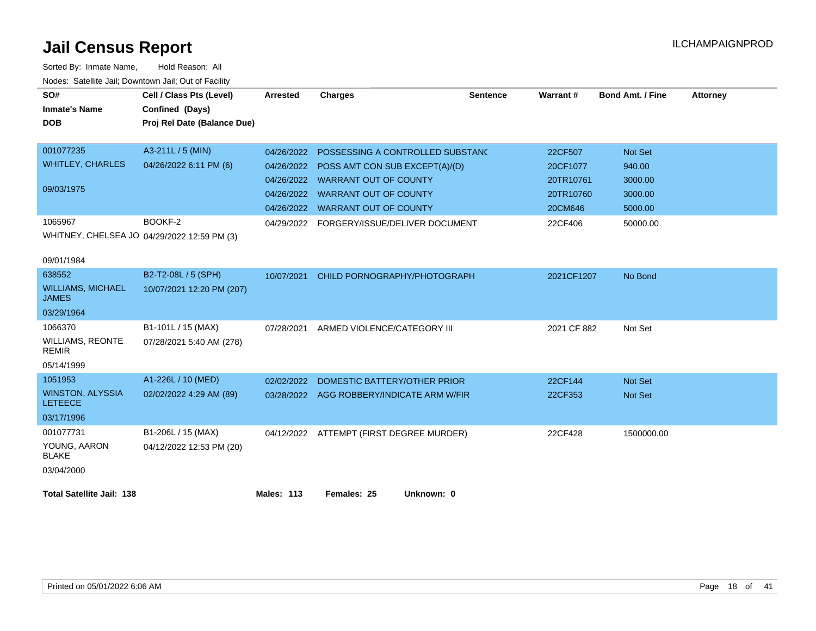| SO#                                       | Cell / Class Pts (Level)                    | <b>Arrested</b>   | <b>Charges</b>                            | <b>Sentence</b> | Warrant#    | <b>Bond Amt. / Fine</b> | <b>Attorney</b> |
|-------------------------------------------|---------------------------------------------|-------------------|-------------------------------------------|-----------------|-------------|-------------------------|-----------------|
| <b>Inmate's Name</b>                      | Confined (Days)                             |                   |                                           |                 |             |                         |                 |
| <b>DOB</b>                                | Proj Rel Date (Balance Due)                 |                   |                                           |                 |             |                         |                 |
|                                           |                                             |                   |                                           |                 |             |                         |                 |
| 001077235                                 | A3-211L / 5 (MIN)                           | 04/26/2022        | POSSESSING A CONTROLLED SUBSTANC          |                 | 22CF507     | <b>Not Set</b>          |                 |
| <b>WHITLEY, CHARLES</b>                   | 04/26/2022 6:11 PM (6)                      | 04/26/2022        | POSS AMT CON SUB EXCEPT(A)/(D)            |                 | 20CF1077    | 940.00                  |                 |
|                                           |                                             | 04/26/2022        | <b>WARRANT OUT OF COUNTY</b>              |                 | 20TR10761   | 3000.00                 |                 |
| 09/03/1975                                |                                             | 04/26/2022        | <b>WARRANT OUT OF COUNTY</b>              |                 | 20TR10760   | 3000.00                 |                 |
|                                           |                                             | 04/26/2022        | <b>WARRANT OUT OF COUNTY</b>              |                 | 20CM646     | 5000.00                 |                 |
| 1065967                                   | BOOKF-2                                     |                   | 04/29/2022 FORGERY/ISSUE/DELIVER DOCUMENT |                 | 22CF406     | 50000.00                |                 |
|                                           | WHITNEY, CHELSEA JO 04/29/2022 12:59 PM (3) |                   |                                           |                 |             |                         |                 |
|                                           |                                             |                   |                                           |                 |             |                         |                 |
| 09/01/1984                                |                                             |                   |                                           |                 |             |                         |                 |
| 638552                                    | B2-T2-08L / 5 (SPH)                         | 10/07/2021        | CHILD PORNOGRAPHY/PHOTOGRAPH              |                 | 2021CF1207  | No Bond                 |                 |
| <b>WILLIAMS, MICHAEL</b><br><b>JAMES</b>  | 10/07/2021 12:20 PM (207)                   |                   |                                           |                 |             |                         |                 |
| 03/29/1964                                |                                             |                   |                                           |                 |             |                         |                 |
| 1066370                                   | B1-101L / 15 (MAX)                          | 07/28/2021        | ARMED VIOLENCE/CATEGORY III               |                 | 2021 CF 882 | Not Set                 |                 |
| <b>WILLIAMS, REONTE</b><br><b>REMIR</b>   | 07/28/2021 5:40 AM (278)                    |                   |                                           |                 |             |                         |                 |
| 05/14/1999                                |                                             |                   |                                           |                 |             |                         |                 |
| 1051953                                   | A1-226L / 10 (MED)                          | 02/02/2022        | DOMESTIC BATTERY/OTHER PRIOR              |                 | 22CF144     | <b>Not Set</b>          |                 |
| <b>WINSTON, ALYSSIA</b><br><b>LETEECE</b> | 02/02/2022 4:29 AM (89)                     |                   | 03/28/2022 AGG ROBBERY/INDICATE ARM W/FIR |                 | 22CF353     | <b>Not Set</b>          |                 |
| 03/17/1996                                |                                             |                   |                                           |                 |             |                         |                 |
| 001077731                                 | B1-206L / 15 (MAX)                          |                   | 04/12/2022 ATTEMPT (FIRST DEGREE MURDER)  |                 | 22CF428     | 1500000.00              |                 |
| YOUNG, AARON<br><b>BLAKE</b>              | 04/12/2022 12:53 PM (20)                    |                   |                                           |                 |             |                         |                 |
| 03/04/2000                                |                                             |                   |                                           |                 |             |                         |                 |
|                                           |                                             |                   |                                           |                 |             |                         |                 |
| <b>Total Satellite Jail: 138</b>          |                                             | <b>Males: 113</b> | Females: 25<br>Unknown: 0                 |                 |             |                         |                 |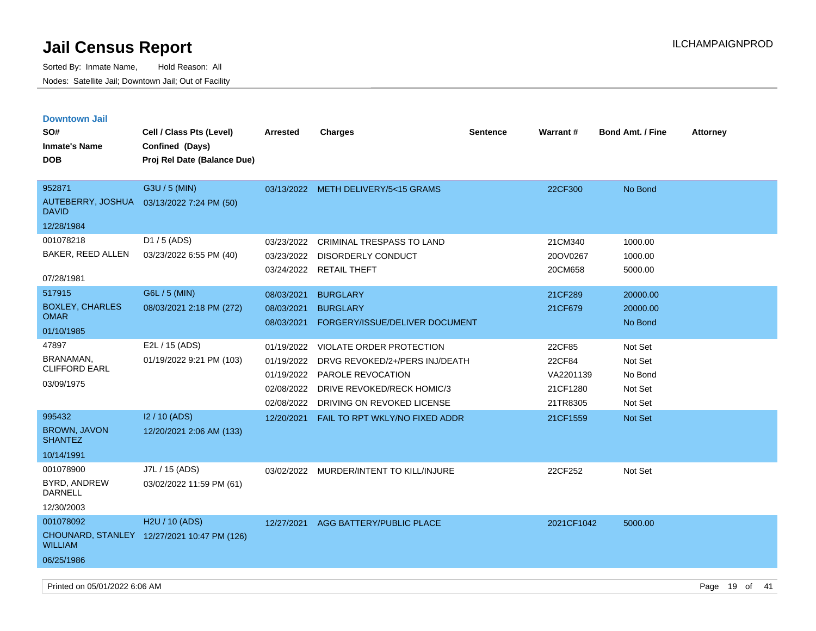| <b>Downtown Jail</b><br>SO#<br><b>Inmate's Name</b><br><b>DOB</b> | Cell / Class Pts (Level)<br>Confined (Days)<br>Proj Rel Date (Balance Due) | <b>Arrested</b>                                                    | <b>Charges</b>                                                                                                                              | <b>Sentence</b> | <b>Warrant#</b>                                       | <b>Bond Amt. / Fine</b>                             | <b>Attorney</b> |
|-------------------------------------------------------------------|----------------------------------------------------------------------------|--------------------------------------------------------------------|---------------------------------------------------------------------------------------------------------------------------------------------|-----------------|-------------------------------------------------------|-----------------------------------------------------|-----------------|
| 952871<br>AUTEBERRY, JOSHUA<br><b>DAVID</b><br>12/28/1984         | G3U / 5 (MIN)<br>03/13/2022 7:24 PM (50)                                   |                                                                    | 03/13/2022 METH DELIVERY/5<15 GRAMS                                                                                                         |                 | 22CF300                                               | No Bond                                             |                 |
| 001078218<br>BAKER, REED ALLEN<br>07/28/1981                      | D1 / 5 (ADS)<br>03/23/2022 6:55 PM (40)                                    | 03/23/2022<br>03/23/2022<br>03/24/2022                             | <b>CRIMINAL TRESPASS TO LAND</b><br><b>DISORDERLY CONDUCT</b><br><b>RETAIL THEFT</b>                                                        |                 | 21CM340<br>20OV0267<br>20CM658                        | 1000.00<br>1000.00<br>5000.00                       |                 |
| 517915<br><b>BOXLEY, CHARLES</b><br><b>OMAR</b><br>01/10/1985     | G6L / 5 (MIN)<br>08/03/2021 2:18 PM (272)                                  | 08/03/2021<br>08/03/2021<br>08/03/2021                             | <b>BURGLARY</b><br><b>BURGLARY</b><br>FORGERY/ISSUE/DELIVER DOCUMENT                                                                        |                 | 21CF289<br>21CF679                                    | 20000.00<br>20000.00<br>No Bond                     |                 |
| 47897<br>BRANAMAN,<br><b>CLIFFORD EARL</b><br>03/09/1975          | E2L / 15 (ADS)<br>01/19/2022 9:21 PM (103)                                 | 01/19/2022<br>01/19/2022<br>01/19/2022<br>02/08/2022<br>02/08/2022 | VIOLATE ORDER PROTECTION<br>DRVG REVOKED/2+/PERS INJ/DEATH<br>PAROLE REVOCATION<br>DRIVE REVOKED/RECK HOMIC/3<br>DRIVING ON REVOKED LICENSE |                 | 22CF85<br>22CF84<br>VA2201139<br>21CF1280<br>21TR8305 | Not Set<br>Not Set<br>No Bond<br>Not Set<br>Not Set |                 |
| 995432<br><b>BROWN, JAVON</b><br><b>SHANTEZ</b><br>10/14/1991     | I2 / 10 (ADS)<br>12/20/2021 2:06 AM (133)                                  | 12/20/2021                                                         | FAIL TO RPT WKLY/NO FIXED ADDR                                                                                                              |                 | 21CF1559                                              | <b>Not Set</b>                                      |                 |
| 001078900<br>BYRD, ANDREW<br>DARNELL<br>12/30/2003                | J7L / 15 (ADS)<br>03/02/2022 11:59 PM (61)                                 |                                                                    | 03/02/2022 MURDER/INTENT TO KILL/INJURE                                                                                                     |                 | 22CF252                                               | Not Set                                             |                 |
| 001078092<br><b>WILLIAM</b><br>06/25/1986                         | H <sub>2</sub> U / 10 (ADS)<br>CHOUNARD, STANLEY 12/27/2021 10:47 PM (126) | 12/27/2021                                                         | AGG BATTERY/PUBLIC PLACE                                                                                                                    |                 | 2021CF1042                                            | 5000.00                                             |                 |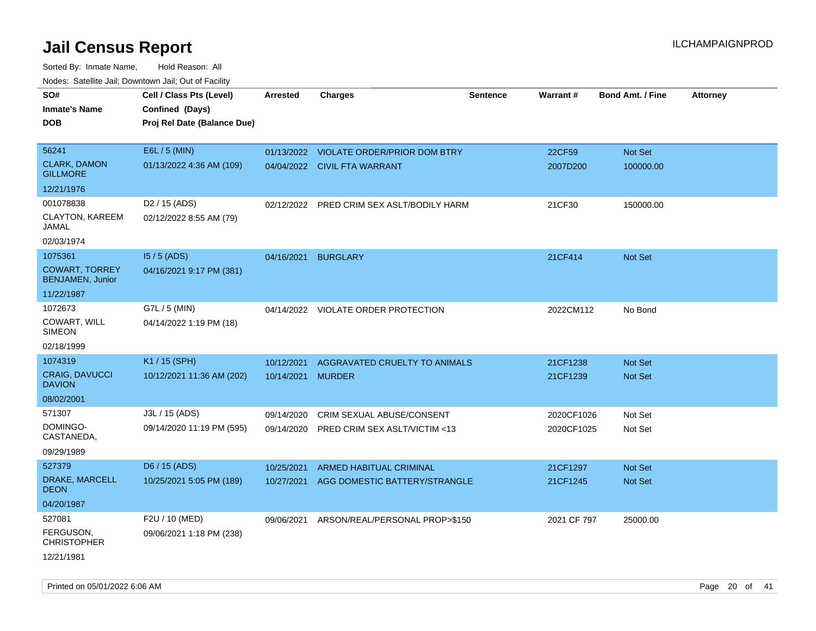Sorted By: Inmate Name, Hold Reason: All Nodes: Satellite Jail; Downtown Jail; Out of Facility

| SO#                                              | Cell / Class Pts (Level)    | <b>Arrested</b>   | <b>Charges</b>                          | <b>Sentence</b> | Warrant#    | <b>Bond Amt. / Fine</b> | <b>Attorney</b> |
|--------------------------------------------------|-----------------------------|-------------------|-----------------------------------------|-----------------|-------------|-------------------------|-----------------|
| <b>Inmate's Name</b>                             | Confined (Days)             |                   |                                         |                 |             |                         |                 |
| <b>DOB</b>                                       | Proj Rel Date (Balance Due) |                   |                                         |                 |             |                         |                 |
|                                                  |                             |                   |                                         |                 |             |                         |                 |
| 56241                                            | E6L / 5 (MIN)               |                   | 01/13/2022 VIOLATE ORDER/PRIOR DOM BTRY |                 | 22CF59      | Not Set                 |                 |
| <b>CLARK, DAMON</b>                              | 01/13/2022 4:36 AM (109)    |                   |                                         |                 |             |                         |                 |
| <b>GILLMORE</b>                                  |                             |                   | 04/04/2022 CIVIL FTA WARRANT            |                 | 2007D200    | 100000.00               |                 |
| 12/21/1976                                       |                             |                   |                                         |                 |             |                         |                 |
| 001078838                                        | D <sub>2</sub> / 15 (ADS)   | 02/12/2022        | PRED CRIM SEX ASLT/BODILY HARM          |                 | 21CF30      | 150000.00               |                 |
| CLAYTON, KAREEM<br>JAMAL                         | 02/12/2022 8:55 AM (79)     |                   |                                         |                 |             |                         |                 |
| 02/03/1974                                       |                             |                   |                                         |                 |             |                         |                 |
| 1075361                                          | $15/5$ (ADS)                | 04/16/2021        | <b>BURGLARY</b>                         |                 | 21CF414     | <b>Not Set</b>          |                 |
| <b>COWART, TORREY</b><br><b>BENJAMEN, Junior</b> | 04/16/2021 9:17 PM (381)    |                   |                                         |                 |             |                         |                 |
| 11/22/1987                                       |                             |                   |                                         |                 |             |                         |                 |
| 1072673                                          | G7L / 5 (MIN)               |                   | 04/14/2022 VIOLATE ORDER PROTECTION     |                 | 2022CM112   | No Bond                 |                 |
| COWART, WILL<br><b>SIMEON</b>                    | 04/14/2022 1:19 PM (18)     |                   |                                         |                 |             |                         |                 |
| 02/18/1999                                       |                             |                   |                                         |                 |             |                         |                 |
| 1074319                                          | K1 / 15 (SPH)               | 10/12/2021        | AGGRAVATED CRUELTY TO ANIMALS           |                 | 21CF1238    | <b>Not Set</b>          |                 |
| <b>CRAIG, DAVUCCI</b><br><b>DAVION</b>           | 10/12/2021 11:36 AM (202)   | 10/14/2021 MURDER |                                         |                 | 21CF1239    | Not Set                 |                 |
| 08/02/2001                                       |                             |                   |                                         |                 |             |                         |                 |
| 571307                                           | J3L / 15 (ADS)              | 09/14/2020        | CRIM SEXUAL ABUSE/CONSENT               |                 | 2020CF1026  | Not Set                 |                 |
| DOMINGO-<br>CASTANEDA,                           | 09/14/2020 11:19 PM (595)   | 09/14/2020        | PRED CRIM SEX ASLT/VICTIM <13           |                 | 2020CF1025  | Not Set                 |                 |
| 09/29/1989                                       |                             |                   |                                         |                 |             |                         |                 |
| 527379                                           | D6 / 15 (ADS)               | 10/25/2021        | ARMED HABITUAL CRIMINAL                 |                 | 21CF1297    | Not Set                 |                 |
| DRAKE, MARCELL<br><b>DEON</b>                    | 10/25/2021 5:05 PM (189)    | 10/27/2021        | AGG DOMESTIC BATTERY/STRANGLE           |                 | 21CF1245    | Not Set                 |                 |
| 04/20/1987                                       |                             |                   |                                         |                 |             |                         |                 |
| 527081                                           | F2U / 10 (MED)              | 09/06/2021        | ARSON/REAL/PERSONAL PROP>\$150          |                 | 2021 CF 797 | 25000.00                |                 |
| FERGUSON,<br><b>CHRISTOPHER</b>                  | 09/06/2021 1:18 PM (238)    |                   |                                         |                 |             |                         |                 |
| 12/21/1981                                       |                             |                   |                                         |                 |             |                         |                 |

Printed on 05/01/2022 6:06 AM Page 20 of 41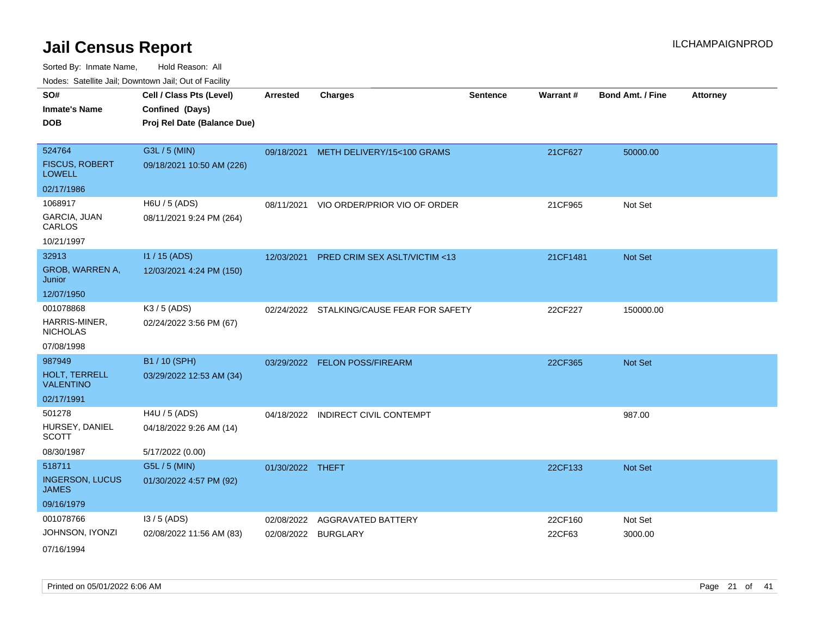| roaco. Odichile Jan, Downtown Jan, Out of Facility |                             |                     |                                           |                 |          |                         |                 |
|----------------------------------------------------|-----------------------------|---------------------|-------------------------------------------|-----------------|----------|-------------------------|-----------------|
| SO#                                                | Cell / Class Pts (Level)    | <b>Arrested</b>     | <b>Charges</b>                            | <b>Sentence</b> | Warrant# | <b>Bond Amt. / Fine</b> | <b>Attorney</b> |
| <b>Inmate's Name</b>                               | Confined (Days)             |                     |                                           |                 |          |                         |                 |
| <b>DOB</b>                                         | Proj Rel Date (Balance Due) |                     |                                           |                 |          |                         |                 |
|                                                    |                             |                     |                                           |                 |          |                         |                 |
| 524764                                             | G3L / 5 (MIN)               |                     | 09/18/2021 METH DELIVERY/15<100 GRAMS     |                 | 21CF627  | 50000.00                |                 |
| <b>FISCUS, ROBERT</b><br><b>LOWELL</b>             | 09/18/2021 10:50 AM (226)   |                     |                                           |                 |          |                         |                 |
| 02/17/1986                                         |                             |                     |                                           |                 |          |                         |                 |
| 1068917                                            | H6U / 5 (ADS)               |                     | 08/11/2021 VIO ORDER/PRIOR VIO OF ORDER   |                 | 21CF965  | Not Set                 |                 |
| GARCIA, JUAN<br>CARLOS                             | 08/11/2021 9:24 PM (264)    |                     |                                           |                 |          |                         |                 |
| 10/21/1997                                         |                             |                     |                                           |                 |          |                         |                 |
| 32913                                              | I1 / 15 (ADS)               | 12/03/2021          | <b>PRED CRIM SEX ASLT/VICTIM &lt;13</b>   |                 | 21CF1481 | Not Set                 |                 |
| GROB, WARREN A,<br>Junior                          | 12/03/2021 4:24 PM (150)    |                     |                                           |                 |          |                         |                 |
| 12/07/1950                                         |                             |                     |                                           |                 |          |                         |                 |
| 001078868                                          | K3 / 5 (ADS)                |                     | 02/24/2022 STALKING/CAUSE FEAR FOR SAFETY |                 | 22CF227  | 150000.00               |                 |
| HARRIS-MINER,<br><b>NICHOLAS</b>                   | 02/24/2022 3:56 PM (67)     |                     |                                           |                 |          |                         |                 |
| 07/08/1998                                         |                             |                     |                                           |                 |          |                         |                 |
| 987949                                             | B1 / 10 (SPH)               |                     | 03/29/2022 FELON POSS/FIREARM             |                 | 22CF365  | Not Set                 |                 |
| HOLT, TERRELL<br><b>VALENTINO</b>                  | 03/29/2022 12:53 AM (34)    |                     |                                           |                 |          |                         |                 |
| 02/17/1991                                         |                             |                     |                                           |                 |          |                         |                 |
| 501278                                             | H4U / 5 (ADS)               |                     | 04/18/2022 INDIRECT CIVIL CONTEMPT        |                 |          | 987.00                  |                 |
| HURSEY, DANIEL<br><b>SCOTT</b>                     | 04/18/2022 9:26 AM (14)     |                     |                                           |                 |          |                         |                 |
| 08/30/1987                                         | 5/17/2022 (0.00)            |                     |                                           |                 |          |                         |                 |
| 518711                                             | G5L / 5 (MIN)               | 01/30/2022 THEFT    |                                           |                 | 22CF133  | Not Set                 |                 |
| <b>INGERSON, LUCUS</b><br><b>JAMES</b>             | 01/30/2022 4:57 PM (92)     |                     |                                           |                 |          |                         |                 |
| 09/16/1979                                         |                             |                     |                                           |                 |          |                         |                 |
| 001078766                                          | $13/5$ (ADS)                | 02/08/2022          | <b>AGGRAVATED BATTERY</b>                 |                 | 22CF160  | Not Set                 |                 |
| JOHNSON, IYONZI                                    | 02/08/2022 11:56 AM (83)    | 02/08/2022 BURGLARY |                                           |                 | 22CF63   | 3000.00                 |                 |
| 07/16/1994                                         |                             |                     |                                           |                 |          |                         |                 |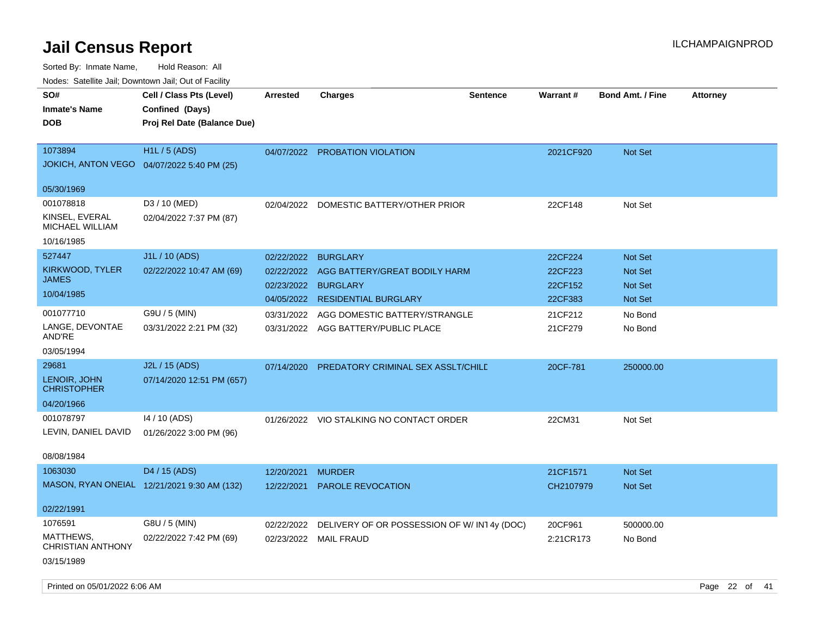| rouce. Calcinic Jan, Downtown Jan, Out of Facility                   |                                                                            |                          |                                                                  |                 |                      |                                  |                 |
|----------------------------------------------------------------------|----------------------------------------------------------------------------|--------------------------|------------------------------------------------------------------|-----------------|----------------------|----------------------------------|-----------------|
| SO#<br><b>Inmate's Name</b><br><b>DOB</b>                            | Cell / Class Pts (Level)<br>Confined (Days)<br>Proj Rel Date (Balance Due) | <b>Arrested</b>          | <b>Charges</b>                                                   | <b>Sentence</b> | Warrant#             | <b>Bond Amt. / Fine</b>          | <b>Attorney</b> |
| 1073894<br>JOKICH, ANTON VEGO  04/07/2022 5:40 PM (25)<br>05/30/1969 | <b>H1L/5 (ADS)</b>                                                         | 04/07/2022               | <b>PROBATION VIOLATION</b>                                       |                 | 2021CF920            | <b>Not Set</b>                   |                 |
| 001078818                                                            | D3 / 10 (MED)                                                              | 02/04/2022               | DOMESTIC BATTERY/OTHER PRIOR                                     |                 | 22CF148              | Not Set                          |                 |
| KINSEL, EVERAL<br><b>MICHAEL WILLIAM</b>                             | 02/04/2022 7:37 PM (87)                                                    |                          |                                                                  |                 |                      |                                  |                 |
| 10/16/1985                                                           |                                                                            |                          |                                                                  |                 |                      |                                  |                 |
| 527447<br>KIRKWOOD, TYLER<br><b>JAMES</b>                            | J1L / 10 (ADS)<br>02/22/2022 10:47 AM (69)                                 | 02/22/2022<br>02/22/2022 | <b>BURGLARY</b><br>AGG BATTERY/GREAT BODILY HARM                 |                 | 22CF224<br>22CF223   | <b>Not Set</b><br><b>Not Set</b> |                 |
| 10/04/1985                                                           |                                                                            | 02/23/2022<br>04/05/2022 | <b>BURGLARY</b><br><b>RESIDENTIAL BURGLARY</b>                   |                 | 22CF152<br>22CF383   | Not Set<br><b>Not Set</b>        |                 |
| 001077710                                                            | G9U / 5 (MIN)                                                              | 03/31/2022               | AGG DOMESTIC BATTERY/STRANGLE                                    |                 | 21CF212              | No Bond                          |                 |
| LANGE, DEVONTAE<br>AND'RE                                            | 03/31/2022 2:21 PM (32)                                                    | 03/31/2022               | AGG BATTERY/PUBLIC PLACE                                         |                 | 21CF279              | No Bond                          |                 |
| 03/05/1994                                                           |                                                                            |                          |                                                                  |                 |                      |                                  |                 |
| 29681                                                                | J2L / 15 (ADS)                                                             | 07/14/2020               | PREDATORY CRIMINAL SEX ASSLT/CHILD                               |                 | 20CF-781             | 250000.00                        |                 |
| LENOIR, JOHN<br><b>CHRISTOPHER</b>                                   | 07/14/2020 12:51 PM (657)                                                  |                          |                                                                  |                 |                      |                                  |                 |
| 04/20/1966                                                           |                                                                            |                          |                                                                  |                 |                      |                                  |                 |
| 001078797<br>LEVIN, DANIEL DAVID                                     | 14 / 10 (ADS)<br>01/26/2022 3:00 PM (96)                                   | 01/26/2022               | VIO STALKING NO CONTACT ORDER                                    |                 | 22CM31               | Not Set                          |                 |
| 08/08/1984                                                           |                                                                            |                          |                                                                  |                 |                      |                                  |                 |
| 1063030                                                              | D4 / 15 (ADS)                                                              | 12/20/2021               | <b>MURDER</b>                                                    |                 | 21CF1571             | <b>Not Set</b>                   |                 |
|                                                                      | MASON, RYAN ONEIAL 12/21/2021 9:30 AM (132)                                | 12/22/2021               | <b>PAROLE REVOCATION</b>                                         |                 | CH2107979            | <b>Not Set</b>                   |                 |
| 02/22/1991                                                           |                                                                            |                          |                                                                  |                 |                      |                                  |                 |
| 1076591<br>MATTHEWS,<br>CHRISTIAN ANTHONY                            | G8U / 5 (MIN)<br>02/22/2022 7:42 PM (69)                                   | 02/22/2022<br>02/23/2022 | DELIVERY OF OR POSSESSION OF W/ IN14y (DOC)<br><b>MAIL FRAUD</b> |                 | 20CF961<br>2:21CR173 | 500000.00<br>No Bond             |                 |
| 03/15/1989                                                           |                                                                            |                          |                                                                  |                 |                      |                                  |                 |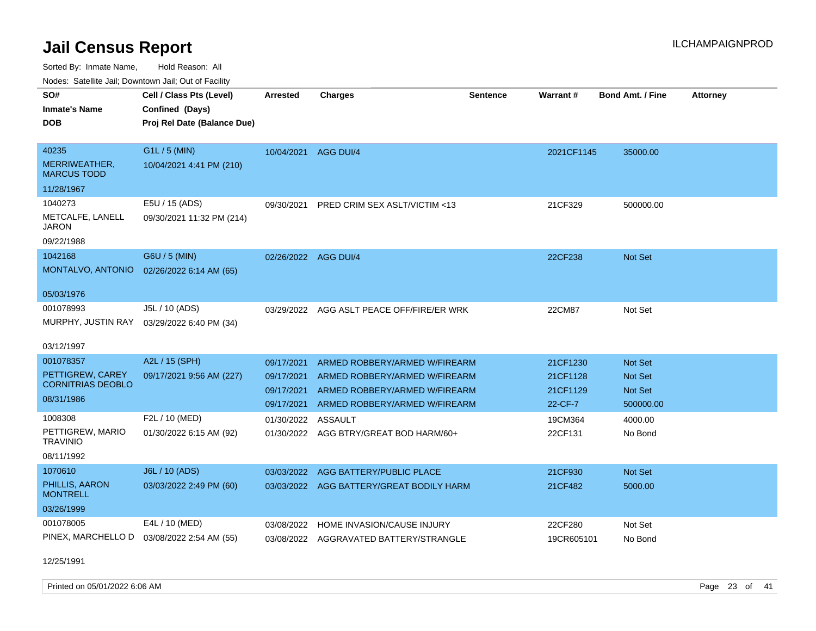Sorted By: Inmate Name, Hold Reason: All

|                                     | Nodes: Satellite Jail; Downtown Jail; Out of Facility |                      |                                         |                 |            |                         |                 |  |  |  |  |
|-------------------------------------|-------------------------------------------------------|----------------------|-----------------------------------------|-----------------|------------|-------------------------|-----------------|--|--|--|--|
| SO#                                 | Cell / Class Pts (Level)                              | <b>Arrested</b>      | <b>Charges</b>                          | <b>Sentence</b> | Warrant#   | <b>Bond Amt. / Fine</b> | <b>Attorney</b> |  |  |  |  |
| <b>Inmate's Name</b>                | Confined (Days)                                       |                      |                                         |                 |            |                         |                 |  |  |  |  |
| <b>DOB</b>                          | Proj Rel Date (Balance Due)                           |                      |                                         |                 |            |                         |                 |  |  |  |  |
|                                     |                                                       |                      |                                         |                 |            |                         |                 |  |  |  |  |
| 40235                               | G1L / 5 (MIN)                                         | 10/04/2021           | AGG DUI/4                               |                 | 2021CF1145 | 35000.00                |                 |  |  |  |  |
| MERRIWEATHER,<br><b>MARCUS TODD</b> | 10/04/2021 4:41 PM (210)                              |                      |                                         |                 |            |                         |                 |  |  |  |  |
| 11/28/1967                          |                                                       |                      |                                         |                 |            |                         |                 |  |  |  |  |
| 1040273                             | E5U / 15 (ADS)                                        | 09/30/2021           | <b>PRED CRIM SEX ASLT/VICTIM &lt;13</b> |                 | 21CF329    | 500000.00               |                 |  |  |  |  |
| METCALFE, LANELL<br>JARON           | 09/30/2021 11:32 PM (214)                             |                      |                                         |                 |            |                         |                 |  |  |  |  |
| 09/22/1988                          |                                                       |                      |                                         |                 |            |                         |                 |  |  |  |  |
| 1042168                             | G6U / 5 (MIN)                                         | 02/26/2022 AGG DUI/4 |                                         |                 | 22CF238    | Not Set                 |                 |  |  |  |  |
| MONTALVO, ANTONIO                   | 02/26/2022 6:14 AM (65)                               |                      |                                         |                 |            |                         |                 |  |  |  |  |
|                                     |                                                       |                      |                                         |                 |            |                         |                 |  |  |  |  |
| 05/03/1976                          |                                                       |                      |                                         |                 |            |                         |                 |  |  |  |  |
| 001078993                           | J5L / 10 (ADS)                                        | 03/29/2022           | AGG ASLT PEACE OFF/FIRE/ER WRK          |                 | 22CM87     | Not Set                 |                 |  |  |  |  |
| MURPHY, JUSTIN RAY                  | 03/29/2022 6:40 PM (34)                               |                      |                                         |                 |            |                         |                 |  |  |  |  |
| 03/12/1997                          |                                                       |                      |                                         |                 |            |                         |                 |  |  |  |  |
| 001078357                           | A2L / 15 (SPH)                                        | 09/17/2021           | ARMED ROBBERY/ARMED W/FIREARM           |                 | 21CF1230   | Not Set                 |                 |  |  |  |  |
| PETTIGREW, CAREY                    | 09/17/2021 9:56 AM (227)                              | 09/17/2021           | ARMED ROBBERY/ARMED W/FIREARM           |                 | 21CF1128   | Not Set                 |                 |  |  |  |  |
| <b>CORNITRIAS DEOBLO</b>            |                                                       | 09/17/2021           | ARMED ROBBERY/ARMED W/FIREARM           |                 | 21CF1129   | Not Set                 |                 |  |  |  |  |
| 08/31/1986                          |                                                       | 09/17/2021           | ARMED ROBBERY/ARMED W/FIREARM           |                 | 22-CF-7    | 500000.00               |                 |  |  |  |  |
| 1008308                             | F2L / 10 (MED)                                        | 01/30/2022           | <b>ASSAULT</b>                          |                 | 19CM364    | 4000.00                 |                 |  |  |  |  |
| PETTIGREW, MARIO                    | 01/30/2022 6:15 AM (92)                               |                      | 01/30/2022 AGG BTRY/GREAT BOD HARM/60+  |                 | 22CF131    | No Bond                 |                 |  |  |  |  |
| <b>TRAVINIO</b>                     |                                                       |                      |                                         |                 |            |                         |                 |  |  |  |  |
| 08/11/1992                          |                                                       |                      |                                         |                 |            |                         |                 |  |  |  |  |
| 1070610                             | J6L / 10 (ADS)                                        | 03/03/2022           | AGG BATTERY/PUBLIC PLACE                |                 | 21CF930    | Not Set                 |                 |  |  |  |  |
| PHILLIS, AARON<br><b>MONTRELL</b>   | 03/03/2022 2:49 PM (60)                               | 03/03/2022           | AGG BATTERY/GREAT BODILY HARM           |                 | 21CF482    | 5000.00                 |                 |  |  |  |  |
| 03/26/1999                          |                                                       |                      |                                         |                 |            |                         |                 |  |  |  |  |
| 001078005                           | E4L / 10 (MED)                                        | 03/08/2022           | HOME INVASION/CAUSE INJURY              |                 | 22CF280    | Not Set                 |                 |  |  |  |  |
| PINEX, MARCHELLO D                  | 03/08/2022 2:54 AM (55)                               |                      | 03/08/2022 AGGRAVATED BATTERY/STRANGLE  |                 | 19CR605101 | No Bond                 |                 |  |  |  |  |

12/25/1991

Printed on 05/01/2022 6:06 AM Page 23 of 41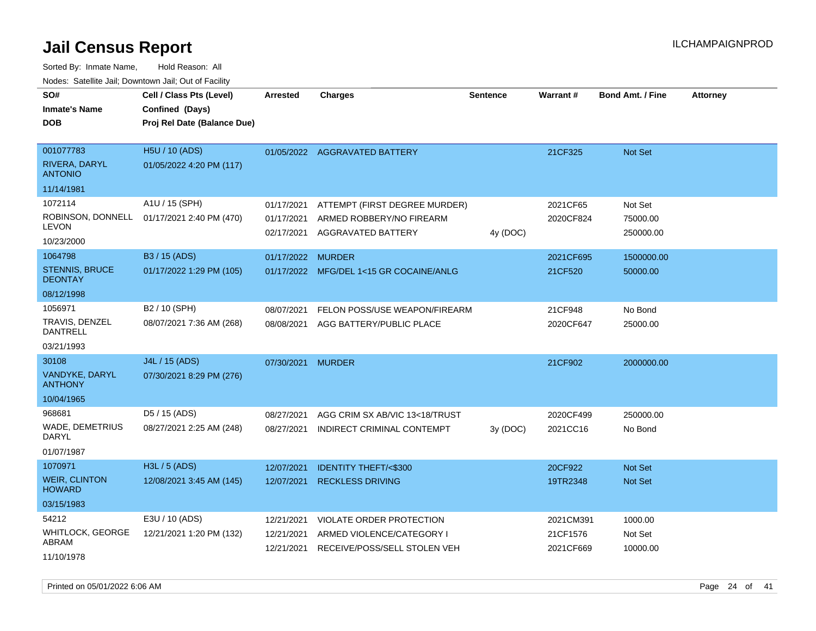Sorted By: Inmate Name, Hold Reason: All Nodes: Satellite Jail; Downtown Jail; Out of Facility

| Noues. Sateme Jan, Downtown Jan, Out or Facility |                             |                          |                                                |          |                 |                         |                 |
|--------------------------------------------------|-----------------------------|--------------------------|------------------------------------------------|----------|-----------------|-------------------------|-----------------|
| SO#                                              | Cell / Class Pts (Level)    | Arrested                 | <b>Charges</b>                                 | Sentence | <b>Warrant#</b> | <b>Bond Amt. / Fine</b> | <b>Attorney</b> |
| <b>Inmate's Name</b>                             | Confined (Days)             |                          |                                                |          |                 |                         |                 |
| <b>DOB</b>                                       | Proj Rel Date (Balance Due) |                          |                                                |          |                 |                         |                 |
|                                                  |                             |                          |                                                |          |                 |                         |                 |
| 001077783                                        | H5U / 10 (ADS)              |                          | 01/05/2022 AGGRAVATED BATTERY                  |          | 21CF325         | Not Set                 |                 |
| RIVERA, DARYL<br><b>ANTONIO</b>                  | 01/05/2022 4:20 PM (117)    |                          |                                                |          |                 |                         |                 |
| 11/14/1981                                       |                             |                          |                                                |          |                 |                         |                 |
| 1072114                                          | A1U / 15 (SPH)              | 01/17/2021               | ATTEMPT (FIRST DEGREE MURDER)                  |          | 2021CF65        | Not Set                 |                 |
| ROBINSON, DONNELL<br><b>LEVON</b>                | 01/17/2021 2:40 PM (470)    | 01/17/2021<br>02/17/2021 | ARMED ROBBERY/NO FIREARM<br>AGGRAVATED BATTERY |          | 2020CF824       | 75000.00<br>250000.00   |                 |
| 10/23/2000                                       |                             |                          |                                                | 4y (DOC) |                 |                         |                 |
| 1064798                                          | B3 / 15 (ADS)               | 01/17/2022               | <b>MURDER</b>                                  |          | 2021CF695       | 1500000.00              |                 |
| <b>STENNIS, BRUCE</b><br><b>DEONTAY</b>          | 01/17/2022 1:29 PM (105)    |                          | 01/17/2022 MFG/DEL 1<15 GR COCAINE/ANLG        |          | 21CF520         | 50000.00                |                 |
| 08/12/1998                                       |                             |                          |                                                |          |                 |                         |                 |
| 1056971                                          | B2 / 10 (SPH)               | 08/07/2021               | FELON POSS/USE WEAPON/FIREARM                  |          | 21CF948         | No Bond                 |                 |
| TRAVIS, DENZEL<br><b>DANTRELL</b>                | 08/07/2021 7:36 AM (268)    | 08/08/2021               | AGG BATTERY/PUBLIC PLACE                       |          | 2020CF647       | 25000.00                |                 |
| 03/21/1993                                       |                             |                          |                                                |          |                 |                         |                 |
| 30108                                            | J4L / 15 (ADS)              | 07/30/2021               | <b>MURDER</b>                                  |          | 21CF902         | 2000000.00              |                 |
| VANDYKE, DARYL<br><b>ANTHONY</b>                 | 07/30/2021 8:29 PM (276)    |                          |                                                |          |                 |                         |                 |
| 10/04/1965                                       |                             |                          |                                                |          |                 |                         |                 |
| 968681                                           | D5 / 15 (ADS)               | 08/27/2021               | AGG CRIM SX AB/VIC 13<18/TRUST                 |          | 2020CF499       | 250000.00               |                 |
| <b>WADE, DEMETRIUS</b><br><b>DARYL</b>           | 08/27/2021 2:25 AM (248)    | 08/27/2021               | INDIRECT CRIMINAL CONTEMPT                     | 3y(DOC)  | 2021CC16        | No Bond                 |                 |
| 01/07/1987                                       |                             |                          |                                                |          |                 |                         |                 |
| 1070971                                          | H3L / 5 (ADS)               | 12/07/2021               | <b>IDENTITY THEFT/&lt;\$300</b>                |          | 20CF922         | <b>Not Set</b>          |                 |
| <b>WEIR, CLINTON</b><br><b>HOWARD</b>            | 12/08/2021 3:45 AM (145)    | 12/07/2021               | <b>RECKLESS DRIVING</b>                        |          | 19TR2348        | <b>Not Set</b>          |                 |
| 03/15/1983                                       |                             |                          |                                                |          |                 |                         |                 |
| 54212                                            | E3U / 10 (ADS)              | 12/21/2021               | VIOLATE ORDER PROTECTION                       |          | 2021CM391       | 1000.00                 |                 |
| WHITLOCK, GEORGE                                 | 12/21/2021 1:20 PM (132)    | 12/21/2021               | ARMED VIOLENCE/CATEGORY I                      |          | 21CF1576        | Not Set                 |                 |
| ABRAM                                            |                             | 12/21/2021               | RECEIVE/POSS/SELL STOLEN VEH                   |          | 2021CF669       | 10000.00                |                 |
| 11/10/1978                                       |                             |                          |                                                |          |                 |                         |                 |

Printed on 05/01/2022 6:06 AM Page 24 of 41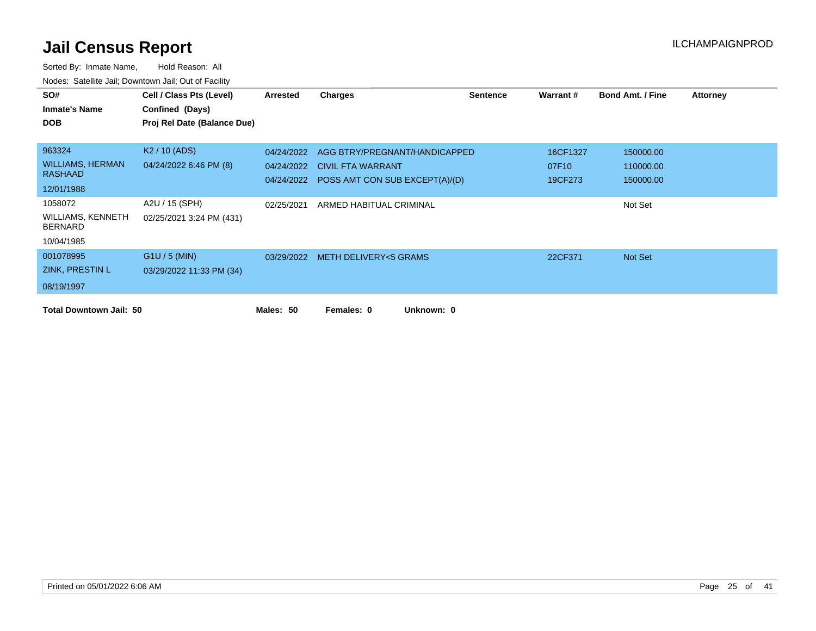| SO#                                 | Cell / Class Pts (Level)    | <b>Arrested</b> | <b>Charges</b>                            | <b>Sentence</b> | Warrant # | <b>Bond Amt. / Fine</b> | <b>Attorney</b> |
|-------------------------------------|-----------------------------|-----------------|-------------------------------------------|-----------------|-----------|-------------------------|-----------------|
| <b>Inmate's Name</b>                | Confined (Days)             |                 |                                           |                 |           |                         |                 |
| <b>DOB</b>                          | Proj Rel Date (Balance Due) |                 |                                           |                 |           |                         |                 |
|                                     |                             |                 |                                           |                 |           |                         |                 |
| 963324                              | K <sub>2</sub> / 10 (ADS)   | 04/24/2022      | AGG BTRY/PREGNANT/HANDICAPPED             |                 | 16CF1327  | 150000.00               |                 |
| <b>WILLIAMS, HERMAN</b>             | 04/24/2022 6:46 PM (8)      | 04/24/2022      | <b>CIVIL FTA WARRANT</b>                  |                 | 07F10     | 110000.00               |                 |
| <b>RASHAAD</b>                      |                             |                 | 04/24/2022 POSS AMT CON SUB EXCEPT(A)/(D) |                 | 19CF273   | 150000.00               |                 |
| 12/01/1988                          |                             |                 |                                           |                 |           |                         |                 |
| 1058072                             | A2U / 15 (SPH)              | 02/25/2021      | ARMED HABITUAL CRIMINAL                   |                 |           | Not Set                 |                 |
| WILLIAMS, KENNETH<br><b>BERNARD</b> | 02/25/2021 3:24 PM (431)    |                 |                                           |                 |           |                         |                 |
| 10/04/1985                          |                             |                 |                                           |                 |           |                         |                 |
| 001078995                           | $G1U / 5$ (MIN)             |                 | 03/29/2022 METH DELIVERY<5 GRAMS          |                 | 22CF371   | Not Set                 |                 |
| ZINK, PRESTIN L                     | 03/29/2022 11:33 PM (34)    |                 |                                           |                 |           |                         |                 |
| 08/19/1997                          |                             |                 |                                           |                 |           |                         |                 |
| <b>Total Downtown Jail: 50</b>      |                             | Males: 50       | Unknown: 0<br>Females: 0                  |                 |           |                         |                 |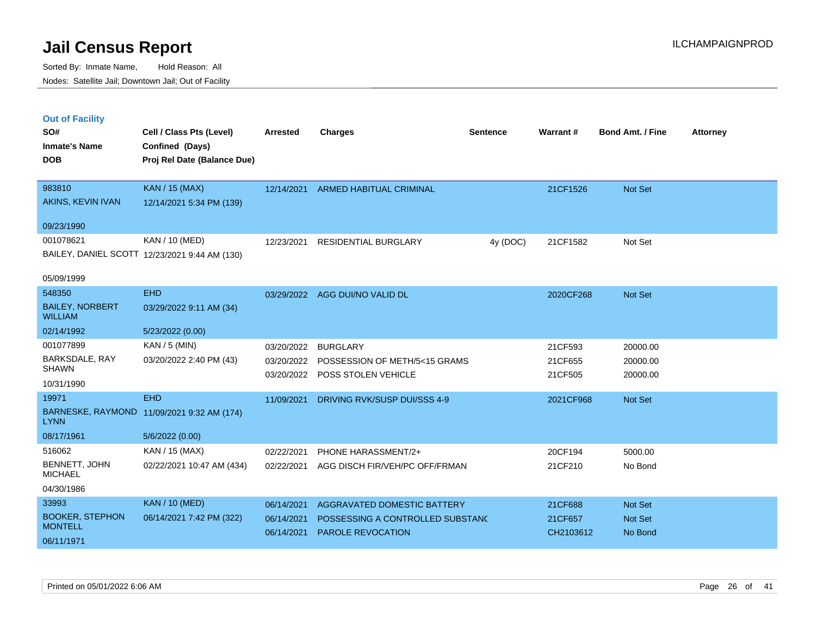|  | <b>Out of Facility</b> |  |
|--|------------------------|--|
|  |                        |  |
|  |                        |  |

| SO#<br><b>Inmate's Name</b><br><b>DOB</b> | Cell / Class Pts (Level)<br>Confined (Days)<br>Proj Rel Date (Balance Due) | <b>Arrested</b> | <b>Charges</b>                   | <b>Sentence</b> | <b>Warrant#</b> | <b>Bond Amt. / Fine</b> | <b>Attorney</b> |
|-------------------------------------------|----------------------------------------------------------------------------|-----------------|----------------------------------|-----------------|-----------------|-------------------------|-----------------|
| 983810<br>AKINS, KEVIN IVAN               | KAN / 15 (MAX)<br>12/14/2021 5:34 PM (139)                                 | 12/14/2021      | <b>ARMED HABITUAL CRIMINAL</b>   |                 | 21CF1526        | <b>Not Set</b>          |                 |
| 09/23/1990                                |                                                                            |                 |                                  |                 |                 |                         |                 |
| 001078621                                 | KAN / 10 (MED)<br>BAILEY, DANIEL SCOTT 12/23/2021 9:44 AM (130)            | 12/23/2021      | <b>RESIDENTIAL BURGLARY</b>      | 4y (DOC)        | 21CF1582        | Not Set                 |                 |
| 05/09/1999                                |                                                                            |                 |                                  |                 |                 |                         |                 |
| 548350                                    | <b>EHD</b>                                                                 |                 | 03/29/2022 AGG DUI/NO VALID DL   |                 | 2020CF268       | Not Set                 |                 |
| <b>BAILEY, NORBERT</b><br><b>WILLIAM</b>  | 03/29/2022 9:11 AM (34)                                                    |                 |                                  |                 |                 |                         |                 |
| 02/14/1992                                | 5/23/2022 (0.00)                                                           |                 |                                  |                 |                 |                         |                 |
| 001077899                                 | KAN / 5 (MIN)                                                              | 03/20/2022      | <b>BURGLARY</b>                  |                 | 21CF593         | 20000.00                |                 |
| BARKSDALE, RAY<br><b>SHAWN</b>            | 03/20/2022 2:40 PM (43)                                                    | 03/20/2022      | POSSESSION OF METH/5<15 GRAMS    |                 | 21CF655         | 20000.00                |                 |
| 10/31/1990                                |                                                                            | 03/20/2022      | POSS STOLEN VEHICLE              |                 | 21CF505         | 20000.00                |                 |
| 19971                                     | <b>EHD</b>                                                                 | 11/09/2021      | DRIVING RVK/SUSP DUI/SSS 4-9     |                 | 2021CF968       | Not Set                 |                 |
| <b>LYNN</b>                               | BARNESKE, RAYMOND 11/09/2021 9:32 AM (174)                                 |                 |                                  |                 |                 |                         |                 |
| 08/17/1961                                | 5/6/2022 (0.00)                                                            |                 |                                  |                 |                 |                         |                 |
| 516062                                    | KAN / 15 (MAX)                                                             | 02/22/2021      | PHONE HARASSMENT/2+              |                 | 20CF194         | 5000.00                 |                 |
| BENNETT, JOHN<br><b>MICHAEL</b>           | 02/22/2021 10:47 AM (434)                                                  | 02/22/2021      | AGG DISCH FIR/VEH/PC OFF/FRMAN   |                 | 21CF210         | No Bond                 |                 |
| 04/30/1986                                |                                                                            |                 |                                  |                 |                 |                         |                 |
| 33993                                     | KAN / 10 (MED)                                                             | 06/14/2021      | AGGRAVATED DOMESTIC BATTERY      |                 | 21CF688         | Not Set                 |                 |
| <b>BOOKER, STEPHON</b><br><b>MONTELL</b>  | 06/14/2021 7:42 PM (322)                                                   | 06/14/2021      | POSSESSING A CONTROLLED SUBSTAND |                 | 21CF657         | Not Set                 |                 |
| 06/11/1971                                |                                                                            | 06/14/2021      | <b>PAROLE REVOCATION</b>         |                 | CH2103612       | No Bond                 |                 |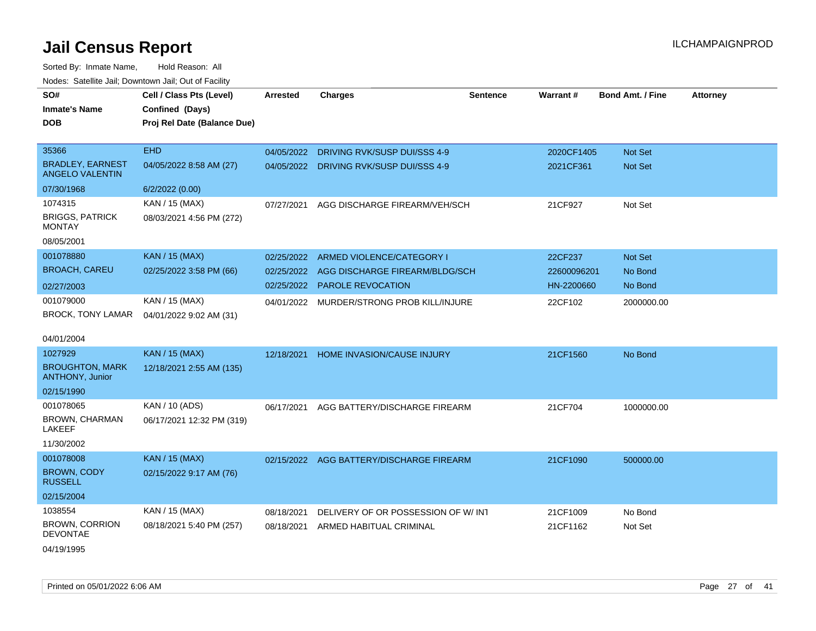| Noues. Salenne Jan, Downlown Jan, Out or Facility |                             |                 |                                     |                 |             |                         |                 |
|---------------------------------------------------|-----------------------------|-----------------|-------------------------------------|-----------------|-------------|-------------------------|-----------------|
| SO#                                               | Cell / Class Pts (Level)    | <b>Arrested</b> | <b>Charges</b>                      | <b>Sentence</b> | Warrant#    | <b>Bond Amt. / Fine</b> | <b>Attorney</b> |
| <b>Inmate's Name</b>                              | Confined (Days)             |                 |                                     |                 |             |                         |                 |
| DOB                                               | Proj Rel Date (Balance Due) |                 |                                     |                 |             |                         |                 |
|                                                   |                             |                 |                                     |                 |             |                         |                 |
| 35366                                             | <b>EHD</b>                  | 04/05/2022      | DRIVING RVK/SUSP DUI/SSS 4-9        |                 | 2020CF1405  | Not Set                 |                 |
| <b>BRADLEY, EARNEST</b><br><b>ANGELO VALENTIN</b> | 04/05/2022 8:58 AM (27)     | 04/05/2022      | <b>DRIVING RVK/SUSP DUI/SSS 4-9</b> |                 | 2021CF361   | Not Set                 |                 |
| 07/30/1968                                        | 6/2/2022 (0.00)             |                 |                                     |                 |             |                         |                 |
| 1074315                                           | KAN / 15 (MAX)              | 07/27/2021      | AGG DISCHARGE FIREARM/VEH/SCH       |                 | 21CF927     | Not Set                 |                 |
| <b>BRIGGS, PATRICK</b><br>MONTAY                  | 08/03/2021 4:56 PM (272)    |                 |                                     |                 |             |                         |                 |
| 08/05/2001                                        |                             |                 |                                     |                 |             |                         |                 |
| 001078880                                         | <b>KAN / 15 (MAX)</b>       | 02/25/2022      | ARMED VIOLENCE/CATEGORY I           |                 | 22CF237     | Not Set                 |                 |
| <b>BROACH, CAREU</b>                              | 02/25/2022 3:58 PM (66)     | 02/25/2022      | AGG DISCHARGE FIREARM/BLDG/SCH      |                 | 22600096201 | No Bond                 |                 |
| 02/27/2003                                        |                             | 02/25/2022      | PAROLE REVOCATION                   |                 | HN-2200660  | No Bond                 |                 |
| 001079000                                         | KAN / 15 (MAX)              | 04/01/2022      | MURDER/STRONG PROB KILL/INJURE      |                 | 22CF102     | 2000000.00              |                 |
| <b>BROCK, TONY LAMAR</b>                          | 04/01/2022 9:02 AM (31)     |                 |                                     |                 |             |                         |                 |
|                                                   |                             |                 |                                     |                 |             |                         |                 |
| 04/01/2004                                        |                             |                 |                                     |                 |             |                         |                 |
| 1027929                                           | <b>KAN / 15 (MAX)</b>       | 12/18/2021      | HOME INVASION/CAUSE INJURY          |                 | 21CF1560    | No Bond                 |                 |
| <b>BROUGHTON, MARK</b><br><b>ANTHONY, Junior</b>  | 12/18/2021 2:55 AM (135)    |                 |                                     |                 |             |                         |                 |
| 02/15/1990                                        |                             |                 |                                     |                 |             |                         |                 |
| 001078065                                         | KAN / 10 (ADS)              | 06/17/2021      | AGG BATTERY/DISCHARGE FIREARM       |                 | 21CF704     | 1000000.00              |                 |
| BROWN, CHARMAN<br>LAKEEF                          | 06/17/2021 12:32 PM (319)   |                 |                                     |                 |             |                         |                 |
| 11/30/2002                                        |                             |                 |                                     |                 |             |                         |                 |
| 001078008                                         | <b>KAN / 15 (MAX)</b>       | 02/15/2022      | AGG BATTERY/DISCHARGE FIREARM       |                 | 21CF1090    | 500000.00               |                 |
| <b>BROWN, CODY</b><br><b>RUSSELL</b>              | 02/15/2022 9:17 AM (76)     |                 |                                     |                 |             |                         |                 |
| 02/15/2004                                        |                             |                 |                                     |                 |             |                         |                 |
| 1038554                                           | KAN / 15 (MAX)              | 08/18/2021      | DELIVERY OF OR POSSESSION OF W/ INT |                 | 21CF1009    | No Bond                 |                 |
| <b>BROWN, CORRION</b><br><b>DEVONTAE</b>          | 08/18/2021 5:40 PM (257)    | 08/18/2021      | ARMED HABITUAL CRIMINAL             |                 | 21CF1162    | Not Set                 |                 |
| 04/19/1995                                        |                             |                 |                                     |                 |             |                         |                 |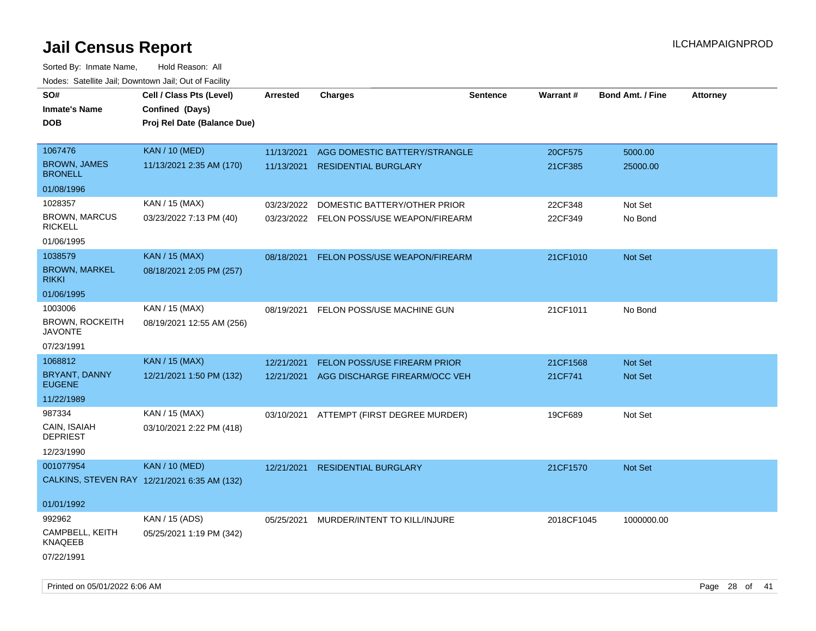| SO#<br><b>Inmate's Name</b><br><b>DOB</b>           | Cell / Class Pts (Level)<br>Confined (Days)<br>Proj Rel Date (Balance Due) | Arrested   | <b>Charges</b>                           | <b>Sentence</b> | <b>Warrant#</b> | <b>Bond Amt. / Fine</b> | <b>Attorney</b> |
|-----------------------------------------------------|----------------------------------------------------------------------------|------------|------------------------------------------|-----------------|-----------------|-------------------------|-----------------|
|                                                     |                                                                            |            |                                          |                 |                 |                         |                 |
| 1067476                                             | <b>KAN / 10 (MED)</b>                                                      | 11/13/2021 | AGG DOMESTIC BATTERY/STRANGLE            |                 | 20CF575         | 5000.00                 |                 |
| <b>BROWN, JAMES</b><br><b>BRONELL</b>               | 11/13/2021 2:35 AM (170)                                                   | 11/13/2021 | <b>RESIDENTIAL BURGLARY</b>              |                 | 21CF385         | 25000.00                |                 |
| 01/08/1996                                          |                                                                            |            |                                          |                 |                 |                         |                 |
| 1028357                                             | KAN / 15 (MAX)                                                             | 03/23/2022 | DOMESTIC BATTERY/OTHER PRIOR             |                 | 22CF348         | Not Set                 |                 |
| <b>BROWN, MARCUS</b><br><b>RICKELL</b>              | 03/23/2022 7:13 PM (40)                                                    |            | 03/23/2022 FELON POSS/USE WEAPON/FIREARM |                 | 22CF349         | No Bond                 |                 |
| 01/06/1995                                          |                                                                            |            |                                          |                 |                 |                         |                 |
| 1038579                                             | <b>KAN / 15 (MAX)</b>                                                      | 08/18/2021 | FELON POSS/USE WEAPON/FIREARM            |                 | 21CF1010        | Not Set                 |                 |
| <b>BROWN, MARKEL</b><br><b>RIKKI</b>                | 08/18/2021 2:05 PM (257)                                                   |            |                                          |                 |                 |                         |                 |
| 01/06/1995                                          |                                                                            |            |                                          |                 |                 |                         |                 |
| 1003006<br><b>BROWN, ROCKEITH</b><br><b>JAVONTE</b> | KAN / 15 (MAX)<br>08/19/2021 12:55 AM (256)                                | 08/19/2021 | FELON POSS/USE MACHINE GUN               |                 | 21CF1011        | No Bond                 |                 |
| 07/23/1991                                          |                                                                            |            |                                          |                 |                 |                         |                 |
| 1068812                                             | <b>KAN / 15 (MAX)</b>                                                      | 12/21/2021 | <b>FELON POSS/USE FIREARM PRIOR</b>      |                 | 21CF1568        | <b>Not Set</b>          |                 |
| <b>BRYANT, DANNY</b><br><b>EUGENE</b>               | 12/21/2021 1:50 PM (132)                                                   | 12/21/2021 | AGG DISCHARGE FIREARM/OCC VEH            |                 | 21CF741         | Not Set                 |                 |
| 11/22/1989                                          |                                                                            |            |                                          |                 |                 |                         |                 |
| 987334                                              | KAN / 15 (MAX)                                                             |            | 03/10/2021 ATTEMPT (FIRST DEGREE MURDER) |                 | 19CF689         | Not Set                 |                 |
| CAIN, ISAIAH<br><b>DEPRIEST</b>                     | 03/10/2021 2:22 PM (418)                                                   |            |                                          |                 |                 |                         |                 |
| 12/23/1990                                          |                                                                            |            |                                          |                 |                 |                         |                 |
| 001077954                                           | <b>KAN / 10 (MED)</b>                                                      | 12/21/2021 | <b>RESIDENTIAL BURGLARY</b>              |                 | 21CF1570        | <b>Not Set</b>          |                 |
|                                                     | CALKINS, STEVEN RAY 12/21/2021 6:35 AM (132)                               |            |                                          |                 |                 |                         |                 |
| 01/01/1992                                          |                                                                            |            |                                          |                 |                 |                         |                 |
| 992962                                              | KAN / 15 (ADS)                                                             | 05/25/2021 | MURDER/INTENT TO KILL/INJURE             |                 | 2018CF1045      | 1000000.00              |                 |
| CAMPBELL, KEITH<br>KNAQEEB                          | 05/25/2021 1:19 PM (342)                                                   |            |                                          |                 |                 |                         |                 |
| 07/22/1991                                          |                                                                            |            |                                          |                 |                 |                         |                 |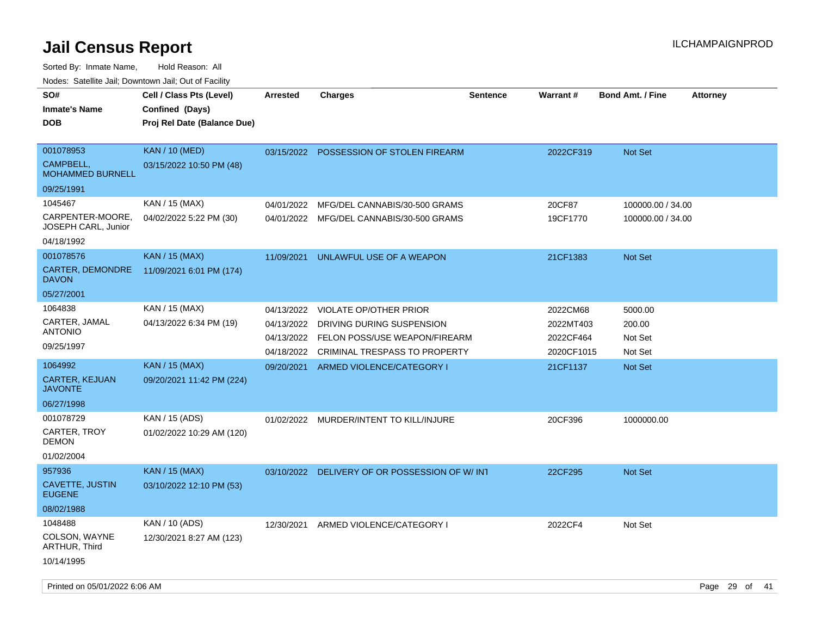Sorted By: Inmate Name, Hold Reason: All

Nodes: Satellite Jail; Downtown Jail; Out of Facility

| SO#<br><b>Inmate's Name</b><br><b>DOB</b>                | Cell / Class Pts (Level)<br>Confined (Days)<br>Proj Rel Date (Balance Due) | <b>Arrested</b>                                      | <b>Charges</b>                                                                                                                      | <b>Sentence</b> | Warrant#                                         | <b>Bond Amt. / Fine</b>                 | <b>Attorney</b> |
|----------------------------------------------------------|----------------------------------------------------------------------------|------------------------------------------------------|-------------------------------------------------------------------------------------------------------------------------------------|-----------------|--------------------------------------------------|-----------------------------------------|-----------------|
| 001078953<br>CAMPBELL,<br><b>MOHAMMED BURNELL</b>        | <b>KAN / 10 (MED)</b><br>03/15/2022 10:50 PM (48)                          |                                                      | 03/15/2022 POSSESSION OF STOLEN FIREARM                                                                                             |                 | 2022CF319                                        | Not Set                                 |                 |
| 09/25/1991                                               |                                                                            |                                                      |                                                                                                                                     |                 |                                                  |                                         |                 |
| 1045467<br>CARPENTER-MOORE.<br>JOSEPH CARL, Junior       | KAN / 15 (MAX)<br>04/02/2022 5:22 PM (30)                                  | 04/01/2022                                           | MFG/DEL CANNABIS/30-500 GRAMS<br>04/01/2022 MFG/DEL CANNABIS/30-500 GRAMS                                                           |                 | 20CF87<br>19CF1770                               | 100000.00 / 34.00<br>100000.00 / 34.00  |                 |
| 04/18/1992                                               |                                                                            |                                                      |                                                                                                                                     |                 |                                                  |                                         |                 |
| 001078576<br>CARTER, DEMONDRE<br><b>DAVON</b>            | <b>KAN / 15 (MAX)</b><br>11/09/2021 6:01 PM (174)                          | 11/09/2021                                           | UNLAWFUL USE OF A WEAPON                                                                                                            |                 | 21CF1383                                         | <b>Not Set</b>                          |                 |
| 05/27/2001                                               |                                                                            |                                                      |                                                                                                                                     |                 |                                                  |                                         |                 |
| 1064838<br>CARTER, JAMAL<br><b>ANTONIO</b><br>09/25/1997 | KAN / 15 (MAX)<br>04/13/2022 6:34 PM (19)                                  | 04/13/2022<br>04/13/2022<br>04/13/2022<br>04/18/2022 | <b>VIOLATE OP/OTHER PRIOR</b><br>DRIVING DURING SUSPENSION<br>FELON POSS/USE WEAPON/FIREARM<br><b>CRIMINAL TRESPASS TO PROPERTY</b> |                 | 2022CM68<br>2022MT403<br>2022CF464<br>2020CF1015 | 5000.00<br>200.00<br>Not Set<br>Not Set |                 |
| 1064992                                                  | <b>KAN / 15 (MAX)</b>                                                      | 09/20/2021                                           | ARMED VIOLENCE/CATEGORY I                                                                                                           |                 | 21CF1137                                         | Not Set                                 |                 |
| CARTER, KEJUAN<br><b>JAVONTE</b>                         | 09/20/2021 11:42 PM (224)                                                  |                                                      |                                                                                                                                     |                 |                                                  |                                         |                 |
| 06/27/1998                                               |                                                                            |                                                      |                                                                                                                                     |                 |                                                  |                                         |                 |
| 001078729<br>CARTER, TROY<br><b>DEMON</b><br>01/02/2004  | KAN / 15 (ADS)<br>01/02/2022 10:29 AM (120)                                | 01/02/2022                                           | MURDER/INTENT TO KILL/INJURE                                                                                                        |                 | 20CF396                                          | 1000000.00                              |                 |
| 957936                                                   | <b>KAN</b> / 15 (MAX)                                                      | 03/10/2022                                           | DELIVERY OF OR POSSESSION OF W/INT                                                                                                  |                 | 22CF295                                          | Not Set                                 |                 |
| CAVETTE, JUSTIN<br><b>EUGENE</b>                         | 03/10/2022 12:10 PM (53)                                                   |                                                      |                                                                                                                                     |                 |                                                  |                                         |                 |
| 08/02/1988                                               |                                                                            |                                                      |                                                                                                                                     |                 |                                                  |                                         |                 |
| 1048488<br>COLSON, WAYNE<br>ARTHUR, Third                | KAN / 10 (ADS)<br>12/30/2021 8:27 AM (123)                                 | 12/30/2021                                           | ARMED VIOLENCE/CATEGORY I                                                                                                           |                 | 2022CF4                                          | Not Set                                 |                 |
| 10/14/1995                                               |                                                                            |                                                      |                                                                                                                                     |                 |                                                  |                                         |                 |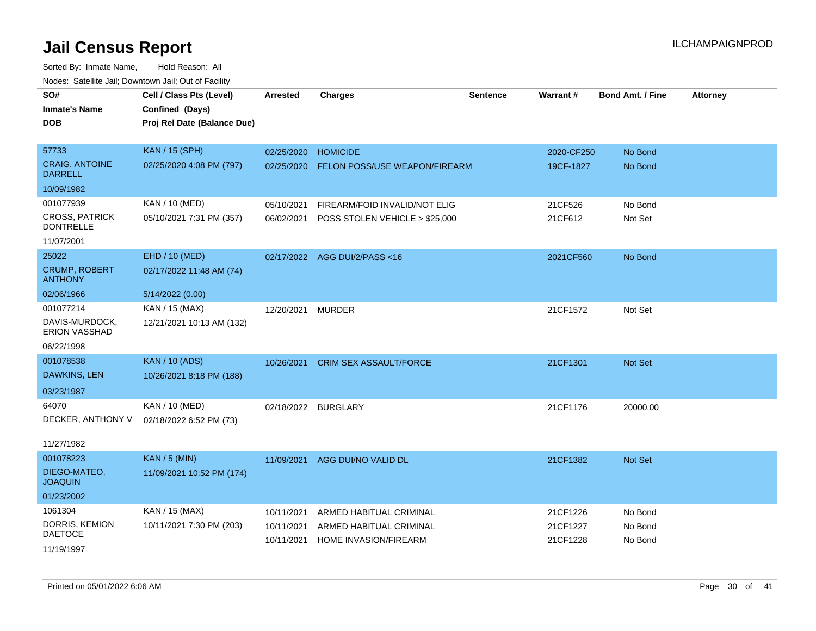| roaco. Catolino cali, Downtown cali, Out of Fability |                             |                     |                                |          |            |                         |                 |
|------------------------------------------------------|-----------------------------|---------------------|--------------------------------|----------|------------|-------------------------|-----------------|
| SO#                                                  | Cell / Class Pts (Level)    | <b>Arrested</b>     | <b>Charges</b>                 | Sentence | Warrant#   | <b>Bond Amt. / Fine</b> | <b>Attorney</b> |
| <b>Inmate's Name</b>                                 | Confined (Days)             |                     |                                |          |            |                         |                 |
| <b>DOB</b>                                           | Proj Rel Date (Balance Due) |                     |                                |          |            |                         |                 |
|                                                      |                             |                     |                                |          |            |                         |                 |
| 57733                                                | <b>KAN / 15 (SPH)</b>       | 02/25/2020          | <b>HOMICIDE</b>                |          | 2020-CF250 | No Bond                 |                 |
| <b>CRAIG, ANTOINE</b><br><b>DARRELL</b>              | 02/25/2020 4:08 PM (797)    | 02/25/2020          | FELON POSS/USE WEAPON/FIREARM  |          | 19CF-1827  | No Bond                 |                 |
| 10/09/1982                                           |                             |                     |                                |          |            |                         |                 |
| 001077939                                            | KAN / 10 (MED)              | 05/10/2021          | FIREARM/FOID INVALID/NOT ELIG  |          | 21CF526    | No Bond                 |                 |
| <b>CROSS, PATRICK</b><br><b>DONTRELLE</b>            | 05/10/2021 7:31 PM (357)    | 06/02/2021          | POSS STOLEN VEHICLE > \$25,000 |          | 21CF612    | Not Set                 |                 |
| 11/07/2001                                           |                             |                     |                                |          |            |                         |                 |
| 25022                                                | EHD / 10 (MED)              |                     | 02/17/2022 AGG DUI/2/PASS<16   |          | 2021CF560  | No Bond                 |                 |
| <b>CRUMP, ROBERT</b><br><b>ANTHONY</b>               | 02/17/2022 11:48 AM (74)    |                     |                                |          |            |                         |                 |
| 02/06/1966                                           | 5/14/2022 (0.00)            |                     |                                |          |            |                         |                 |
| 001077214                                            | KAN / 15 (MAX)              | 12/20/2021          | <b>MURDER</b>                  |          | 21CF1572   | Not Set                 |                 |
| DAVIS-MURDOCK,<br><b>ERION VASSHAD</b>               | 12/21/2021 10:13 AM (132)   |                     |                                |          |            |                         |                 |
| 06/22/1998                                           |                             |                     |                                |          |            |                         |                 |
| 001078538                                            | <b>KAN / 10 (ADS)</b>       | 10/26/2021          | <b>CRIM SEX ASSAULT/FORCE</b>  |          | 21CF1301   | Not Set                 |                 |
| DAWKINS, LEN                                         | 10/26/2021 8:18 PM (188)    |                     |                                |          |            |                         |                 |
| 03/23/1987                                           |                             |                     |                                |          |            |                         |                 |
| 64070                                                | KAN / 10 (MED)              | 02/18/2022 BURGLARY |                                |          | 21CF1176   | 20000.00                |                 |
| DECKER, ANTHONY V                                    | 02/18/2022 6:52 PM (73)     |                     |                                |          |            |                         |                 |
|                                                      |                             |                     |                                |          |            |                         |                 |
| 11/27/1982                                           |                             |                     |                                |          |            |                         |                 |
| 001078223                                            | <b>KAN / 5 (MIN)</b>        | 11/09/2021          | AGG DUI/NO VALID DL            |          | 21CF1382   | Not Set                 |                 |
| DIEGO-MATEO,<br><b>JOAQUIN</b>                       | 11/09/2021 10:52 PM (174)   |                     |                                |          |            |                         |                 |
| 01/23/2002                                           |                             |                     |                                |          |            |                         |                 |
| 1061304                                              | KAN / 15 (MAX)              | 10/11/2021          | ARMED HABITUAL CRIMINAL        |          | 21CF1226   | No Bond                 |                 |
| DORRIS, KEMION                                       | 10/11/2021 7:30 PM (203)    | 10/11/2021          | ARMED HABITUAL CRIMINAL        |          | 21CF1227   | No Bond                 |                 |
| <b>DAETOCE</b>                                       |                             | 10/11/2021          | HOME INVASION/FIREARM          |          | 21CF1228   | No Bond                 |                 |
| 11/19/1997                                           |                             |                     |                                |          |            |                         |                 |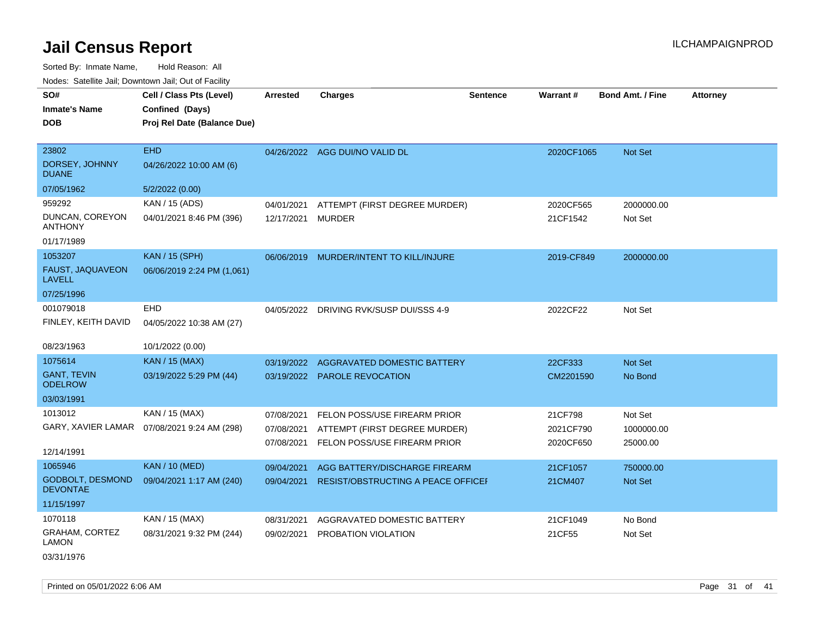Sorted By: Inmate Name, Hold Reason: All Nodes: Satellite Jail; Downtown Jail; Out of Facility

| SO#                                  | Cell / Class Pts (Level)                     | <b>Arrested</b> | <b>Charges</b>                            | <b>Sentence</b> | Warrant#   | <b>Bond Amt. / Fine</b> | <b>Attorney</b> |
|--------------------------------------|----------------------------------------------|-----------------|-------------------------------------------|-----------------|------------|-------------------------|-----------------|
| <b>Inmate's Name</b>                 | Confined (Days)                              |                 |                                           |                 |            |                         |                 |
| <b>DOB</b>                           | Proj Rel Date (Balance Due)                  |                 |                                           |                 |            |                         |                 |
|                                      |                                              |                 |                                           |                 |            |                         |                 |
| 23802                                | <b>EHD</b>                                   |                 | 04/26/2022 AGG DUI/NO VALID DL            |                 | 2020CF1065 | <b>Not Set</b>          |                 |
| DORSEY, JOHNNY<br><b>DUANE</b>       | 04/26/2022 10:00 AM (6)                      |                 |                                           |                 |            |                         |                 |
| 07/05/1962                           | 5/2/2022 (0.00)                              |                 |                                           |                 |            |                         |                 |
| 959292                               | KAN / 15 (ADS)                               | 04/01/2021      | ATTEMPT (FIRST DEGREE MURDER)             |                 | 2020CF565  | 2000000.00              |                 |
| DUNCAN, COREYON<br><b>ANTHONY</b>    | 04/01/2021 8:46 PM (396)                     | 12/17/2021      | <b>MURDER</b>                             |                 | 21CF1542   | Not Set                 |                 |
| 01/17/1989                           |                                              |                 |                                           |                 |            |                         |                 |
| 1053207                              | <b>KAN / 15 (SPH)</b>                        |                 | 06/06/2019 MURDER/INTENT TO KILL/INJURE   |                 | 2019-CF849 | 2000000.00              |                 |
| FAUST, JAQUAVEON<br><b>LAVELL</b>    | 06/06/2019 2:24 PM (1,061)                   |                 |                                           |                 |            |                         |                 |
| 07/25/1996                           |                                              |                 |                                           |                 |            |                         |                 |
| 001079018                            | <b>EHD</b>                                   |                 | 04/05/2022 DRIVING RVK/SUSP DUI/SSS 4-9   |                 | 2022CF22   | Not Set                 |                 |
| FINLEY, KEITH DAVID                  | 04/05/2022 10:38 AM (27)                     |                 |                                           |                 |            |                         |                 |
| 08/23/1963                           | 10/1/2022 (0.00)                             |                 |                                           |                 |            |                         |                 |
| 1075614                              | <b>KAN / 15 (MAX)</b>                        | 03/19/2022      | <b>AGGRAVATED DOMESTIC BATTERY</b>        |                 | 22CF333    | Not Set                 |                 |
| <b>GANT, TEVIN</b><br><b>ODELROW</b> | 03/19/2022 5:29 PM (44)                      |                 | 03/19/2022 PAROLE REVOCATION              |                 | CM2201590  | No Bond                 |                 |
| 03/03/1991                           |                                              |                 |                                           |                 |            |                         |                 |
| 1013012                              | KAN / 15 (MAX)                               | 07/08/2021      | FELON POSS/USE FIREARM PRIOR              |                 | 21CF798    | Not Set                 |                 |
|                                      | GARY, XAVIER LAMAR  07/08/2021 9:24 AM (298) | 07/08/2021      | ATTEMPT (FIRST DEGREE MURDER)             |                 | 2021CF790  | 1000000.00              |                 |
|                                      |                                              | 07/08/2021      | FELON POSS/USE FIREARM PRIOR              |                 | 2020CF650  | 25000.00                |                 |
| 12/14/1991                           |                                              |                 |                                           |                 |            |                         |                 |
| 1065946                              | <b>KAN / 10 (MED)</b>                        | 09/04/2021      | AGG BATTERY/DISCHARGE FIREARM             |                 | 21CF1057   | 750000.00               |                 |
| GODBOLT, DESMOND<br><b>DEVONTAE</b>  | 09/04/2021 1:17 AM (240)                     | 09/04/2021      | <b>RESIST/OBSTRUCTING A PEACE OFFICEF</b> |                 | 21CM407    | Not Set                 |                 |
| 11/15/1997                           |                                              |                 |                                           |                 |            |                         |                 |
| 1070118                              | KAN / 15 (MAX)                               | 08/31/2021      | AGGRAVATED DOMESTIC BATTERY               |                 | 21CF1049   | No Bond                 |                 |
| GRAHAM, CORTEZ<br><b>LAMON</b>       | 08/31/2021 9:32 PM (244)                     | 09/02/2021      | PROBATION VIOLATION                       |                 | 21CF55     | Not Set                 |                 |

03/31/1976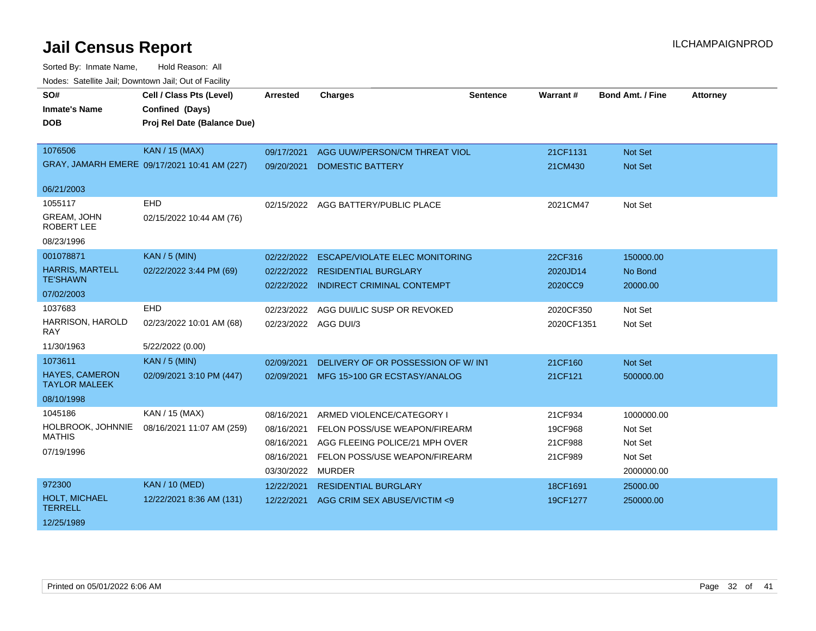| SO#                                           | Cell / Class Pts (Level)                     | <b>Arrested</b>      | <b>Charges</b>                        | <b>Sentence</b> | Warrant#   | <b>Bond Amt. / Fine</b> | <b>Attorney</b> |
|-----------------------------------------------|----------------------------------------------|----------------------|---------------------------------------|-----------------|------------|-------------------------|-----------------|
| <b>Inmate's Name</b>                          | Confined (Days)                              |                      |                                       |                 |            |                         |                 |
| <b>DOB</b>                                    | Proj Rel Date (Balance Due)                  |                      |                                       |                 |            |                         |                 |
|                                               |                                              |                      |                                       |                 |            |                         |                 |
| 1076506                                       | <b>KAN / 15 (MAX)</b>                        | 09/17/2021           | AGG UUW/PERSON/CM THREAT VIOL         |                 | 21CF1131   | Not Set                 |                 |
|                                               | GRAY, JAMARH EMERE 09/17/2021 10:41 AM (227) | 09/20/2021           | <b>DOMESTIC BATTERY</b>               |                 | 21CM430    | Not Set                 |                 |
| 06/21/2003                                    |                                              |                      |                                       |                 |            |                         |                 |
| 1055117                                       | <b>EHD</b>                                   |                      | 02/15/2022 AGG BATTERY/PUBLIC PLACE   |                 | 2021CM47   | Not Set                 |                 |
| GREAM, JOHN<br><b>ROBERT LEE</b>              | 02/15/2022 10:44 AM (76)                     |                      |                                       |                 |            |                         |                 |
| 08/23/1996                                    |                                              |                      |                                       |                 |            |                         |                 |
| 001078871                                     | <b>KAN / 5 (MIN)</b>                         | 02/22/2022           | <b>ESCAPE/VIOLATE ELEC MONITORING</b> |                 | 22CF316    | 150000.00               |                 |
| <b>HARRIS, MARTELL</b>                        | 02/22/2022 3:44 PM (69)                      | 02/22/2022           | <b>RESIDENTIAL BURGLARY</b>           |                 | 2020JD14   | No Bond                 |                 |
| <b>TE'SHAWN</b>                               |                                              |                      | 02/22/2022 INDIRECT CRIMINAL CONTEMPT |                 | 2020CC9    | 20000.00                |                 |
| 07/02/2003                                    |                                              |                      |                                       |                 |            |                         |                 |
| 1037683                                       | <b>EHD</b>                                   | 02/23/2022           | AGG DUI/LIC SUSP OR REVOKED           |                 | 2020CF350  | Not Set                 |                 |
| HARRISON, HAROLD<br>RAY                       | 02/23/2022 10:01 AM (68)                     | 02/23/2022 AGG DUI/3 |                                       |                 | 2020CF1351 | Not Set                 |                 |
| 11/30/1963                                    | 5/22/2022 (0.00)                             |                      |                                       |                 |            |                         |                 |
| 1073611                                       | <b>KAN / 5 (MIN)</b>                         | 02/09/2021           | DELIVERY OF OR POSSESSION OF W/INT    |                 | 21CF160    | Not Set                 |                 |
| <b>HAYES, CAMERON</b><br><b>TAYLOR MALEEK</b> | 02/09/2021 3:10 PM (447)                     | 02/09/2021           | MFG 15>100 GR ECSTASY/ANALOG          |                 | 21CF121    | 500000.00               |                 |
| 08/10/1998                                    |                                              |                      |                                       |                 |            |                         |                 |
| 1045186                                       | KAN / 15 (MAX)                               | 08/16/2021           | ARMED VIOLENCE/CATEGORY I             |                 | 21CF934    | 1000000.00              |                 |
| HOLBROOK, JOHNNIE                             | 08/16/2021 11:07 AM (259)                    | 08/16/2021           | FELON POSS/USE WEAPON/FIREARM         |                 | 19CF968    | Not Set                 |                 |
| <b>MATHIS</b>                                 |                                              | 08/16/2021           | AGG FLEEING POLICE/21 MPH OVER        |                 | 21CF988    | Not Set                 |                 |
| 07/19/1996                                    |                                              | 08/16/2021           | FELON POSS/USE WEAPON/FIREARM         |                 | 21CF989    | Not Set                 |                 |
|                                               |                                              | 03/30/2022           | MURDER                                |                 |            | 2000000.00              |                 |
| 972300                                        | <b>KAN / 10 (MED)</b>                        | 12/22/2021           | <b>RESIDENTIAL BURGLARY</b>           |                 | 18CF1691   | 25000.00                |                 |
| HOLT, MICHAEL<br><b>TERRELL</b>               | 12/22/2021 8:36 AM (131)                     | 12/22/2021           | AGG CRIM SEX ABUSE/VICTIM <9          |                 | 19CF1277   | 250000.00               |                 |
| 12/25/1989                                    |                                              |                      |                                       |                 |            |                         |                 |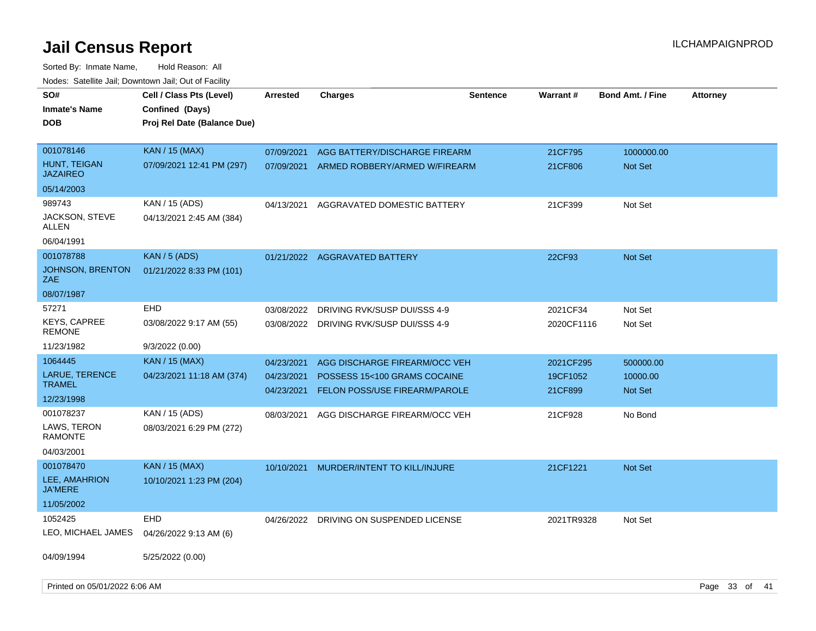Sorted By: Inmate Name, Hold Reason: All

| Nodes: Satellite Jail; Downtown Jail; Out of Facility |                             |                          |                                                               |                 |                     |                         |                 |  |
|-------------------------------------------------------|-----------------------------|--------------------------|---------------------------------------------------------------|-----------------|---------------------|-------------------------|-----------------|--|
| SO#                                                   | Cell / Class Pts (Level)    | <b>Arrested</b>          | <b>Charges</b>                                                | <b>Sentence</b> | Warrant#            | <b>Bond Amt. / Fine</b> | <b>Attorney</b> |  |
| <b>Inmate's Name</b>                                  | Confined (Days)             |                          |                                                               |                 |                     |                         |                 |  |
| <b>DOB</b>                                            | Proj Rel Date (Balance Due) |                          |                                                               |                 |                     |                         |                 |  |
|                                                       |                             |                          |                                                               |                 |                     |                         |                 |  |
| 001078146                                             | <b>KAN</b> / 15 (MAX)       | 07/09/2021               | AGG BATTERY/DISCHARGE FIREARM                                 |                 | 21CF795             | 1000000.00              |                 |  |
| HUNT, TEIGAN<br><b>JAZAIREO</b>                       | 07/09/2021 12:41 PM (297)   | 07/09/2021               | ARMED ROBBERY/ARMED W/FIREARM                                 |                 | 21CF806             | Not Set                 |                 |  |
| 05/14/2003                                            |                             |                          |                                                               |                 |                     |                         |                 |  |
| 989743                                                | KAN / 15 (ADS)              | 04/13/2021               | AGGRAVATED DOMESTIC BATTERY                                   |                 | 21CF399             | Not Set                 |                 |  |
| JACKSON, STEVE<br>ALLEN                               | 04/13/2021 2:45 AM (384)    |                          |                                                               |                 |                     |                         |                 |  |
| 06/04/1991                                            |                             |                          |                                                               |                 |                     |                         |                 |  |
| 001078788                                             | <b>KAN / 5 (ADS)</b>        |                          | 01/21/2022 AGGRAVATED BATTERY                                 |                 | 22CF93              | <b>Not Set</b>          |                 |  |
| <b>JOHNSON, BRENTON</b><br>ZAE                        | 01/21/2022 8:33 PM (101)    |                          |                                                               |                 |                     |                         |                 |  |
| 08/07/1987                                            |                             |                          |                                                               |                 |                     |                         |                 |  |
| 57271                                                 | <b>EHD</b>                  | 03/08/2022               | DRIVING RVK/SUSP DUI/SSS 4-9                                  |                 | 2021CF34            | Not Set                 |                 |  |
| <b>KEYS, CAPREE</b><br><b>REMONE</b>                  | 03/08/2022 9:17 AM (55)     |                          | 03/08/2022 DRIVING RVK/SUSP DUI/SSS 4-9                       |                 | 2020CF1116          | Not Set                 |                 |  |
| 11/23/1982                                            | 9/3/2022(0.00)              |                          |                                                               |                 |                     |                         |                 |  |
| 1064445                                               | <b>KAN</b> / 15 (MAX)       | 04/23/2021               | AGG DISCHARGE FIREARM/OCC VEH                                 |                 | 2021CF295           | 500000.00               |                 |  |
| LARUE, TERENCE<br><b>TRAMEL</b>                       | 04/23/2021 11:18 AM (374)   | 04/23/2021<br>04/23/2021 | POSSESS 15<100 GRAMS COCAINE<br>FELON POSS/USE FIREARM/PAROLE |                 | 19CF1052<br>21CF899 | 10000.00<br>Not Set     |                 |  |
| 12/23/1998                                            |                             |                          |                                                               |                 |                     |                         |                 |  |
| 001078237                                             | KAN / 15 (ADS)              | 08/03/2021               | AGG DISCHARGE FIREARM/OCC VEH                                 |                 | 21CF928             | No Bond                 |                 |  |
| LAWS, TERON<br><b>RAMONTE</b>                         | 08/03/2021 6:29 PM (272)    |                          |                                                               |                 |                     |                         |                 |  |
| 04/03/2001                                            |                             |                          |                                                               |                 |                     |                         |                 |  |
| 001078470                                             | <b>KAN / 15 (MAX)</b>       | 10/10/2021               | MURDER/INTENT TO KILL/INJURE                                  |                 | 21CF1221            | Not Set                 |                 |  |
| LEE, AMAHRION<br><b>JA'MERE</b>                       | 10/10/2021 1:23 PM (204)    |                          |                                                               |                 |                     |                         |                 |  |
| 11/05/2002                                            |                             |                          |                                                               |                 |                     |                         |                 |  |
| 1052425                                               | <b>EHD</b>                  | 04/26/2022               | DRIVING ON SUSPENDED LICENSE                                  |                 | 2021TR9328          | Not Set                 |                 |  |
| LEO, MICHAEL JAMES                                    | 04/26/2022 9:13 AM (6)      |                          |                                                               |                 |                     |                         |                 |  |
| 04/09/1994                                            | 5/25/2022 (0.00)            |                          |                                                               |                 |                     |                         |                 |  |
| Printed on 05/01/2022 6:06 AM                         |                             |                          |                                                               |                 |                     |                         | Page 33 of 41   |  |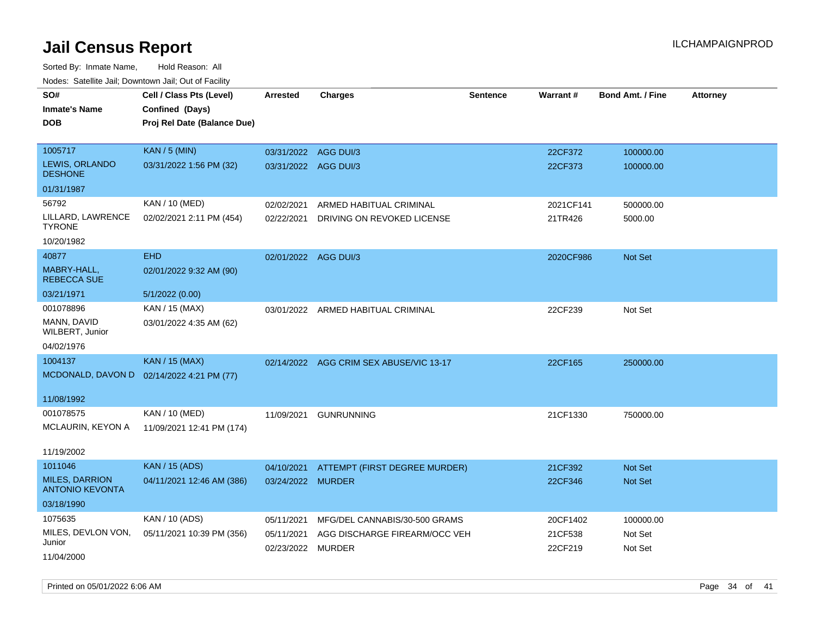| roaco. Odichile Jan, Downtown Jan, Out of Facility |                                           |                      |                                         |                 |           |                         |                 |
|----------------------------------------------------|-------------------------------------------|----------------------|-----------------------------------------|-----------------|-----------|-------------------------|-----------------|
| SO#                                                | Cell / Class Pts (Level)                  | <b>Arrested</b>      | <b>Charges</b>                          | <b>Sentence</b> | Warrant#  | <b>Bond Amt. / Fine</b> | <b>Attorney</b> |
| <b>Inmate's Name</b>                               | Confined (Days)                           |                      |                                         |                 |           |                         |                 |
| <b>DOB</b>                                         | Proj Rel Date (Balance Due)               |                      |                                         |                 |           |                         |                 |
|                                                    |                                           |                      |                                         |                 |           |                         |                 |
| 1005717                                            | <b>KAN / 5 (MIN)</b>                      | 03/31/2022 AGG DUI/3 |                                         |                 | 22CF372   | 100000.00               |                 |
| LEWIS, ORLANDO<br><b>DESHONE</b>                   | 03/31/2022 1:56 PM (32)                   | 03/31/2022 AGG DUI/3 |                                         |                 | 22CF373   | 100000.00               |                 |
| 01/31/1987                                         |                                           |                      |                                         |                 |           |                         |                 |
| 56792                                              | KAN / 10 (MED)                            | 02/02/2021           | ARMED HABITUAL CRIMINAL                 |                 | 2021CF141 | 500000.00               |                 |
| LILLARD, LAWRENCE<br><b>TYRONE</b>                 | 02/02/2021 2:11 PM (454)                  | 02/22/2021           | DRIVING ON REVOKED LICENSE              |                 | 21TR426   | 5000.00                 |                 |
| 10/20/1982                                         |                                           |                      |                                         |                 |           |                         |                 |
| 40877                                              | <b>EHD</b>                                | 02/01/2022 AGG DUI/3 |                                         |                 | 2020CF986 | Not Set                 |                 |
| MABRY-HALL,<br><b>REBECCA SUE</b>                  | 02/01/2022 9:32 AM (90)                   |                      |                                         |                 |           |                         |                 |
| 03/21/1971                                         | 5/1/2022 (0.00)                           |                      |                                         |                 |           |                         |                 |
| 001078896                                          | KAN / 15 (MAX)                            |                      | 03/01/2022 ARMED HABITUAL CRIMINAL      |                 | 22CF239   | Not Set                 |                 |
| MANN, DAVID<br>WILBERT, Junior                     | 03/01/2022 4:35 AM (62)                   |                      |                                         |                 |           |                         |                 |
| 04/02/1976                                         |                                           |                      |                                         |                 |           |                         |                 |
| 1004137                                            | <b>KAN / 15 (MAX)</b>                     |                      | 02/14/2022 AGG CRIM SEX ABUSE/VIC 13-17 |                 | 22CF165   | 250000.00               |                 |
|                                                    | MCDONALD, DAVON D 02/14/2022 4:21 PM (77) |                      |                                         |                 |           |                         |                 |
|                                                    |                                           |                      |                                         |                 |           |                         |                 |
| 11/08/1992                                         |                                           |                      |                                         |                 |           |                         |                 |
| 001078575                                          | KAN / 10 (MED)                            | 11/09/2021           | <b>GUNRUNNING</b>                       |                 | 21CF1330  | 750000.00               |                 |
| MCLAURIN, KEYON A                                  | 11/09/2021 12:41 PM (174)                 |                      |                                         |                 |           |                         |                 |
| 11/19/2002                                         |                                           |                      |                                         |                 |           |                         |                 |
| 1011046                                            | <b>KAN / 15 (ADS)</b>                     | 04/10/2021           | ATTEMPT (FIRST DEGREE MURDER)           |                 | 21CF392   | <b>Not Set</b>          |                 |
| <b>MILES, DARRION</b><br><b>ANTONIO KEVONTA</b>    | 04/11/2021 12:46 AM (386)                 | 03/24/2022 MURDER    |                                         |                 | 22CF346   | Not Set                 |                 |
| 03/18/1990                                         |                                           |                      |                                         |                 |           |                         |                 |
| 1075635                                            | KAN / 10 (ADS)                            | 05/11/2021           | MFG/DEL CANNABIS/30-500 GRAMS           |                 | 20CF1402  | 100000.00               |                 |
| MILES, DEVLON VON,                                 | 05/11/2021 10:39 PM (356)                 | 05/11/2021           | AGG DISCHARGE FIREARM/OCC VEH           |                 | 21CF538   | Not Set                 |                 |
| Junior                                             |                                           | 02/23/2022 MURDER    |                                         |                 | 22CF219   | Not Set                 |                 |
| 11/04/2000                                         |                                           |                      |                                         |                 |           |                         |                 |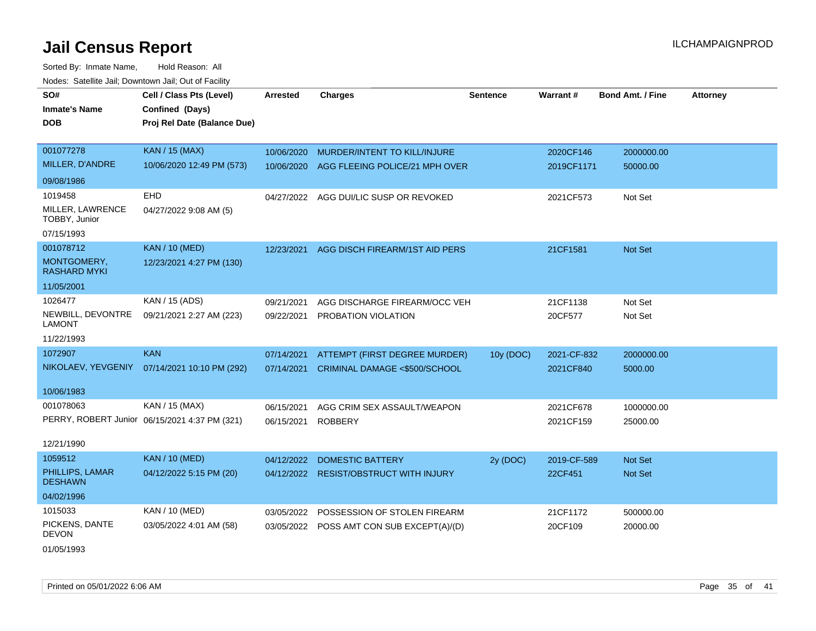Sorted By: Inmate Name, Hold Reason: All Nodes: Satellite Jail; Downtown Jail; Out of Facility

| SO#                                | Cell / Class Pts (Level)                      | <b>Arrested</b> | <b>Charges</b>                            | <b>Sentence</b> | Warrant#    | <b>Bond Amt. / Fine</b> | <b>Attorney</b> |
|------------------------------------|-----------------------------------------------|-----------------|-------------------------------------------|-----------------|-------------|-------------------------|-----------------|
| <b>Inmate's Name</b>               | Confined (Days)                               |                 |                                           |                 |             |                         |                 |
| <b>DOB</b>                         | Proj Rel Date (Balance Due)                   |                 |                                           |                 |             |                         |                 |
|                                    |                                               |                 |                                           |                 |             |                         |                 |
| 001077278                          | <b>KAN / 15 (MAX)</b>                         | 10/06/2020      | MURDER/INTENT TO KILL/INJURE              |                 | 2020CF146   | 2000000.00              |                 |
| MILLER, D'ANDRE                    | 10/06/2020 12:49 PM (573)                     | 10/06/2020      | AGG FLEEING POLICE/21 MPH OVER            |                 | 2019CF1171  | 50000.00                |                 |
| 09/08/1986                         |                                               |                 |                                           |                 |             |                         |                 |
| 1019458                            | <b>EHD</b>                                    | 04/27/2022      | AGG DUI/LIC SUSP OR REVOKED               |                 | 2021CF573   | Not Set                 |                 |
| MILLER, LAWRENCE<br>TOBBY, Junior  | 04/27/2022 9:08 AM (5)                        |                 |                                           |                 |             |                         |                 |
| 07/15/1993                         |                                               |                 |                                           |                 |             |                         |                 |
| 001078712                          | <b>KAN / 10 (MED)</b>                         | 12/23/2021      | AGG DISCH FIREARM/1ST AID PERS            |                 | 21CF1581    | Not Set                 |                 |
| MONTGOMERY,<br><b>RASHARD MYKI</b> | 12/23/2021 4:27 PM (130)                      |                 |                                           |                 |             |                         |                 |
| 11/05/2001                         |                                               |                 |                                           |                 |             |                         |                 |
| 1026477                            | KAN / 15 (ADS)                                | 09/21/2021      | AGG DISCHARGE FIREARM/OCC VEH             |                 | 21CF1138    | Not Set                 |                 |
| NEWBILL, DEVONTRE<br><b>LAMONT</b> | 09/21/2021 2:27 AM (223)                      | 09/22/2021      | PROBATION VIOLATION                       |                 | 20CF577     | Not Set                 |                 |
| 11/22/1993                         |                                               |                 |                                           |                 |             |                         |                 |
| 1072907                            | <b>KAN</b>                                    | 07/14/2021      | ATTEMPT (FIRST DEGREE MURDER)             | 10y (DOC)       | 2021-CF-832 | 2000000.00              |                 |
|                                    | NIKOLAEV, YEVGENIY 07/14/2021 10:10 PM (292)  | 07/14/2021      | CRIMINAL DAMAGE <\$500/SCHOOL             |                 | 2021CF840   | 5000.00                 |                 |
| 10/06/1983                         |                                               |                 |                                           |                 |             |                         |                 |
| 001078063                          | KAN / 15 (MAX)                                | 06/15/2021      | AGG CRIM SEX ASSAULT/WEAPON               |                 | 2021CF678   | 1000000.00              |                 |
|                                    | PERRY, ROBERT Junior 06/15/2021 4:37 PM (321) | 06/15/2021      | <b>ROBBERY</b>                            |                 | 2021CF159   | 25000.00                |                 |
| 12/21/1990                         |                                               |                 |                                           |                 |             |                         |                 |
| 1059512                            | <b>KAN / 10 (MED)</b>                         | 04/12/2022      | <b>DOMESTIC BATTERY</b>                   | 2y (DOC)        | 2019-CF-589 | <b>Not Set</b>          |                 |
| PHILLIPS, LAMAR<br><b>DESHAWN</b>  | 04/12/2022 5:15 PM (20)                       | 04/12/2022      | <b>RESIST/OBSTRUCT WITH INJURY</b>        |                 | 22CF451     | Not Set                 |                 |
| 04/02/1996                         |                                               |                 |                                           |                 |             |                         |                 |
| 1015033                            | KAN / 10 (MED)                                | 03/05/2022      | POSSESSION OF STOLEN FIREARM              |                 | 21CF1172    | 500000.00               |                 |
| PICKENS, DANTE<br><b>DEVON</b>     | 03/05/2022 4:01 AM (58)                       |                 | 03/05/2022 POSS AMT CON SUB EXCEPT(A)/(D) |                 | 20CF109     | 20000.00                |                 |

01/05/1993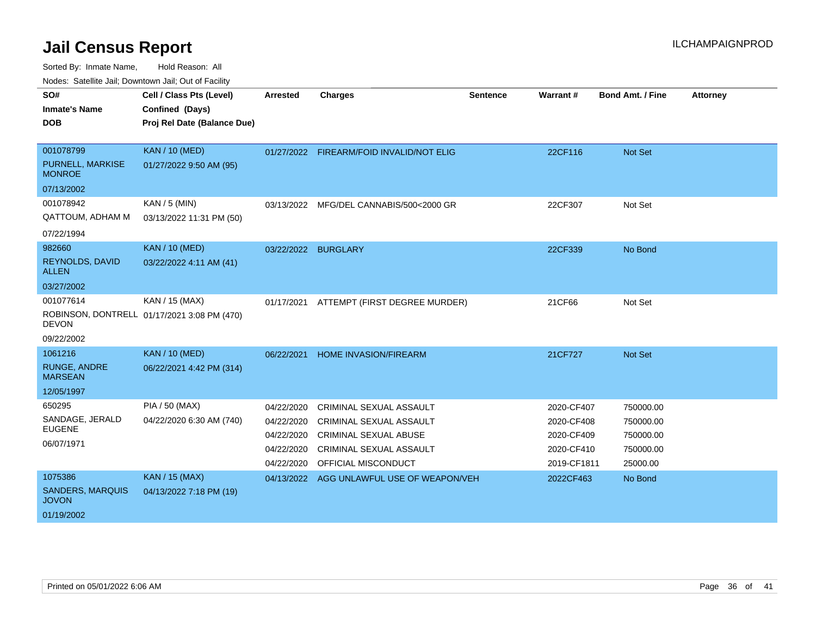Sorted By: Inmate Name, Hold Reason: All

Nodes: Satellite Jail; Downtown Jail; Out of Facility

| SO#                                     | Cell / Class Pts (Level)                    | Arrested   | <b>Charges</b>                            | <b>Sentence</b> | Warrant#    | <b>Bond Amt. / Fine</b> | <b>Attorney</b> |
|-----------------------------------------|---------------------------------------------|------------|-------------------------------------------|-----------------|-------------|-------------------------|-----------------|
| <b>Inmate's Name</b>                    | Confined (Days)                             |            |                                           |                 |             |                         |                 |
| <b>DOB</b>                              | Proj Rel Date (Balance Due)                 |            |                                           |                 |             |                         |                 |
|                                         |                                             |            |                                           |                 |             |                         |                 |
| 001078799                               | <b>KAN / 10 (MED)</b>                       |            | 01/27/2022 FIREARM/FOID INVALID/NOT ELIG  |                 | 22CF116     | Not Set                 |                 |
| PURNELL, MARKISE<br><b>MONROE</b>       | 01/27/2022 9:50 AM (95)                     |            |                                           |                 |             |                         |                 |
| 07/13/2002                              |                                             |            |                                           |                 |             |                         |                 |
| 001078942                               | KAN / 5 (MIN)                               | 03/13/2022 | MFG/DEL CANNABIS/500<2000 GR              |                 | 22CF307     | Not Set                 |                 |
| QATTOUM, ADHAM M                        | 03/13/2022 11:31 PM (50)                    |            |                                           |                 |             |                         |                 |
| 07/22/1994                              |                                             |            |                                           |                 |             |                         |                 |
| 982660                                  | <b>KAN / 10 (MED)</b>                       |            | 03/22/2022 BURGLARY                       |                 | 22CF339     | No Bond                 |                 |
| REYNOLDS, DAVID<br><b>ALLEN</b>         | 03/22/2022 4:11 AM (41)                     |            |                                           |                 |             |                         |                 |
| 03/27/2002                              |                                             |            |                                           |                 |             |                         |                 |
| 001077614                               | KAN / 15 (MAX)                              | 01/17/2021 | ATTEMPT (FIRST DEGREE MURDER)             |                 | 21CF66      | Not Set                 |                 |
| <b>DEVON</b>                            | ROBINSON, DONTRELL 01/17/2021 3:08 PM (470) |            |                                           |                 |             |                         |                 |
| 09/22/2002                              |                                             |            |                                           |                 |             |                         |                 |
| 1061216                                 | <b>KAN / 10 (MED)</b>                       | 06/22/2021 | HOME INVASION/FIREARM                     |                 | 21CF727     | Not Set                 |                 |
| <b>RUNGE, ANDRE</b><br><b>MARSEAN</b>   | 06/22/2021 4:42 PM (314)                    |            |                                           |                 |             |                         |                 |
| 12/05/1997                              |                                             |            |                                           |                 |             |                         |                 |
| 650295                                  | PIA / 50 (MAX)                              | 04/22/2020 | <b>CRIMINAL SEXUAL ASSAULT</b>            |                 | 2020-CF407  | 750000.00               |                 |
| SANDAGE, JERALD                         | 04/22/2020 6:30 AM (740)                    | 04/22/2020 | <b>CRIMINAL SEXUAL ASSAULT</b>            |                 | 2020-CF408  | 750000.00               |                 |
| <b>EUGENE</b>                           |                                             | 04/22/2020 | <b>CRIMINAL SEXUAL ABUSE</b>              |                 | 2020-CF409  | 750000.00               |                 |
| 06/07/1971                              |                                             | 04/22/2020 | CRIMINAL SEXUAL ASSAULT                   |                 | 2020-CF410  | 750000.00               |                 |
|                                         |                                             | 04/22/2020 | OFFICIAL MISCONDUCT                       |                 | 2019-CF1811 | 25000.00                |                 |
| 1075386                                 | <b>KAN / 15 (MAX)</b>                       |            | 04/13/2022 AGG UNLAWFUL USE OF WEAPON/VEH |                 | 2022CF463   | No Bond                 |                 |
| <b>SANDERS, MARQUIS</b><br><b>JOVON</b> | 04/13/2022 7:18 PM (19)                     |            |                                           |                 |             |                         |                 |
| 01/19/2002                              |                                             |            |                                           |                 |             |                         |                 |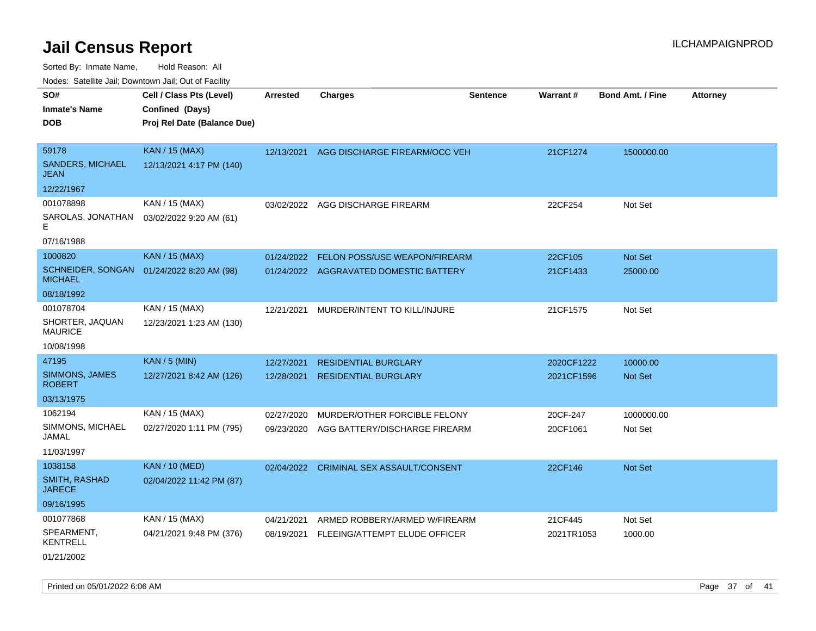Sorted By: Inmate Name, Hold Reason: All

| Nodes: Satellite Jail; Downtown Jail; Out of Facility |                             |                 |                                        |                 |                 |                  |                 |  |
|-------------------------------------------------------|-----------------------------|-----------------|----------------------------------------|-----------------|-----------------|------------------|-----------------|--|
| SO#                                                   | Cell / Class Pts (Level)    | <b>Arrested</b> | <b>Charges</b>                         | <b>Sentence</b> | <b>Warrant#</b> | Bond Amt. / Fine | <b>Attorney</b> |  |
| <b>Inmate's Name</b>                                  | Confined (Days)             |                 |                                        |                 |                 |                  |                 |  |
| <b>DOB</b>                                            | Proj Rel Date (Balance Due) |                 |                                        |                 |                 |                  |                 |  |
|                                                       |                             |                 |                                        |                 |                 |                  |                 |  |
| 59178                                                 | <b>KAN / 15 (MAX)</b>       | 12/13/2021      | AGG DISCHARGE FIREARM/OCC VEH          |                 | 21CF1274        | 1500000.00       |                 |  |
| <b>SANDERS, MICHAEL</b><br><b>JEAN</b>                | 12/13/2021 4:17 PM (140)    |                 |                                        |                 |                 |                  |                 |  |
| 12/22/1967                                            |                             |                 |                                        |                 |                 |                  |                 |  |
| 001078898                                             | KAN / 15 (MAX)              | 03/02/2022      | AGG DISCHARGE FIREARM                  |                 | 22CF254         | Not Set          |                 |  |
| SAROLAS, JONATHAN<br>F                                | 03/02/2022 9:20 AM (61)     |                 |                                        |                 |                 |                  |                 |  |
| 07/16/1988                                            |                             |                 |                                        |                 |                 |                  |                 |  |
| 1000820                                               | <b>KAN / 15 (MAX)</b>       | 01/24/2022      | FELON POSS/USE WEAPON/FIREARM          |                 | 22CF105         | Not Set          |                 |  |
| <b>SCHNEIDER, SONGAN</b><br><b>MICHAEL</b>            | 01/24/2022 8:20 AM (98)     |                 | 01/24/2022 AGGRAVATED DOMESTIC BATTERY |                 | 21CF1433        | 25000.00         |                 |  |
| 08/18/1992                                            |                             |                 |                                        |                 |                 |                  |                 |  |
| 001078704                                             | KAN / 15 (MAX)              | 12/21/2021      | MURDER/INTENT TO KILL/INJURE           |                 | 21CF1575        | Not Set          |                 |  |
| SHORTER, JAQUAN<br><b>MAURICE</b>                     | 12/23/2021 1:23 AM (130)    |                 |                                        |                 |                 |                  |                 |  |
| 10/08/1998                                            |                             |                 |                                        |                 |                 |                  |                 |  |
| 47195                                                 | <b>KAN / 5 (MIN)</b>        | 12/27/2021      | <b>RESIDENTIAL BURGLARY</b>            |                 | 2020CF1222      | 10000.00         |                 |  |
| SIMMONS, JAMES<br><b>ROBERT</b>                       | 12/27/2021 8:42 AM (126)    | 12/28/2021      | <b>RESIDENTIAL BURGLARY</b>            |                 | 2021CF1596      | Not Set          |                 |  |
| 03/13/1975                                            |                             |                 |                                        |                 |                 |                  |                 |  |
| 1062194                                               | KAN / 15 (MAX)              | 02/27/2020      | MURDER/OTHER FORCIBLE FELONY           |                 | 20CF-247        | 1000000.00       |                 |  |
| SIMMONS, MICHAEL<br>JAMAL                             | 02/27/2020 1:11 PM (795)    | 09/23/2020      | AGG BATTERY/DISCHARGE FIREARM          |                 | 20CF1061        | Not Set          |                 |  |
| 11/03/1997                                            |                             |                 |                                        |                 |                 |                  |                 |  |
| 1038158                                               | <b>KAN / 10 (MED)</b>       | 02/04/2022      | CRIMINAL SEX ASSAULT/CONSENT           |                 | 22CF146         | Not Set          |                 |  |
| SMITH, RASHAD<br><b>JARECE</b>                        | 02/04/2022 11:42 PM (87)    |                 |                                        |                 |                 |                  |                 |  |
| 09/16/1995                                            |                             |                 |                                        |                 |                 |                  |                 |  |
| 001077868                                             | KAN / 15 (MAX)              | 04/21/2021      | ARMED ROBBERY/ARMED W/FIREARM          |                 | 21CF445         | Not Set          |                 |  |
| SPEARMENT,<br><b>KENTRELL</b>                         | 04/21/2021 9:48 PM (376)    | 08/19/2021      | FLEEING/ATTEMPT ELUDE OFFICER          |                 | 2021TR1053      | 1000.00          |                 |  |
| 01/21/2002                                            |                             |                 |                                        |                 |                 |                  |                 |  |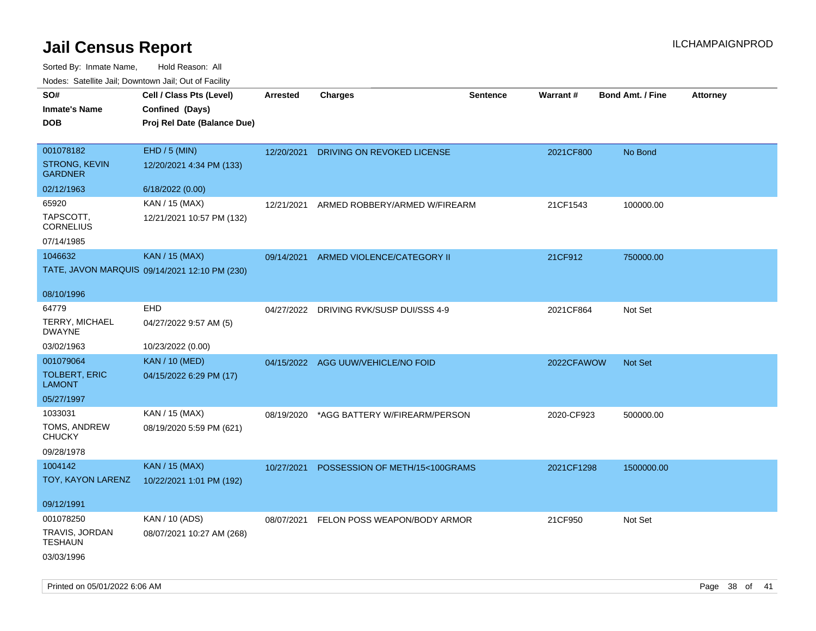| $1100000$ . Catomic ban, Bowmown ban, Oat of Fability<br>SO#<br><b>Inmate's Name</b> | Cell / Class Pts (Level)<br>Confined (Days)   | Arrested   | <b>Charges</b>                          | <b>Sentence</b> | <b>Warrant#</b> | <b>Bond Amt. / Fine</b> | <b>Attorney</b> |
|--------------------------------------------------------------------------------------|-----------------------------------------------|------------|-----------------------------------------|-----------------|-----------------|-------------------------|-----------------|
| <b>DOB</b>                                                                           | Proj Rel Date (Balance Due)                   |            |                                         |                 |                 |                         |                 |
| 001078182                                                                            | EHD / 5 (MIN)                                 | 12/20/2021 | <b>DRIVING ON REVOKED LICENSE</b>       |                 | 2021CF800       | No Bond                 |                 |
| <b>STRONG, KEVIN</b><br><b>GARDNER</b>                                               | 12/20/2021 4:34 PM (133)                      |            |                                         |                 |                 |                         |                 |
| 02/12/1963                                                                           | 6/18/2022 (0.00)                              |            |                                         |                 |                 |                         |                 |
| 65920                                                                                | KAN / 15 (MAX)                                | 12/21/2021 | ARMED ROBBERY/ARMED W/FIREARM           |                 | 21CF1543        | 100000.00               |                 |
| TAPSCOTT,<br><b>CORNELIUS</b>                                                        | 12/21/2021 10:57 PM (132)                     |            |                                         |                 |                 |                         |                 |
| 07/14/1985                                                                           |                                               |            |                                         |                 |                 |                         |                 |
| 1046632                                                                              | <b>KAN / 15 (MAX)</b>                         |            | 09/14/2021 ARMED VIOLENCE/CATEGORY II   |                 | 21CF912         | 750000.00               |                 |
|                                                                                      | TATE, JAVON MARQUIS 09/14/2021 12:10 PM (230) |            |                                         |                 |                 |                         |                 |
| 08/10/1996                                                                           |                                               |            |                                         |                 |                 |                         |                 |
| 64779                                                                                | EHD                                           |            | 04/27/2022 DRIVING RVK/SUSP DUI/SSS 4-9 |                 | 2021CF864       | Not Set                 |                 |
| <b>TERRY, MICHAEL</b><br><b>DWAYNE</b>                                               | 04/27/2022 9:57 AM (5)                        |            |                                         |                 |                 |                         |                 |
| 03/02/1963                                                                           | 10/23/2022 (0.00)                             |            |                                         |                 |                 |                         |                 |
| 001079064                                                                            | <b>KAN / 10 (MED)</b>                         |            | 04/15/2022 AGG UUW/VEHICLE/NO FOID      |                 | 2022CFAWOW      | <b>Not Set</b>          |                 |
| <b>TOLBERT, ERIC</b><br><b>LAMONT</b>                                                | 04/15/2022 6:29 PM (17)                       |            |                                         |                 |                 |                         |                 |
| 05/27/1997                                                                           |                                               |            |                                         |                 |                 |                         |                 |
| 1033031                                                                              | KAN / 15 (MAX)                                | 08/19/2020 | *AGG BATTERY W/FIREARM/PERSON           |                 | 2020-CF923      | 500000.00               |                 |
| TOMS, ANDREW<br><b>CHUCKY</b>                                                        | 08/19/2020 5:59 PM (621)                      |            |                                         |                 |                 |                         |                 |
| 09/28/1978                                                                           |                                               |            |                                         |                 |                 |                         |                 |
| 1004142                                                                              | <b>KAN / 15 (MAX)</b>                         | 10/27/2021 | POSSESSION OF METH/15<100GRAMS          |                 | 2021CF1298      | 1500000.00              |                 |
| TOY, KAYON LARENZ                                                                    | 10/22/2021 1:01 PM (192)                      |            |                                         |                 |                 |                         |                 |
| 09/12/1991                                                                           |                                               |            |                                         |                 |                 |                         |                 |
| 001078250                                                                            | KAN / 10 (ADS)                                | 08/07/2021 | FELON POSS WEAPON/BODY ARMOR            |                 | 21CF950         | Not Set                 |                 |
| TRAVIS, JORDAN<br>TESHAUN                                                            | 08/07/2021 10:27 AM (268)                     |            |                                         |                 |                 |                         |                 |
| 03/03/1996                                                                           |                                               |            |                                         |                 |                 |                         |                 |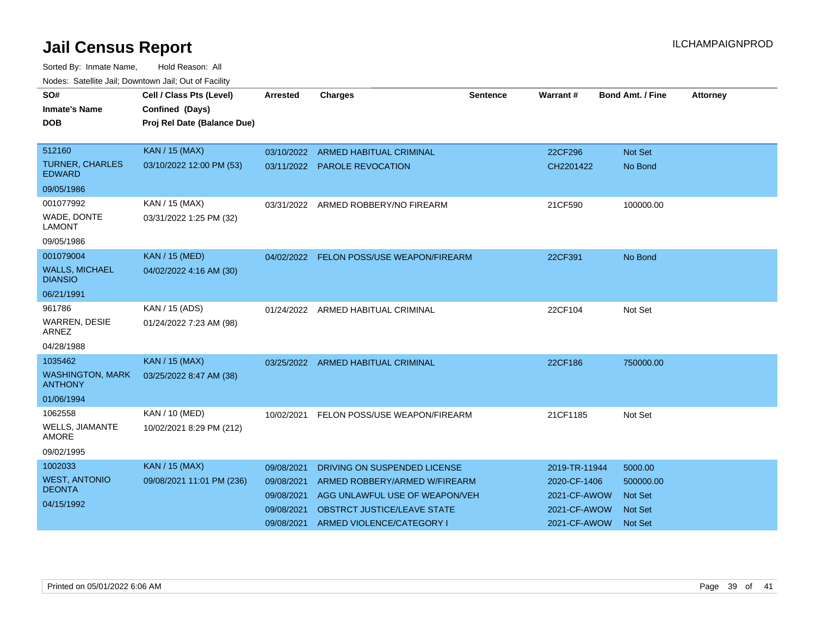| SO#<br><b>Inmate's Name</b><br><b>DOB</b> | Cell / Class Pts (Level)<br>Confined (Days)<br>Proj Rel Date (Balance Due) | <b>Arrested</b> | <b>Charges</b>                           | Sentence | Warrant#      | <b>Bond Amt. / Fine</b> | <b>Attorney</b> |
|-------------------------------------------|----------------------------------------------------------------------------|-----------------|------------------------------------------|----------|---------------|-------------------------|-----------------|
|                                           |                                                                            |                 |                                          |          |               |                         |                 |
| 512160                                    | <b>KAN / 15 (MAX)</b>                                                      | 03/10/2022      | <b>ARMED HABITUAL CRIMINAL</b>           |          | 22CF296       | <b>Not Set</b>          |                 |
| <b>TURNER, CHARLES</b><br><b>EDWARD</b>   | 03/10/2022 12:00 PM (53)                                                   |                 | 03/11/2022 PAROLE REVOCATION             |          | CH2201422     | No Bond                 |                 |
| 09/05/1986                                |                                                                            |                 |                                          |          |               |                         |                 |
| 001077992                                 | KAN / 15 (MAX)                                                             | 03/31/2022      | ARMED ROBBERY/NO FIREARM                 |          | 21CF590       | 100000.00               |                 |
| WADE, DONTE<br><b>LAMONT</b>              | 03/31/2022 1:25 PM (32)                                                    |                 |                                          |          |               |                         |                 |
| 09/05/1986                                |                                                                            |                 |                                          |          |               |                         |                 |
| 001079004                                 | <b>KAN / 15 (MED)</b>                                                      |                 | 04/02/2022 FELON POSS/USE WEAPON/FIREARM |          | 22CF391       | No Bond                 |                 |
| <b>WALLS, MICHAEL</b><br><b>DIANSIO</b>   | 04/02/2022 4:16 AM (30)                                                    |                 |                                          |          |               |                         |                 |
| 06/21/1991                                |                                                                            |                 |                                          |          |               |                         |                 |
| 961786                                    | KAN / 15 (ADS)                                                             |                 | 01/24/2022 ARMED HABITUAL CRIMINAL       |          | 22CF104       | Not Set                 |                 |
| <b>WARREN, DESIE</b><br>ARNEZ             | 01/24/2022 7:23 AM (98)                                                    |                 |                                          |          |               |                         |                 |
| 04/28/1988                                |                                                                            |                 |                                          |          |               |                         |                 |
| 1035462                                   | <b>KAN / 15 (MAX)</b>                                                      | 03/25/2022      | <b>ARMED HABITUAL CRIMINAL</b>           |          | 22CF186       | 750000.00               |                 |
| <b>WASHINGTON, MARK</b><br><b>ANTHONY</b> | 03/25/2022 8:47 AM (38)                                                    |                 |                                          |          |               |                         |                 |
| 01/06/1994                                |                                                                            |                 |                                          |          |               |                         |                 |
| 1062558                                   | KAN / 10 (MED)                                                             | 10/02/2021      | FELON POSS/USE WEAPON/FIREARM            |          | 21CF1185      | Not Set                 |                 |
| WELLS, JIAMANTE<br><b>AMORE</b>           | 10/02/2021 8:29 PM (212)                                                   |                 |                                          |          |               |                         |                 |
| 09/02/1995                                |                                                                            |                 |                                          |          |               |                         |                 |
| 1002033                                   | <b>KAN / 15 (MAX)</b>                                                      | 09/08/2021      | DRIVING ON SUSPENDED LICENSE             |          | 2019-TR-11944 | 5000.00                 |                 |
| <b>WEST, ANTONIO</b>                      | 09/08/2021 11:01 PM (236)                                                  | 09/08/2021      | ARMED ROBBERY/ARMED W/FIREARM            |          | 2020-CF-1406  | 500000.00               |                 |
| <b>DEONTA</b>                             |                                                                            | 09/08/2021      | AGG UNLAWFUL USE OF WEAPON/VEH           |          | 2021-CF-AWOW  | <b>Not Set</b>          |                 |
| 04/15/1992                                |                                                                            | 09/08/2021      | OBSTRCT JUSTICE/LEAVE STATE              |          | 2021-CF-AWOW  | <b>Not Set</b>          |                 |
|                                           |                                                                            | 09/08/2021      | ARMED VIOLENCE/CATEGORY I                |          | 2021-CF-AWOW  | <b>Not Set</b>          |                 |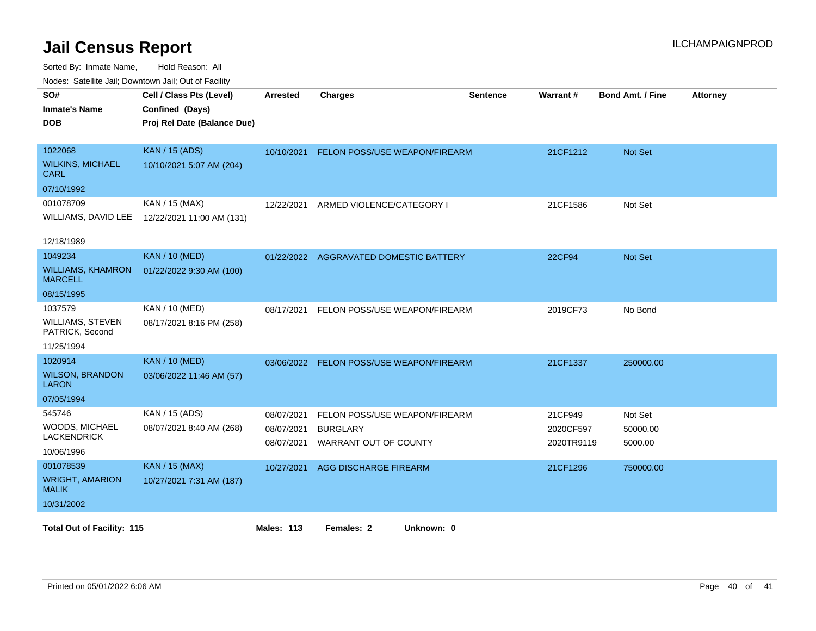| <b>Houce.</b> Catellite ball, Downtown ball, Out of Fability<br>SO# | Cell / Class Pts (Level)    | Arrested   | <b>Charges</b>                         | <b>Sentence</b> | <b>Warrant#</b> | <b>Bond Amt. / Fine</b> | <b>Attorney</b> |
|---------------------------------------------------------------------|-----------------------------|------------|----------------------------------------|-----------------|-----------------|-------------------------|-----------------|
| <b>Inmate's Name</b>                                                | Confined (Days)             |            |                                        |                 |                 |                         |                 |
| <b>DOB</b>                                                          | Proj Rel Date (Balance Due) |            |                                        |                 |                 |                         |                 |
|                                                                     |                             |            |                                        |                 |                 |                         |                 |
| 1022068                                                             | <b>KAN / 15 (ADS)</b>       | 10/10/2021 | <b>FELON POSS/USE WEAPON/FIREARM</b>   |                 | 21CF1212        | <b>Not Set</b>          |                 |
| <b>WILKINS, MICHAEL</b><br><b>CARL</b>                              | 10/10/2021 5:07 AM (204)    |            |                                        |                 |                 |                         |                 |
| 07/10/1992                                                          |                             |            |                                        |                 |                 |                         |                 |
| 001078709                                                           | KAN / 15 (MAX)              | 12/22/2021 | ARMED VIOLENCE/CATEGORY I              |                 | 21CF1586        | Not Set                 |                 |
| WILLIAMS, DAVID LEE                                                 | 12/22/2021 11:00 AM (131)   |            |                                        |                 |                 |                         |                 |
|                                                                     |                             |            |                                        |                 |                 |                         |                 |
| 12/18/1989                                                          |                             |            |                                        |                 |                 |                         |                 |
| 1049234                                                             | <b>KAN / 10 (MED)</b>       |            | 01/22/2022 AGGRAVATED DOMESTIC BATTERY |                 | 22CF94          | <b>Not Set</b>          |                 |
| <b>WILLIAMS, KHAMRON</b><br><b>MARCELL</b>                          | 01/22/2022 9:30 AM (100)    |            |                                        |                 |                 |                         |                 |
| 08/15/1995                                                          |                             |            |                                        |                 |                 |                         |                 |
| 1037579                                                             | KAN / 10 (MED)              | 08/17/2021 | FELON POSS/USE WEAPON/FIREARM          |                 | 2019CF73        | No Bond                 |                 |
| WILLIAMS, STEVEN<br>PATRICK, Second                                 | 08/17/2021 8:16 PM (258)    |            |                                        |                 |                 |                         |                 |
| 11/25/1994                                                          |                             |            |                                        |                 |                 |                         |                 |
| 1020914                                                             | <b>KAN / 10 (MED)</b>       | 03/06/2022 | FELON POSS/USE WEAPON/FIREARM          |                 | 21CF1337        | 250000.00               |                 |
| <b>WILSON, BRANDON</b><br><b>LARON</b>                              | 03/06/2022 11:46 AM (57)    |            |                                        |                 |                 |                         |                 |
| 07/05/1994                                                          |                             |            |                                        |                 |                 |                         |                 |
| 545746                                                              | KAN / 15 (ADS)              | 08/07/2021 | FELON POSS/USE WEAPON/FIREARM          |                 | 21CF949         | Not Set                 |                 |
| WOODS, MICHAEL                                                      | 08/07/2021 8:40 AM (268)    | 08/07/2021 | <b>BURGLARY</b>                        |                 | 2020CF597       | 50000.00                |                 |
| <b>LACKENDRICK</b>                                                  |                             | 08/07/2021 | WARRANT OUT OF COUNTY                  |                 | 2020TR9119      | 5000.00                 |                 |
| 10/06/1996                                                          |                             |            |                                        |                 |                 |                         |                 |
| 001078539                                                           | <b>KAN / 15 (MAX)</b>       | 10/27/2021 | AGG DISCHARGE FIREARM                  |                 | 21CF1296        | 750000.00               |                 |
| <b>WRIGHT, AMARION</b><br><b>MALIK</b>                              | 10/27/2021 7:31 AM (187)    |            |                                        |                 |                 |                         |                 |
| 10/31/2002                                                          |                             |            |                                        |                 |                 |                         |                 |
| <b>Total Out of Facility: 115</b>                                   |                             | Males: 113 | Females: 2<br>Unknown: 0               |                 |                 |                         |                 |
|                                                                     |                             |            |                                        |                 |                 |                         |                 |